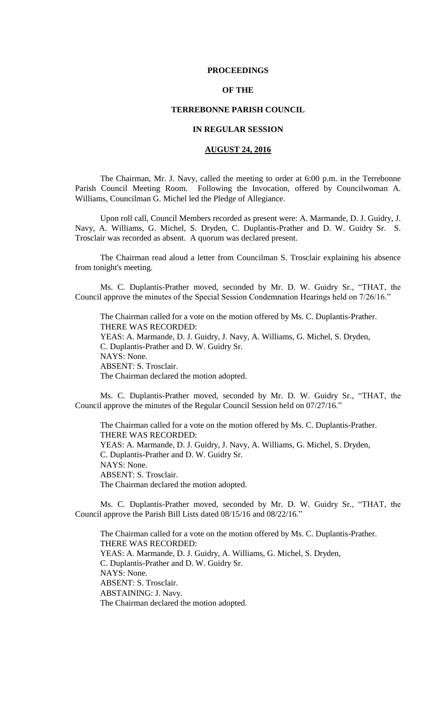#### **PROCEEDINGS**

# **OF THE**

## **TERREBONNE PARISH COUNCIL**

# **IN REGULAR SESSION**

# **AUGUST 24, 2016**

The Chairman, Mr. J. Navy, called the meeting to order at 6:00 p.m. in the Terrebonne Parish Council Meeting Room. Following the Invocation, offered by Councilwoman A. Williams, Councilman G. Michel led the Pledge of Allegiance.

Upon roll call, Council Members recorded as present were: A. Marmande, D. J. Guidry, J. Navy, A. Williams, G. Michel, S. Dryden, C. Duplantis-Prather and D. W. Guidry Sr. S. Trosclair was recorded as absent. A quorum was declared present.

The Chairman read aloud a letter from Councilman S. Trosclair explaining his absence from tonight's meeting.

Ms. C. Duplantis-Prather moved, seconded by Mr. D. W. Guidry Sr., "THAT, the Council approve the minutes of the Special Session Condemnation Hearings held on 7/26/16."

The Chairman called for a vote on the motion offered by Ms. C. Duplantis-Prather. THERE WAS RECORDED: YEAS: A. Marmande, D. J. Guidry, J. Navy, A. Williams, G. Michel, S. Dryden, C. Duplantis-Prather and D. W. Guidry Sr. NAYS: None. ABSENT: S. Trosclair. The Chairman declared the motion adopted.

Ms. C. Duplantis-Prather moved, seconded by Mr. D. W. Guidry Sr., "THAT, the Council approve the minutes of the Regular Council Session held on 07/27/16."

The Chairman called for a vote on the motion offered by Ms. C. Duplantis-Prather. THERE WAS RECORDED: YEAS: A. Marmande, D. J. Guidry, J. Navy, A. Williams, G. Michel, S. Dryden, C. Duplantis-Prather and D. W. Guidry Sr. NAYS: None. ABSENT: S. Trosclair. The Chairman declared the motion adopted.

Ms. C. Duplantis-Prather moved, seconded by Mr. D. W. Guidry Sr., "THAT, the Council approve the Parish Bill Lists dated 08/15/16 and 08/22/16."

The Chairman called for a vote on the motion offered by Ms. C. Duplantis-Prather. THERE WAS RECORDED: YEAS: A. Marmande, D. J. Guidry, A. Williams, G. Michel, S. Dryden, C. Duplantis-Prather and D. W. Guidry Sr. NAYS: None. ABSENT: S. Trosclair. ABSTAINING: J. Navy. The Chairman declared the motion adopted.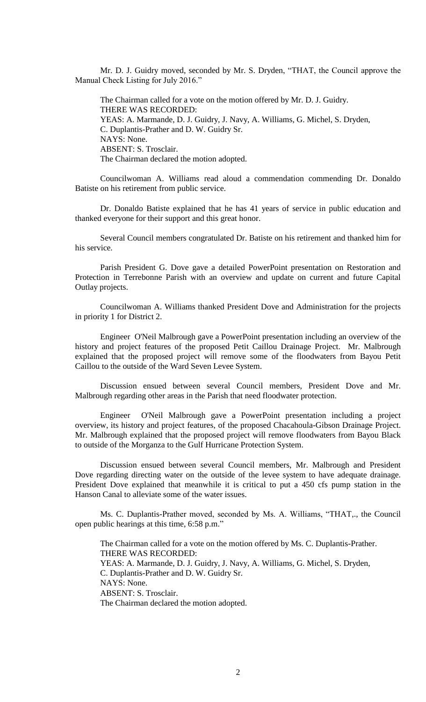Mr. D. J. Guidry moved, seconded by Mr. S. Dryden, "THAT, the Council approve the Manual Check Listing for July 2016."

The Chairman called for a vote on the motion offered by Mr. D. J. Guidry. THERE WAS RECORDED: YEAS: A. Marmande, D. J. Guidry, J. Navy, A. Williams, G. Michel, S. Dryden, C. Duplantis-Prather and D. W. Guidry Sr. NAYS: None. ABSENT: S. Trosclair. The Chairman declared the motion adopted.

Councilwoman A. Williams read aloud a commendation commending Dr. Donaldo Batiste on his retirement from public service.

Dr. Donaldo Batiste explained that he has 41 years of service in public education and thanked everyone for their support and this great honor.

Several Council members congratulated Dr. Batiste on his retirement and thanked him for his service.

Parish President G. Dove gave a detailed PowerPoint presentation on Restoration and Protection in Terrebonne Parish with an overview and update on current and future Capital Outlay projects.

Councilwoman A. Williams thanked President Dove and Administration for the projects in priority 1 for District 2.

Engineer O'Neil Malbrough gave a PowerPoint presentation including an overview of the history and project features of the proposed Petit Caillou Drainage Project. Mr. Malbrough explained that the proposed project will remove some of the floodwaters from Bayou Petit Caillou to the outside of the Ward Seven Levee System.

Discussion ensued between several Council members, President Dove and Mr. Malbrough regarding other areas in the Parish that need floodwater protection.

Engineer O'Neil Malbrough gave a PowerPoint presentation including a project overview, its history and project features, of the proposed Chacahoula-Gibson Drainage Project. Mr. Malbrough explained that the proposed project will remove floodwaters from Bayou Black to outside of the Morganza to the Gulf Hurricane Protection System.

Discussion ensued between several Council members, Mr. Malbrough and President Dove regarding directing water on the outside of the levee system to have adequate drainage. President Dove explained that meanwhile it is critical to put a 450 cfs pump station in the Hanson Canal to alleviate some of the water issues.

Ms. C. Duplantis-Prather moved, seconded by Ms. A. Williams, "THAT,., the Council open public hearings at this time, 6:58 p.m."

The Chairman called for a vote on the motion offered by Ms. C. Duplantis-Prather. THERE WAS RECORDED: YEAS: A. Marmande, D. J. Guidry, J. Navy, A. Williams, G. Michel, S. Dryden, C. Duplantis-Prather and D. W. Guidry Sr. NAYS: None. ABSENT: S. Trosclair. The Chairman declared the motion adopted.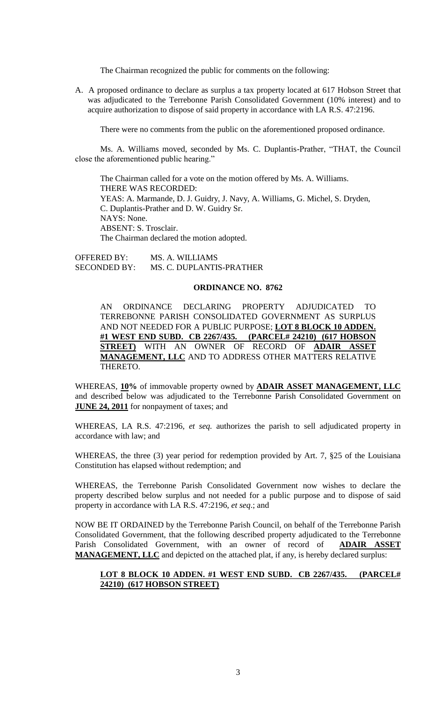The Chairman recognized the public for comments on the following:

A. A proposed ordinance to declare as surplus a tax property located at 617 Hobson Street that was adjudicated to the Terrebonne Parish Consolidated Government (10% interest) and to acquire authorization to dispose of said property in accordance with LA R.S. 47:2196.

There were no comments from the public on the aforementioned proposed ordinance.

Ms. A. Williams moved, seconded by Ms. C. Duplantis-Prather, "THAT, the Council close the aforementioned public hearing."

The Chairman called for a vote on the motion offered by Ms. A. Williams. THERE WAS RECORDED: YEAS: A. Marmande, D. J. Guidry, J. Navy, A. Williams, G. Michel, S. Dryden, C. Duplantis-Prather and D. W. Guidry Sr. NAYS: None. ABSENT: S. Trosclair. The Chairman declared the motion adopted.

OFFERED BY: MS. A. WILLIAMS SECONDED BY: MS. C. DUPLANTIS-PRATHER

### **ORDINANCE NO. 8762**

AN ORDINANCE DECLARING PROPERTY ADJUDICATED TO TERREBONNE PARISH CONSOLIDATED GOVERNMENT AS SURPLUS AND NOT NEEDED FOR A PUBLIC PURPOSE; **LOT 8 BLOCK 10 ADDEN. #1 WEST END SUBD. CB 2267/435. (PARCEL# 24210) (617 HOBSON STREET)** WITH AN OWNER OF RECORD OF **ADAIR ASSET MANAGEMENT, LLC** AND TO ADDRESS OTHER MATTERS RELATIVE THERETO.

WHEREAS, **10%** of immovable property owned by **ADAIR ASSET MANAGEMENT, LLC** and described below was adjudicated to the Terrebonne Parish Consolidated Government on **JUNE 24, 2011** for nonpayment of taxes; and

WHEREAS, LA R.S. 47:2196, *et seq.* authorizes the parish to sell adjudicated property in accordance with law; and

WHEREAS, the three (3) year period for redemption provided by Art. 7, §25 of the Louisiana Constitution has elapsed without redemption; and

WHEREAS, the Terrebonne Parish Consolidated Government now wishes to declare the property described below surplus and not needed for a public purpose and to dispose of said property in accordance with LA R.S. 47:2196, *et seq*.; and

NOW BE IT ORDAINED by the Terrebonne Parish Council, on behalf of the Terrebonne Parish Consolidated Government, that the following described property adjudicated to the Terrebonne Parish Consolidated Government, with an owner of record of **ADAIR ASSET MANAGEMENT, LLC** and depicted on the attached plat, if any, is hereby declared surplus:

# **LOT 8 BLOCK 10 ADDEN. #1 WEST END SUBD. CB 2267/435. (PARCEL# 24210) (617 HOBSON STREET)**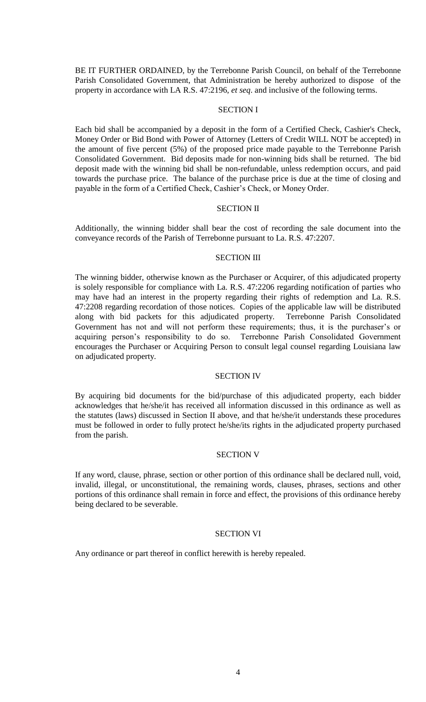BE IT FURTHER ORDAINED, by the Terrebonne Parish Council, on behalf of the Terrebonne Parish Consolidated Government, that Administration be hereby authorized to dispose of the property in accordance with LA R.S. 47:2196, *et seq*. and inclusive of the following terms.

## SECTION I

Each bid shall be accompanied by a deposit in the form of a Certified Check, Cashier's Check, Money Order or Bid Bond with Power of Attorney (Letters of Credit WILL NOT be accepted) in the amount of five percent (5%) of the proposed price made payable to the Terrebonne Parish Consolidated Government. Bid deposits made for non-winning bids shall be returned. The bid deposit made with the winning bid shall be non-refundable, unless redemption occurs, and paid towards the purchase price. The balance of the purchase price is due at the time of closing and payable in the form of a Certified Check, Cashier's Check, or Money Order.

#### SECTION II

Additionally, the winning bidder shall bear the cost of recording the sale document into the conveyance records of the Parish of Terrebonne pursuant to La. R.S. 47:2207.

### SECTION III

The winning bidder, otherwise known as the Purchaser or Acquirer, of this adjudicated property is solely responsible for compliance with La. R.S. 47:2206 regarding notification of parties who may have had an interest in the property regarding their rights of redemption and La. R.S. 47:2208 regarding recordation of those notices. Copies of the applicable law will be distributed along with bid packets for this adjudicated property. Terrebonne Parish Consolidated Government has not and will not perform these requirements; thus, it is the purchaser's or acquiring person's responsibility to do so. Terrebonne Parish Consolidated Government encourages the Purchaser or Acquiring Person to consult legal counsel regarding Louisiana law on adjudicated property.

#### SECTION IV

By acquiring bid documents for the bid/purchase of this adjudicated property, each bidder acknowledges that he/she/it has received all information discussed in this ordinance as well as the statutes (laws) discussed in Section II above, and that he/she/it understands these procedures must be followed in order to fully protect he/she/its rights in the adjudicated property purchased from the parish.

## SECTION V

If any word, clause, phrase, section or other portion of this ordinance shall be declared null, void, invalid, illegal, or unconstitutional, the remaining words, clauses, phrases, sections and other portions of this ordinance shall remain in force and effect, the provisions of this ordinance hereby being declared to be severable.

## SECTION VI

Any ordinance or part thereof in conflict herewith is hereby repealed.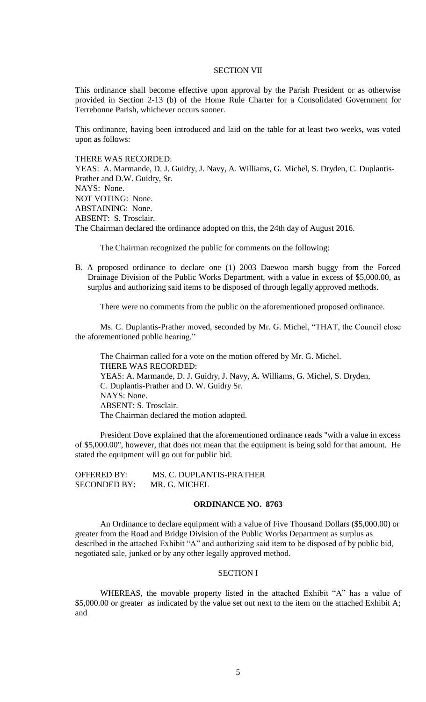#### SECTION VII

This ordinance shall become effective upon approval by the Parish President or as otherwise provided in Section 2-13 (b) of the Home Rule Charter for a Consolidated Government for Terrebonne Parish, whichever occurs sooner.

This ordinance, having been introduced and laid on the table for at least two weeks, was voted upon as follows:

THERE WAS RECORDED:

YEAS: A. Marmande, D. J. Guidry, J. Navy, A. Williams, G. Michel, S. Dryden, C. Duplantis-Prather and D.W. Guidry, Sr. NAYS: None. NOT VOTING: None. ABSTAINING: None. ABSENT: S. Trosclair. The Chairman declared the ordinance adopted on this, the 24th day of August 2016.

The Chairman recognized the public for comments on the following:

B. A proposed ordinance to declare one (1) 2003 Daewoo marsh buggy from the Forced Drainage Division of the Public Works Department, with a value in excess of \$5,000.00, as surplus and authorizing said items to be disposed of through legally approved methods.

There were no comments from the public on the aforementioned proposed ordinance.

Ms. C. Duplantis-Prather moved, seconded by Mr. G. Michel, "THAT, the Council close the aforementioned public hearing."

The Chairman called for a vote on the motion offered by Mr. G. Michel. THERE WAS RECORDED: YEAS: A. Marmande, D. J. Guidry, J. Navy, A. Williams, G. Michel, S. Dryden, C. Duplantis-Prather and D. W. Guidry Sr. NAYS: None. ABSENT: S. Trosclair. The Chairman declared the motion adopted.

President Dove explained that the aforementioned ordinance reads "with a value in excess of \$5,000.00", however, that does not mean that the equipment is being sold for that amount. He stated the equipment will go out for public bid.

| <b>OFFERED BY:</b>  | MS. C. DUPLANTIS-PRATHER |
|---------------------|--------------------------|
| <b>SECONDED BY:</b> | MR. G. MICHEL            |

## **ORDINANCE NO. 8763**

An Ordinance to declare equipment with a value of Five Thousand Dollars (\$5,000.00) or greater from the Road and Bridge Division of the Public Works Department as surplus as described in the attached Exhibit "A" and authorizing said item to be disposed of by public bid, negotiated sale, junked or by any other legally approved method.

## SECTION I

WHEREAS, the movable property listed in the attached Exhibit "A" has a value of \$5,000.00 or greater as indicated by the value set out next to the item on the attached Exhibit A; and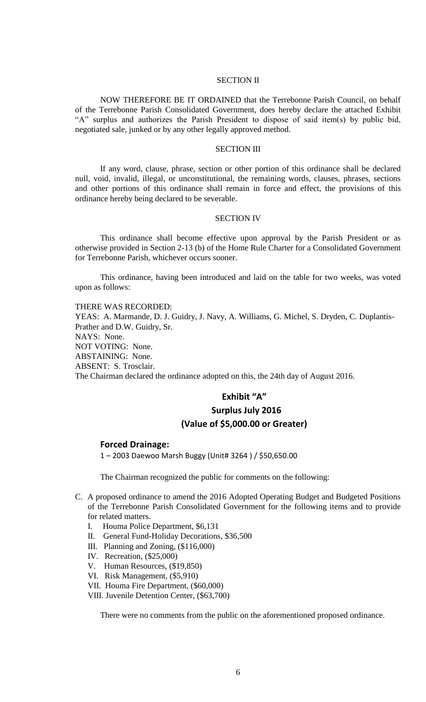## SECTION II

NOW THEREFORE BE IT ORDAINED that the Terrebonne Parish Council, on behalf of the Terrebonne Parish Consolidated Government, does hereby declare the attached Exhibit "A" surplus and authorizes the Parish President to dispose of said item(s) by public bid, negotiated sale, junked or by any other legally approved method.

#### SECTION III

If any word, clause, phrase, section or other portion of this ordinance shall be declared null, void, invalid, illegal, or unconstitutional, the remaining words, clauses, phrases, sections and other portions of this ordinance shall remain in force and effect, the provisions of this ordinance hereby being declared to be severable.

#### SECTION IV

This ordinance shall become effective upon approval by the Parish President or as otherwise provided in Section 2-13 (b) of the Home Rule Charter for a Consolidated Government for Terrebonne Parish, whichever occurs sooner.

This ordinance, having been introduced and laid on the table for two weeks, was voted upon as follows:

THERE WAS RECORDED: YEAS: A. Marmande, D. J. Guidry, J. Navy, A. Williams, G. Michel, S. Dryden, C. Duplantis-Prather and D.W. Guidry, Sr. NAYS: None. NOT VOTING: None. ABSTAINING: None. ABSENT: S. Trosclair. The Chairman declared the ordinance adopted on this, the 24th day of August 2016.

# **Exhibit "A"**

# **Surplus July 2016 (Value of \$5,000.00 or Greater)**

# **Forced Drainage:**

1 – 2003 Daewoo Marsh Buggy (Unit# 3264 ) / \$50,650.00

The Chairman recognized the public for comments on the following:

- C. A proposed ordinance to amend the 2016 Adopted Operating Budget and Budgeted Positions of the Terrebonne Parish Consolidated Government for the following items and to provide for related matters.
	- I. Houma Police Department, \$6,131
	- II. General Fund-Holiday Decorations, \$36,500
	- III. Planning and Zoning, (\$116,000)
	- IV. Recreation, (\$25,000)
	- V. Human Resources, (\$19,850)
	- VI. Risk Management, (\$5,910)
	- VII. Houma Fire Department, (\$60,000)
	- VIII. Juvenile Detention Center, (\$63,700)

There were no comments from the public on the aforementioned proposed ordinance.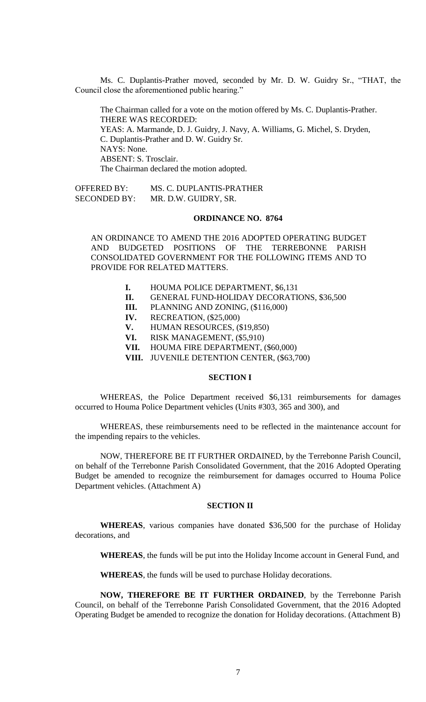Ms. C. Duplantis-Prather moved, seconded by Mr. D. W. Guidry Sr., "THAT, the Council close the aforementioned public hearing."

The Chairman called for a vote on the motion offered by Ms. C. Duplantis-Prather. THERE WAS RECORDED: YEAS: A. Marmande, D. J. Guidry, J. Navy, A. Williams, G. Michel, S. Dryden, C. Duplantis-Prather and D. W. Guidry Sr. NAYS: None. ABSENT: S. Trosclair. The Chairman declared the motion adopted.

OFFERED BY: MS. C. DUPLANTIS-PRATHER SECONDED BY: MR. D.W. GUIDRY, SR.

# **ORDINANCE NO. 8764**

AN ORDINANCE TO AMEND THE 2016 ADOPTED OPERATING BUDGET AND BUDGETED POSITIONS OF THE TERREBONNE PARISH CONSOLIDATED GOVERNMENT FOR THE FOLLOWING ITEMS AND TO PROVIDE FOR RELATED MATTERS.

- **I.** HOUMA POLICE DEPARTMENT, \$6,131
- **II.** GENERAL FUND-HOLIDAY DECORATIONS, \$36,500
- **III.** PLANNING AND ZONING, (\$116,000)
- **IV.** RECREATION, (\$25,000)
- **V.** HUMAN RESOURCES, (\$19,850)
- **VI.** RISK MANAGEMENT, (\$5,910)
- **VII.** HOUMA FIRE DEPARTMENT, (\$60,000)
- **VIII.** JUVENILE DETENTION CENTER, (\$63,700)

## **SECTION I**

WHEREAS, the Police Department received \$6,131 reimbursements for damages occurred to Houma Police Department vehicles (Units #303, 365 and 300), and

WHEREAS, these reimbursements need to be reflected in the maintenance account for the impending repairs to the vehicles.

NOW, THEREFORE BE IT FURTHER ORDAINED, by the Terrebonne Parish Council, on behalf of the Terrebonne Parish Consolidated Government, that the 2016 Adopted Operating Budget be amended to recognize the reimbursement for damages occurred to Houma Police Department vehicles. (Attachment A)

## **SECTION II**

**WHEREAS**, various companies have donated \$36,500 for the purchase of Holiday decorations, and

**WHEREAS**, the funds will be put into the Holiday Income account in General Fund, and

**WHEREAS**, the funds will be used to purchase Holiday decorations.

**NOW, THEREFORE BE IT FURTHER ORDAINED**, by the Terrebonne Parish Council, on behalf of the Terrebonne Parish Consolidated Government, that the 2016 Adopted Operating Budget be amended to recognize the donation for Holiday decorations. (Attachment B)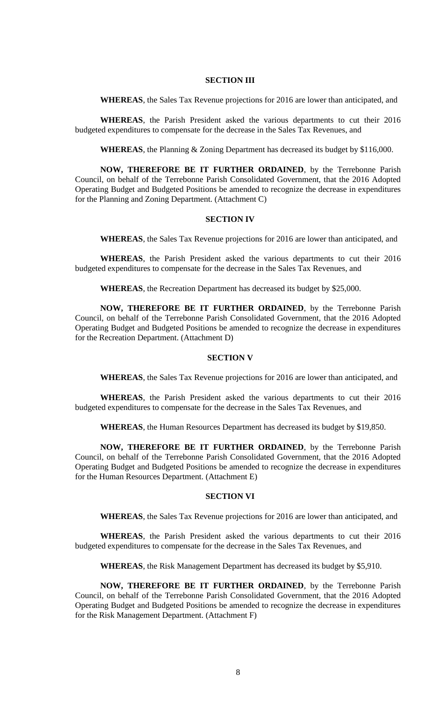# **SECTION III**

**WHEREAS**, the Sales Tax Revenue projections for 2016 are lower than anticipated, and

**WHEREAS**, the Parish President asked the various departments to cut their 2016 budgeted expenditures to compensate for the decrease in the Sales Tax Revenues, and

**WHEREAS**, the Planning & Zoning Department has decreased its budget by \$116,000.

**NOW, THEREFORE BE IT FURTHER ORDAINED**, by the Terrebonne Parish Council, on behalf of the Terrebonne Parish Consolidated Government, that the 2016 Adopted Operating Budget and Budgeted Positions be amended to recognize the decrease in expenditures for the Planning and Zoning Department. (Attachment C)

## **SECTION IV**

**WHEREAS**, the Sales Tax Revenue projections for 2016 are lower than anticipated, and

**WHEREAS**, the Parish President asked the various departments to cut their 2016 budgeted expenditures to compensate for the decrease in the Sales Tax Revenues, and

**WHEREAS**, the Recreation Department has decreased its budget by \$25,000.

**NOW, THEREFORE BE IT FURTHER ORDAINED**, by the Terrebonne Parish Council, on behalf of the Terrebonne Parish Consolidated Government, that the 2016 Adopted Operating Budget and Budgeted Positions be amended to recognize the decrease in expenditures for the Recreation Department. (Attachment D)

## **SECTION V**

**WHEREAS**, the Sales Tax Revenue projections for 2016 are lower than anticipated, and

**WHEREAS**, the Parish President asked the various departments to cut their 2016 budgeted expenditures to compensate for the decrease in the Sales Tax Revenues, and

**WHEREAS**, the Human Resources Department has decreased its budget by \$19,850.

**NOW, THEREFORE BE IT FURTHER ORDAINED**, by the Terrebonne Parish Council, on behalf of the Terrebonne Parish Consolidated Government, that the 2016 Adopted Operating Budget and Budgeted Positions be amended to recognize the decrease in expenditures for the Human Resources Department. (Attachment E)

#### **SECTION VI**

**WHEREAS**, the Sales Tax Revenue projections for 2016 are lower than anticipated, and

**WHEREAS**, the Parish President asked the various departments to cut their 2016 budgeted expenditures to compensate for the decrease in the Sales Tax Revenues, and

**WHEREAS**, the Risk Management Department has decreased its budget by \$5,910.

**NOW, THEREFORE BE IT FURTHER ORDAINED**, by the Terrebonne Parish Council, on behalf of the Terrebonne Parish Consolidated Government, that the 2016 Adopted Operating Budget and Budgeted Positions be amended to recognize the decrease in expenditures for the Risk Management Department. (Attachment F)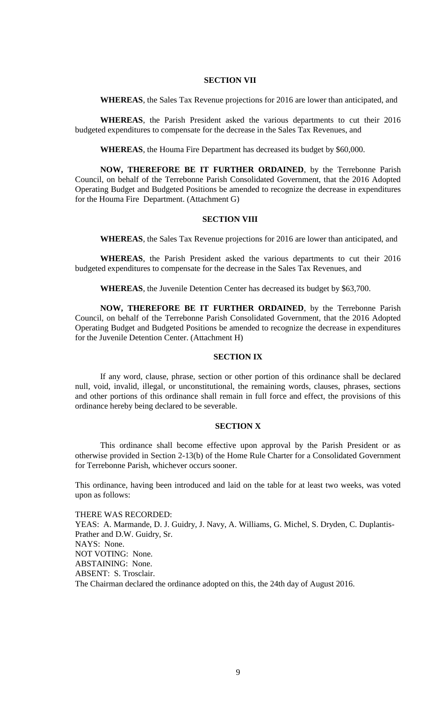## **SECTION VII**

**WHEREAS**, the Sales Tax Revenue projections for 2016 are lower than anticipated, and

**WHEREAS**, the Parish President asked the various departments to cut their 2016 budgeted expenditures to compensate for the decrease in the Sales Tax Revenues, and

**WHEREAS**, the Houma Fire Department has decreased its budget by \$60,000.

**NOW, THEREFORE BE IT FURTHER ORDAINED**, by the Terrebonne Parish Council, on behalf of the Terrebonne Parish Consolidated Government, that the 2016 Adopted Operating Budget and Budgeted Positions be amended to recognize the decrease in expenditures for the Houma Fire Department. (Attachment G)

#### **SECTION VIII**

**WHEREAS**, the Sales Tax Revenue projections for 2016 are lower than anticipated, and

**WHEREAS**, the Parish President asked the various departments to cut their 2016 budgeted expenditures to compensate for the decrease in the Sales Tax Revenues, and

**WHEREAS**, the Juvenile Detention Center has decreased its budget by \$63,700.

**NOW, THEREFORE BE IT FURTHER ORDAINED**, by the Terrebonne Parish Council, on behalf of the Terrebonne Parish Consolidated Government, that the 2016 Adopted Operating Budget and Budgeted Positions be amended to recognize the decrease in expenditures for the Juvenile Detention Center. (Attachment H)

# **SECTION IX**

If any word, clause, phrase, section or other portion of this ordinance shall be declared null, void, invalid, illegal, or unconstitutional, the remaining words, clauses, phrases, sections and other portions of this ordinance shall remain in full force and effect, the provisions of this ordinance hereby being declared to be severable.

#### **SECTION X**

This ordinance shall become effective upon approval by the Parish President or as otherwise provided in Section 2-13(b) of the Home Rule Charter for a Consolidated Government for Terrebonne Parish, whichever occurs sooner.

This ordinance, having been introduced and laid on the table for at least two weeks, was voted upon as follows:

THERE WAS RECORDED: YEAS: A. Marmande, D. J. Guidry, J. Navy, A. Williams, G. Michel, S. Dryden, C. Duplantis-Prather and D.W. Guidry, Sr. NAYS: None. NOT VOTING: None. ABSTAINING: None. ABSENT: S. Trosclair. The Chairman declared the ordinance adopted on this, the 24th day of August 2016.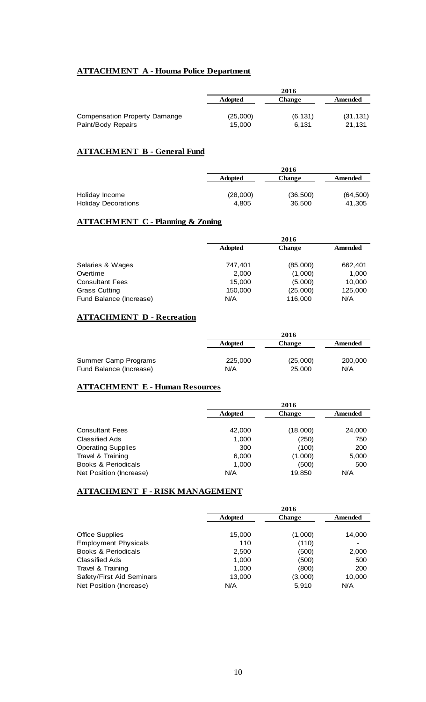# **ATTACHMENT A - Houma Police Department**

|                                                            |                    | 2016              |                     |
|------------------------------------------------------------|--------------------|-------------------|---------------------|
|                                                            | <b>Adopted</b>     | <b>Change</b>     | Amended             |
| <b>Compensation Property Damange</b><br>Paint/Body Repairs | (25,000)<br>15.000 | (6, 131)<br>6.131 | (31, 131)<br>21.131 |

# **ATTACHMENT B - General Fund**

|                                              |                   | 2016               |                     |
|----------------------------------------------|-------------------|--------------------|---------------------|
|                                              | <b>Adopted</b>    | <b>Change</b>      | Amended             |
| Holiday Income<br><b>Holiday Decorations</b> | (28,000)<br>4.805 | (36,500)<br>36,500 | (64, 500)<br>41,305 |

# **ATTACHMENT C - Planning & Zoning**

|                         |                | 2016          |         |  |
|-------------------------|----------------|---------------|---------|--|
|                         | <b>Adopted</b> | <b>Change</b> | Amended |  |
|                         |                |               |         |  |
| Salaries & Wages        | 747.401        | (85,000)      | 662,401 |  |
| Overtime                | 2,000          | (1,000)       | 1,000   |  |
| <b>Consultant Fees</b>  | 15,000         | (5,000)       | 10,000  |  |
| Grass Cutting           | 150,000        | (25,000)      | 125,000 |  |
| Fund Balance (Increase) | N/A            | 116,000       | N/A     |  |

# **ATTACHMENT D - Recreation**

|                         |                | 2016          |         |
|-------------------------|----------------|---------------|---------|
|                         | <b>Adopted</b> | <b>Change</b> | Amended |
| Summer Camp Programs    | 225,000        | (25,000)      | 200,000 |
| Fund Balance (Increase) | N/A            | 25,000        | N/A     |

# **ATTACHMENT E - Human Resources**

|                           | 2016           |               |         |
|---------------------------|----------------|---------------|---------|
|                           | <b>Adopted</b> | <b>Change</b> | Amended |
| <b>Consultant Fees</b>    | 42,000         | (18,000)      | 24,000  |
| Classified Ads            | 1,000          | (250)         | 750     |
| <b>Operating Supplies</b> | 300            | (100)         | 200     |
| Travel & Training         | 6,000          | (1,000)       | 5,000   |
| Books & Periodicals       | 1,000          | (500)         | 500     |
| Net Position (Increase)   | N/A            | 19.850        | N/A     |

# **ATTACHMENT F - RISK MANAGEMENT**

|                                | 2016           |               |         |
|--------------------------------|----------------|---------------|---------|
|                                | <b>Adopted</b> | <b>Change</b> | Amended |
| <b>Office Supplies</b>         | 15,000         | (1,000)       | 14,000  |
| <b>Employment Physicals</b>    | 110            | (110)         |         |
| <b>Books &amp; Periodicals</b> | 2,500          | (500)         | 2,000   |
| <b>Classified Ads</b>          | 1,000          | (500)         | 500     |
| Travel & Training              | 1,000          | (800)         | 200     |
| Safety/First Aid Seminars      | 13,000         | (3,000)       | 10,000  |
| Net Position (Increase)        | N/A            | 5,910         | N/A     |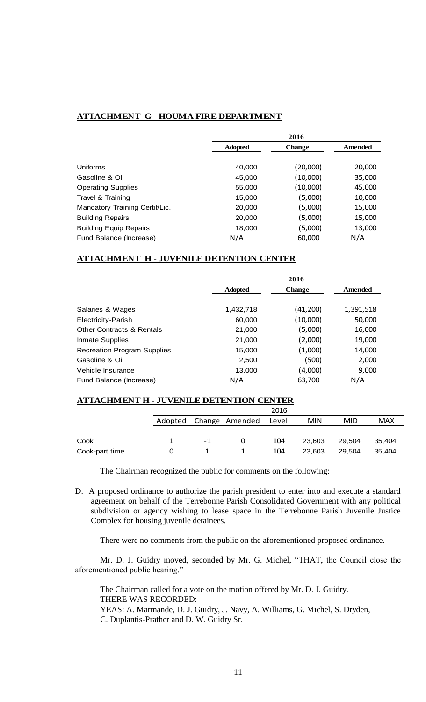## **ATTACHMENT G - HOUMA FIRE DEPARTMENT**

|                                |                | 2016          |         |  |
|--------------------------------|----------------|---------------|---------|--|
|                                | <b>Adopted</b> | <b>Change</b> | Amended |  |
|                                |                |               |         |  |
| Uniforms                       | 40.000         | (20,000)      | 20,000  |  |
| Gasoline & Oil                 | 45,000         | (10,000)      | 35,000  |  |
| <b>Operating Supplies</b>      | 55,000         | (10,000)      | 45,000  |  |
| Travel & Training              | 15,000         | (5,000)       | 10,000  |  |
| Mandatory Training Certif/Lic. | 20,000         | (5,000)       | 15,000  |  |
| <b>Building Repairs</b>        | 20,000         | (5,000)       | 15,000  |  |
| <b>Building Equip Repairs</b>  | 18,000         | (5,000)       | 13,000  |  |
| Fund Balance (Increase)        | N/A            | 60,000        | N/A     |  |

## **ATTACHMENT H - JUVENILE DETENTION CENTER**

|                                      |                | 2016          |           |
|--------------------------------------|----------------|---------------|-----------|
|                                      | <b>Adopted</b> | <b>Change</b> | Amended   |
|                                      |                |               |           |
| Salaries & Wages                     | 1,432,718      | (41,200)      | 1,391,518 |
| Electricity-Parish                   | 60.000         | (10,000)      | 50,000    |
| <b>Other Contracts &amp; Rentals</b> | 21,000         | (5,000)       | 16,000    |
| Inmate Supplies                      | 21,000         | (2,000)       | 19,000    |
| <b>Recreation Program Supplies</b>   | 15,000         | (1,000)       | 14,000    |
| Gasoline & Oil                       | 2,500          | (500)         | 2,000     |
| Vehicle Insurance                    | 13,000         | (4,000)       | 9,000     |
| Fund Balance (Increase)              | N/A            | 63,700        | N/A       |

# **ATTACHMENT H - JUVENILE DETENTION CENTER**

|                |    |                        | 2016  |            |            |            |
|----------------|----|------------------------|-------|------------|------------|------------|
|                |    | Adopted Change Amended | Level | <b>MIN</b> | <b>MID</b> | <b>MAX</b> |
|                |    |                        |       |            |            |            |
| Cook           | -1 |                        | 104   | 23,603     | 29,504     | 35.404     |
| Cook-part time |    |                        | 104   | 23,603     | 29,504     | 35,404     |

The Chairman recognized the public for comments on the following:

D. A proposed ordinance to authorize the parish president to enter into and execute a standard agreement on behalf of the Terrebonne Parish Consolidated Government with any political subdivision or agency wishing to lease space in the Terrebonne Parish Juvenile Justice Complex for housing juvenile detainees.

There were no comments from the public on the aforementioned proposed ordinance.

Mr. D. J. Guidry moved, seconded by Mr. G. Michel, "THAT, the Council close the aforementioned public hearing."

The Chairman called for a vote on the motion offered by Mr. D. J. Guidry. THERE WAS RECORDED: YEAS: A. Marmande, D. J. Guidry, J. Navy, A. Williams, G. Michel, S. Dryden,

C. Duplantis-Prather and D. W. Guidry Sr.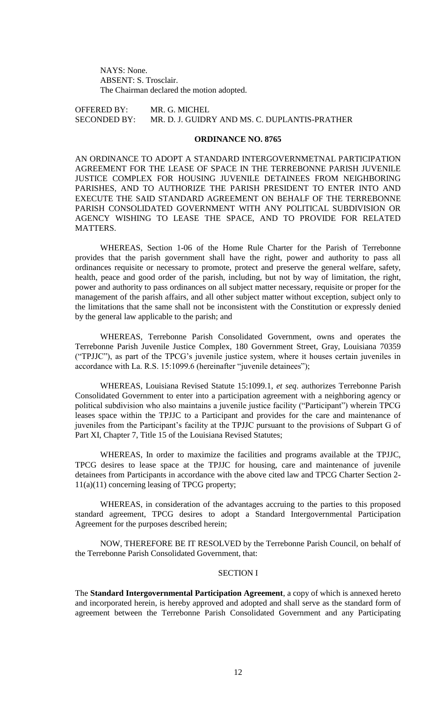NAYS: None. ABSENT: S. Trosclair. The Chairman declared the motion adopted.

OFFERED BY: MR. G. MICHEL SECONDED BY: MR. D. J. GUIDRY AND MS. C. DUPLANTIS-PRATHER

# **ORDINANCE NO. 8765**

AN ORDINANCE TO ADOPT A STANDARD INTERGOVERNMETNAL PARTICIPATION AGREEMENT FOR THE LEASE OF SPACE IN THE TERREBONNE PARISH JUVENILE JUSTICE COMPLEX FOR HOUSING JUVENILE DETAINEES FROM NEIGHBORING PARISHES, AND TO AUTHORIZE THE PARISH PRESIDENT TO ENTER INTO AND EXECUTE THE SAID STANDARD AGREEMENT ON BEHALF OF THE TERREBONNE PARISH CONSOLIDATED GOVERNMENT WITH ANY POLITICAL SUBDIVISION OR AGENCY WISHING TO LEASE THE SPACE, AND TO PROVIDE FOR RELATED MATTERS.

WHEREAS, Section 1-06 of the Home Rule Charter for the Parish of Terrebonne provides that the parish government shall have the right, power and authority to pass all ordinances requisite or necessary to promote, protect and preserve the general welfare, safety, health, peace and good order of the parish, including, but not by way of limitation, the right, power and authority to pass ordinances on all subject matter necessary, requisite or proper for the management of the parish affairs, and all other subject matter without exception, subject only to the limitations that the same shall not be inconsistent with the Constitution or expressly denied by the general law applicable to the parish; and

WHEREAS, Terrebonne Parish Consolidated Government, owns and operates the Terrebonne Parish Juvenile Justice Complex, 180 Government Street, Gray, Louisiana 70359 ("TPJJC"), as part of the TPCG's juvenile justice system, where it houses certain juveniles in accordance with La. R.S. 15:1099.6 (hereinafter "juvenile detainees");

WHEREAS, Louisiana Revised Statute 15:1099.1, *et seq*. authorizes Terrebonne Parish Consolidated Government to enter into a participation agreement with a neighboring agency or political subdivision who also maintains a juvenile justice facility ("Participant") wherein TPCG leases space within the TPJJC to a Participant and provides for the care and maintenance of juveniles from the Participant's facility at the TPJJC pursuant to the provisions of Subpart G of Part XI, Chapter 7, Title 15 of the Louisiana Revised Statutes;

WHEREAS, In order to maximize the facilities and programs available at the TPJJC, TPCG desires to lease space at the TPJJC for housing, care and maintenance of juvenile detainees from Participants in accordance with the above cited law and TPCG Charter Section 2- 11(a)(11) concerning leasing of TPCG property;

WHEREAS, in consideration of the advantages accruing to the parties to this proposed standard agreement, TPCG desires to adopt a Standard Intergovernmental Participation Agreement for the purposes described herein;

NOW, THEREFORE BE IT RESOLVED by the Terrebonne Parish Council, on behalf of the Terrebonne Parish Consolidated Government, that:

## SECTION I

The **Standard Intergovernmental Participation Agreement**, a copy of which is annexed hereto and incorporated herein, is hereby approved and adopted and shall serve as the standard form of agreement between the Terrebonne Parish Consolidated Government and any Participating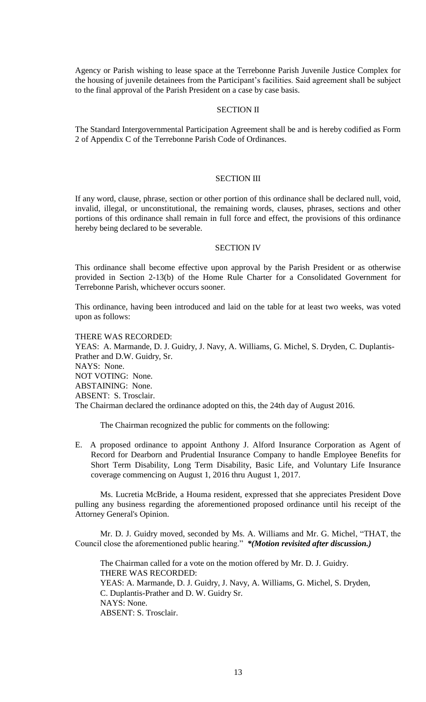Agency or Parish wishing to lease space at the Terrebonne Parish Juvenile Justice Complex for the housing of juvenile detainees from the Participant's facilities. Said agreement shall be subject to the final approval of the Parish President on a case by case basis.

# SECTION II

The Standard Intergovernmental Participation Agreement shall be and is hereby codified as Form 2 of Appendix C of the Terrebonne Parish Code of Ordinances.

# SECTION III

If any word, clause, phrase, section or other portion of this ordinance shall be declared null, void, invalid, illegal, or unconstitutional, the remaining words, clauses, phrases, sections and other portions of this ordinance shall remain in full force and effect, the provisions of this ordinance hereby being declared to be severable.

#### SECTION IV

This ordinance shall become effective upon approval by the Parish President or as otherwise provided in Section 2-13(b) of the Home Rule Charter for a Consolidated Government for Terrebonne Parish, whichever occurs sooner.

This ordinance, having been introduced and laid on the table for at least two weeks, was voted upon as follows:

THERE WAS RECORDED: YEAS: A. Marmande, D. J. Guidry, J. Navy, A. Williams, G. Michel, S. Dryden, C. Duplantis-Prather and D.W. Guidry, Sr. NAYS: None. NOT VOTING: None. ABSTAINING: None. ABSENT: S. Trosclair.

The Chairman declared the ordinance adopted on this, the 24th day of August 2016.

The Chairman recognized the public for comments on the following:

E. A proposed ordinance to appoint Anthony J. Alford Insurance Corporation as Agent of Record for Dearborn and Prudential Insurance Company to handle Employee Benefits for Short Term Disability, Long Term Disability, Basic Life, and Voluntary Life Insurance coverage commencing on August 1, 2016 thru August 1, 2017.

Ms. Lucretia McBride, a Houma resident, expressed that she appreciates President Dove pulling any business regarding the aforementioned proposed ordinance until his receipt of the Attorney General's Opinion.

Mr. D. J. Guidry moved, seconded by Ms. A. Williams and Mr. G. Michel, "THAT, the Council close the aforementioned public hearing." *\*(Motion revisited after discussion.)*

The Chairman called for a vote on the motion offered by Mr. D. J. Guidry. THERE WAS RECORDED: YEAS: A. Marmande, D. J. Guidry, J. Navy, A. Williams, G. Michel, S. Dryden, C. Duplantis-Prather and D. W. Guidry Sr. NAYS: None. ABSENT: S. Trosclair.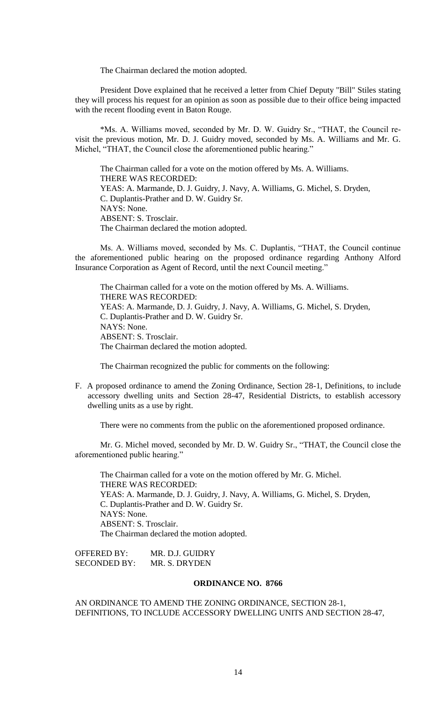The Chairman declared the motion adopted.

President Dove explained that he received a letter from Chief Deputy "Bill" Stiles stating they will process his request for an opinion as soon as possible due to their office being impacted with the recent flooding event in Baton Rouge.

\*Ms. A. Williams moved, seconded by Mr. D. W. Guidry Sr., "THAT, the Council revisit the previous motion, Mr. D. J. Guidry moved, seconded by Ms. A. Williams and Mr. G. Michel, "THAT, the Council close the aforementioned public hearing."

The Chairman called for a vote on the motion offered by Ms. A. Williams. THERE WAS RECORDED: YEAS: A. Marmande, D. J. Guidry, J. Navy, A. Williams, G. Michel, S. Dryden, C. Duplantis-Prather and D. W. Guidry Sr. NAYS: None. ABSENT: S. Trosclair. The Chairman declared the motion adopted.

Ms. A. Williams moved, seconded by Ms. C. Duplantis, "THAT, the Council continue the aforementioned public hearing on the proposed ordinance regarding Anthony Alford Insurance Corporation as Agent of Record, until the next Council meeting."

The Chairman called for a vote on the motion offered by Ms. A. Williams. THERE WAS RECORDED: YEAS: A. Marmande, D. J. Guidry, J. Navy, A. Williams, G. Michel, S. Dryden, C. Duplantis-Prather and D. W. Guidry Sr. NAYS: None. ABSENT: S. Trosclair. The Chairman declared the motion adopted.

The Chairman recognized the public for comments on the following:

F. A proposed ordinance to amend the Zoning Ordinance, Section 28-1, Definitions, to include accessory dwelling units and Section 28-47, Residential Districts, to establish accessory dwelling units as a use by right.

There were no comments from the public on the aforementioned proposed ordinance.

Mr. G. Michel moved, seconded by Mr. D. W. Guidry Sr., "THAT, the Council close the aforementioned public hearing."

The Chairman called for a vote on the motion offered by Mr. G. Michel. THERE WAS RECORDED: YEAS: A. Marmande, D. J. Guidry, J. Navy, A. Williams, G. Michel, S. Dryden, C. Duplantis-Prather and D. W. Guidry Sr. NAYS: None. ABSENT: S. Trosclair. The Chairman declared the motion adopted.

OFFERED BY: MR. D.J. GUIDRY SECONDED BY: MR. S. DRYDEN

#### **ORDINANCE NO. 8766**

AN ORDINANCE TO AMEND THE ZONING ORDINANCE, SECTION 28-1, DEFINITIONS, TO INCLUDE ACCESSORY DWELLING UNITS AND SECTION 28-47,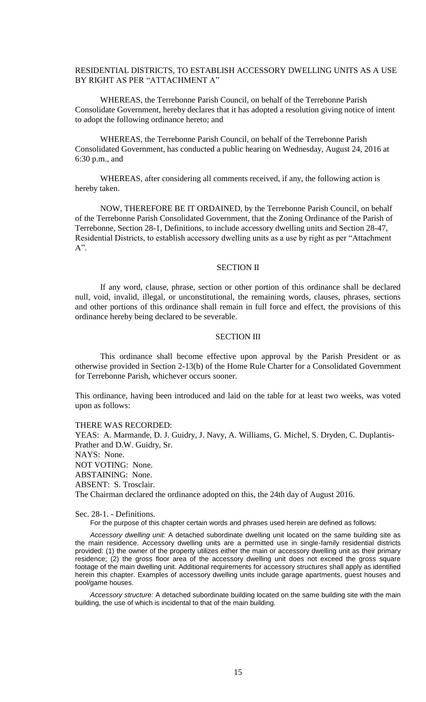# RESIDENTIAL DISTRICTS, TO ESTABLISH ACCESSORY DWELLING UNITS AS A USE BY RIGHT AS PER "ATTACHMENT A"

WHEREAS, the Terrebonne Parish Council, on behalf of the Terrebonne Parish Consolidate Government, hereby declares that it has adopted a resolution giving notice of intent to adopt the following ordinance hereto; and

WHEREAS, the Terrebonne Parish Council, on behalf of the Terrebonne Parish Consolidated Government, has conducted a public hearing on Wednesday, August 24, 2016 at 6:30 p.m., and

WHEREAS, after considering all comments received, if any, the following action is hereby taken.

NOW, THEREFORE BE IT ORDAINED, by the Terrebonne Parish Council, on behalf of the Terrebonne Parish Consolidated Government, that the Zoning Ordinance of the Parish of Terrebonne, Section 28-1, Definitions, to include accessory dwelling units and Section 28-47, Residential Districts, to establish accessory dwelling units as a use by right as per "Attachment  $A$ ".

#### SECTION II

If any word, clause, phrase, section or other portion of this ordinance shall be declared null, void, invalid, illegal, or unconstitutional, the remaining words, clauses, phrases, sections and other portions of this ordinance shall remain in full force and effect, the provisions of this ordinance hereby being declared to be severable.

#### SECTION III

This ordinance shall become effective upon approval by the Parish President or as otherwise provided in Section 2-13(b) of the Home Rule Charter for a Consolidated Government for Terrebonne Parish, whichever occurs sooner.

This ordinance, having been introduced and laid on the table for at least two weeks, was voted upon as follows:

#### THERE WAS RECORDED:

YEAS: A. Marmande, D. J. Guidry, J. Navy, A. Williams, G. Michel, S. Dryden, C. Duplantis-Prather and D.W. Guidry, Sr. NAYS: None. NOT VOTING: None. ABSTAINING: None. ABSENT: S. Trosclair. The Chairman declared the ordinance adopted on this, the 24th day of August 2016.

Sec. 28-1. - Definitions.

For the purpose of this chapter certain words and phrases used herein are defined as follows:

*Accessory dwelling unit:* A detached subordinate dwelling unit located on the same building site as the main residence. Accessory dwelling units are a permitted use in single-family residential districts provided: (1) the owner of the property utilizes either the main or accessory dwelling unit as their primary residence; (2) the gross floor area of the accessory dwelling unit does not exceed the gross square footage of the main dwelling unit. Additional requirements for accessory structures shall apply as identified herein this chapter. Examples of accessory dwelling units include garage apartments, guest houses and pool/game houses.

*Accessory structure:* A detached subordinate building located on the same building site with the main building, the use of which is incidental to that of the main building.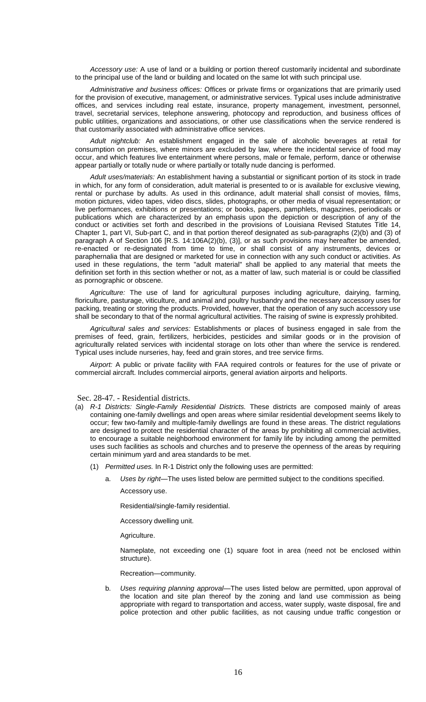*Accessory use:* A use of land or a building or portion thereof customarily incidental and subordinate to the principal use of the land or building and located on the same lot with such principal use.

*Administrative and business offices:* Offices or private firms or organizations that are primarily used for the provision of executive, management, or administrative services. Typical uses include administrative offices, and services including real estate, insurance, property management, investment, personnel, travel, secretarial services, telephone answering, photocopy and reproduction, and business offices of public utilities, organizations and associations, or other use classifications when the service rendered is that customarily associated with administrative office services.

*Adult nightclub:* An establishment engaged in the sale of alcoholic beverages at retail for consumption on premises, where minors are excluded by law, where the incidental service of food may occur, and which features live entertainment where persons, male or female, perform, dance or otherwise appear partially or totally nude or where partially or totally nude dancing is performed.

*Adult uses/materials:* An establishment having a substantial or significant portion of its stock in trade in which, for any form of consideration, adult material is presented to or is available for exclusive viewing, rental or purchase by adults. As used in this ordinance, adult material shall consist of movies, films, motion pictures, video tapes, video discs, slides, photographs, or other media of visual representation; or live performances, exhibitions or presentations; or books, papers, pamphlets, magazines, periodicals or publications which are characterized by an emphasis upon the depiction or description of any of the conduct or activities set forth and described in the provisions of Louisiana Revised Statutes Title 14, Chapter 1, part VI, Sub-part C, and in that portion thereof designated as sub-paragraphs (2)(b) and (3) of paragraph A of Section 106 [R.S. 14:106A(2)(b), (3)], or as such provisions may hereafter be amended, re-enacted or re-designated from time to time, or shall consist of any instruments, devices or paraphernalia that are designed or marketed for use in connection with any such conduct or activities. As used in these regulations, the term "adult material" shall be applied to any material that meets the definition set forth in this section whether or not, as a matter of law, such material is or could be classified as pornographic or obscene.

*Agriculture:* The use of land for agricultural purposes including agriculture, dairying, farming, floriculture, pasturage, viticulture, and animal and poultry husbandry and the necessary accessory uses for packing, treating or storing the products. Provided, however, that the operation of any such accessory use shall be secondary to that of the normal agricultural activities. The raising of swine is expressly prohibited.

*Agricultural sales and services:* Establishments or places of business engaged in sale from the premises of feed, grain, fertilizers, herbicides, pesticides and similar goods or in the provision of agriculturally related services with incidental storage on lots other than where the service is rendered. Typical uses include nurseries, hay, feed and grain stores, and tree service firms.

*Airport:* A public or private facility with FAA required controls or features for the use of private or commercial aircraft. Includes commercial airports, general aviation airports and heliports.

#### Sec. 28-47. - Residential districts.

- (a) *R-1 Districts: Single-Family Residential Districts.* These districts are composed mainly of areas containing one-family dwellings and open areas where similar residential development seems likely to occur; few two-family and multiple-family dwellings are found in these areas. The district regulations are designed to protect the residential character of the areas by prohibiting all commercial activities, to encourage a suitable neighborhood environment for family life by including among the permitted uses such facilities as schools and churches and to preserve the openness of the areas by requiring certain minimum yard and area standards to be met.
	- (1) *Permitted uses.* In R-1 District only the following uses are permitted:
		- a. *Uses by right—*The uses listed below are permitted subject to the conditions specified. Accessory use.

Residential/single-family residential.

Accessory dwelling unit.

Agriculture.

Nameplate, not exceeding one (1) square foot in area (need not be enclosed within structure).

Recreation—community.

b. *Uses requiring planning approval—*The uses listed below are permitted, upon approval of the location and site plan thereof by the zoning and land use commission as being appropriate with regard to transportation and access, water supply, waste disposal, fire and police protection and other public facilities, as not causing undue traffic congestion or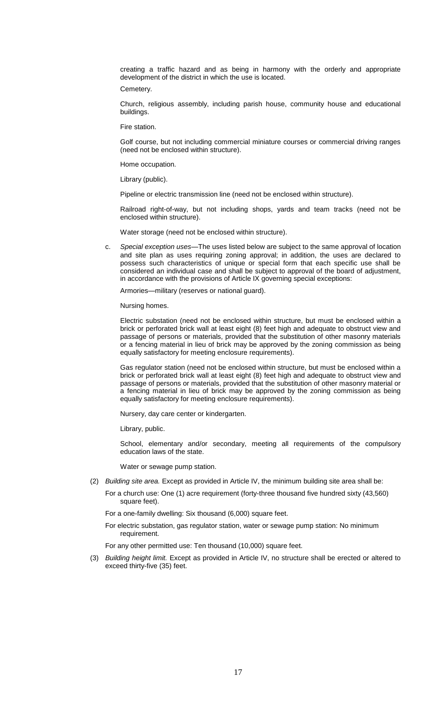creating a traffic hazard and as being in harmony with the orderly and appropriate development of the district in which the use is located.

Cemetery.

Church, religious assembly, including parish house, community house and educational buildings.

Fire station.

Golf course, but not including commercial miniature courses or commercial driving ranges (need not be enclosed within structure).

Home occupation.

Library (public).

Pipeline or electric transmission line (need not be enclosed within structure).

Railroad right-of-way, but not including shops, yards and team tracks (need not be enclosed within structure).

Water storage (need not be enclosed within structure).

c. *Special exception uses—*The uses listed below are subject to the same approval of location and site plan as uses requiring zoning approval; in addition, the uses are declared to possess such characteristics of unique or special form that each specific use shall be considered an individual case and shall be subject to approval of the board of adjustment, in accordance with the provisions of Article IX governing special exceptions:

Armories—military (reserves or national guard).

Nursing homes.

Electric substation (need not be enclosed within structure, but must be enclosed within a brick or perforated brick wall at least eight (8) feet high and adequate to obstruct view and passage of persons or materials, provided that the substitution of other masonry materials or a fencing material in lieu of brick may be approved by the zoning commission as being equally satisfactory for meeting enclosure requirements).

Gas regulator station (need not be enclosed within structure, but must be enclosed within a brick or perforated brick wall at least eight (8) feet high and adequate to obstruct view and passage of persons or materials, provided that the substitution of other masonry material or a fencing material in lieu of brick may be approved by the zoning commission as being equally satisfactory for meeting enclosure requirements).

Nursery, day care center or kindergarten.

Library, public.

School, elementary and/or secondary, meeting all requirements of the compulsory education laws of the state.

Water or sewage pump station.

(2) *Building site area.* Except as provided in Article IV, the minimum building site area shall be:

For a church use: One (1) acre requirement (forty-three thousand five hundred sixty (43,560) square feet).

For a one-family dwelling: Six thousand (6,000) square feet.

For electric substation, gas regulator station, water or sewage pump station: No minimum requirement.

For any other permitted use: Ten thousand (10,000) square feet.

(3) *Building height limit.* Except as provided in Article IV, no structure shall be erected or altered to exceed thirty-five (35) feet.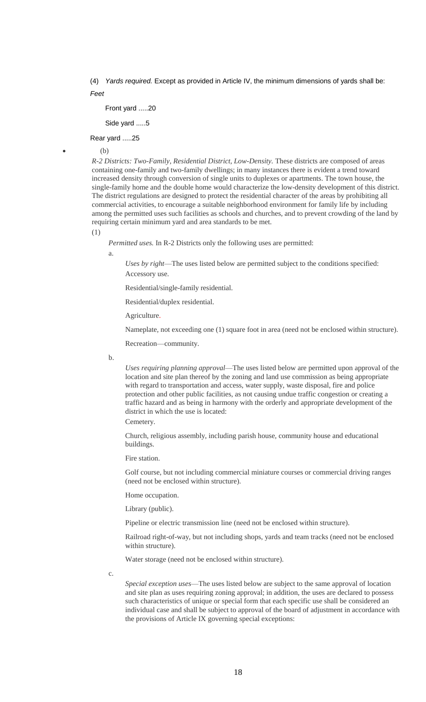(4) *Yards required.* Except as provided in Article IV, the minimum dimensions of yards shall be: *Feet*

Front yard .....20

Side yard .....5

Rear yard .....25

(b)

*R-2 Districts: Two-Family, Residential District, Low-Density.* These districts are composed of areas containing one-family and two-family dwellings; in many instances there is evident a trend toward increased density through conversion of single units to duplexes or apartments. The town house, the single-family home and the double home would characterize the low-density development of this district. The district regulations are designed to protect the residential character of the areas by prohibiting all commercial activities, to encourage a suitable neighborhood environment for family life by including among the permitted uses such facilities as schools and churches, and to prevent crowding of the land by requiring certain minimum yard and area standards to be met.

(1)

*Permitted uses.* In R-2 Districts only the following uses are permitted:

a.

*Uses by right*—The uses listed below are permitted subject to the conditions specified: Accessory use.

Residential/single-family residential.

Residential/duplex residential.

Agriculture.

Nameplate, not exceeding one (1) square foot in area (need not be enclosed within structure).

Recreation—community.

b.

*Uses requiring planning approval*—The uses listed below are permitted upon approval of the location and site plan thereof by the zoning and land use commission as being appropriate with regard to transportation and access, water supply, waste disposal, fire and police protection and other public facilities, as not causing undue traffic congestion or creating a traffic hazard and as being in harmony with the orderly and appropriate development of the district in which the use is located:

Cemetery.

Church, religious assembly, including parish house, community house and educational buildings.

Fire station.

Golf course, but not including commercial miniature courses or commercial driving ranges (need not be enclosed within structure).

Home occupation.

Library (public).

Pipeline or electric transmission line (need not be enclosed within structure).

Railroad right-of-way, but not including shops, yards and team tracks (need not be enclosed within structure).

Water storage (need not be enclosed within structure).

c.

*Special exception uses*—The uses listed below are subject to the same approval of location and site plan as uses requiring zoning approval; in addition, the uses are declared to possess such characteristics of unique or special form that each specific use shall be considered an individual case and shall be subject to approval of the board of adjustment in accordance with the provisions of Article IX governing special exceptions: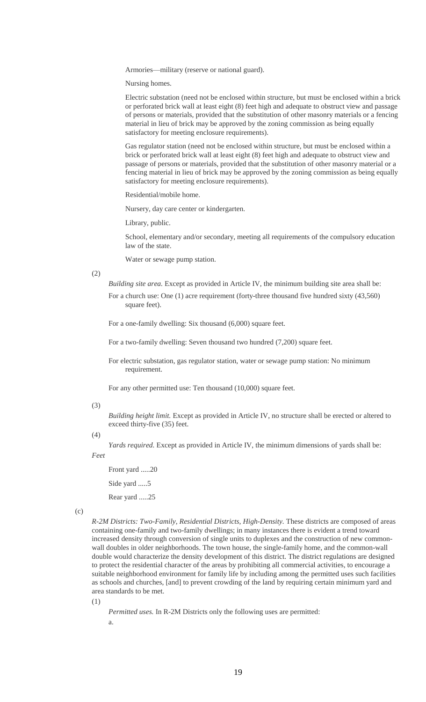Armories—military (reserve or national guard).

Nursing homes.

Electric substation (need not be enclosed within structure, but must be enclosed within a brick or perforated brick wall at least eight (8) feet high and adequate to obstruct view and passage of persons or materials, provided that the substitution of other masonry materials or a fencing material in lieu of brick may be approved by the zoning commission as being equally satisfactory for meeting enclosure requirements).

Gas regulator station (need not be enclosed within structure, but must be enclosed within a brick or perforated brick wall at least eight (8) feet high and adequate to obstruct view and passage of persons or materials, provided that the substitution of other masonry material or a fencing material in lieu of brick may be approved by the zoning commission as being equally satisfactory for meeting enclosure requirements).

Residential/mobile home.

Nursery, day care center or kindergarten.

Library, public.

School, elementary and/or secondary, meeting all requirements of the compulsory education law of the state.

Water or sewage pump station.

(2)

*Building site area.* Except as provided in Article IV, the minimum building site area shall be:

For a church use: One (1) acre requirement (forty-three thousand five hundred sixty (43,560) square feet).

For a one-family dwelling: Six thousand (6,000) square feet.

For a two-family dwelling: Seven thousand two hundred (7,200) square feet.

For electric substation, gas regulator station, water or sewage pump station: No minimum requirement.

For any other permitted use: Ten thousand (10,000) square feet.

#### (3)

*Building height limit.* Except as provided in Article IV, no structure shall be erected or altered to exceed thirty-five (35) feet.

#### $(4)$

*Yards required.* Except as provided in Article IV, the minimum dimensions of yards shall be:

*Feet*

Front yard .....20

Side yard .....5

Rear yard .....25

```
(c)
```
*R-2M Districts: Two-Family, Residential Districts, High-Density.* These districts are composed of areas containing one-family and two-family dwellings; in many instances there is evident a trend toward increased density through conversion of single units to duplexes and the construction of new commonwall doubles in older neighborhoods. The town house, the single-family home, and the common-wall double would characterize the density development of this district. The district regulations are designed to protect the residential character of the areas by prohibiting all commercial activities, to encourage a suitable neighborhood environment for family life by including among the permitted uses such facilities as schools and churches, [and] to prevent crowding of the land by requiring certain minimum yard and area standards to be met.

(1)

*Permitted uses.* In R-2M Districts only the following uses are permitted:

a.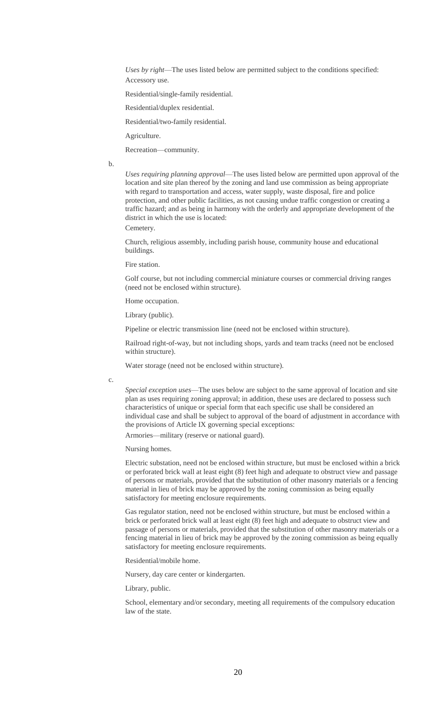*Uses by right*—The uses listed below are permitted subject to the conditions specified: Accessory use.

Residential/single-family residential.

Residential/duplex residential.

Residential/two-family residential.

Agriculture.

Recreation—community.

b.

*Uses requiring planning approval*—The uses listed below are permitted upon approval of the location and site plan thereof by the zoning and land use commission as being appropriate with regard to transportation and access, water supply, waste disposal, fire and police protection, and other public facilities, as not causing undue traffic congestion or creating a traffic hazard; and as being in harmony with the orderly and appropriate development of the district in which the use is located:

Cemetery.

Church, religious assembly, including parish house, community house and educational buildings.

Fire station.

Golf course, but not including commercial miniature courses or commercial driving ranges (need not be enclosed within structure).

Home occupation.

Library (public).

Pipeline or electric transmission line (need not be enclosed within structure).

Railroad right-of-way, but not including shops, yards and team tracks (need not be enclosed within structure).

Water storage (need not be enclosed within structure).

c.

*Special exception uses*—The uses below are subject to the same approval of location and site plan as uses requiring zoning approval; in addition, these uses are declared to possess such characteristics of unique or special form that each specific use shall be considered an individual case and shall be subject to approval of the board of adjustment in accordance with the provisions of Article IX governing special exceptions:

Armories—military (reserve or national guard).

Nursing homes.

Electric substation, need not be enclosed within structure, but must be enclosed within a brick or perforated brick wall at least eight (8) feet high and adequate to obstruct view and passage of persons or materials, provided that the substitution of other masonry materials or a fencing material in lieu of brick may be approved by the zoning commission as being equally satisfactory for meeting enclosure requirements.

Gas regulator station, need not be enclosed within structure, but must be enclosed within a brick or perforated brick wall at least eight (8) feet high and adequate to obstruct view and passage of persons or materials, provided that the substitution of other masonry materials or a fencing material in lieu of brick may be approved by the zoning commission as being equally satisfactory for meeting enclosure requirements.

Residential/mobile home.

Nursery, day care center or kindergarten.

Library, public.

School, elementary and/or secondary, meeting all requirements of the compulsory education law of the state.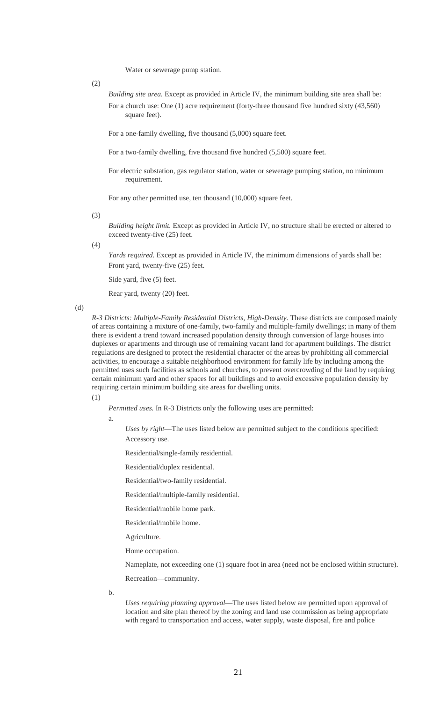Water or sewerage pump station.

(2)

*Building site area.* Except as provided in Article IV, the minimum building site area shall be: For a church use: One (1) acre requirement (forty-three thousand five hundred sixty (43,560) square feet).

For a one-family dwelling, five thousand (5,000) square feet.

For a two-family dwelling, five thousand five hundred (5,500) square feet.

For electric substation, gas regulator station, water or sewerage pumping station, no minimum requirement.

For any other permitted use, ten thousand (10,000) square feet.

(3)

*Building height limit.* Except as provided in Article IV, no structure shall be erected or altered to exceed twenty-five (25) feet.

(4)

*Yards required.* Except as provided in Article IV, the minimum dimensions of yards shall be: Front yard, twenty-five (25) feet.

Side yard, five (5) feet.

Rear yard, twenty (20) feet.

(d)

*R-3 Districts: Multiple-Family Residential Districts, High-Density.* These districts are composed mainly of areas containing a mixture of one-family, two-family and multiple-family dwellings; in many of them there is evident a trend toward increased population density through conversion of large houses into duplexes or apartments and through use of remaining vacant land for apartment buildings. The district regulations are designed to protect the residential character of the areas by prohibiting all commercial activities, to encourage a suitable neighborhood environment for family life by including among the permitted uses such facilities as schools and churches, to prevent overcrowding of the land by requiring certain minimum yard and other spaces for all buildings and to avoid excessive population density by requiring certain minimum building site areas for dwelling units.

(1)

*Permitted uses.* In R-3 Districts only the following uses are permitted:

a.

*Uses by right*—The uses listed below are permitted subject to the conditions specified: Accessory use.

Residential/single-family residential.

Residential/duplex residential.

Residential/two-family residential.

Residential/multiple-family residential.

Residential/mobile home park.

Residential/mobile home.

Agriculture.

Home occupation.

Nameplate, not exceeding one (1) square foot in area (need not be enclosed within structure).

Recreation—community.

b.

*Uses requiring planning approval*—The uses listed below are permitted upon approval of location and site plan thereof by the zoning and land use commission as being appropriate with regard to transportation and access, water supply, waste disposal, fire and police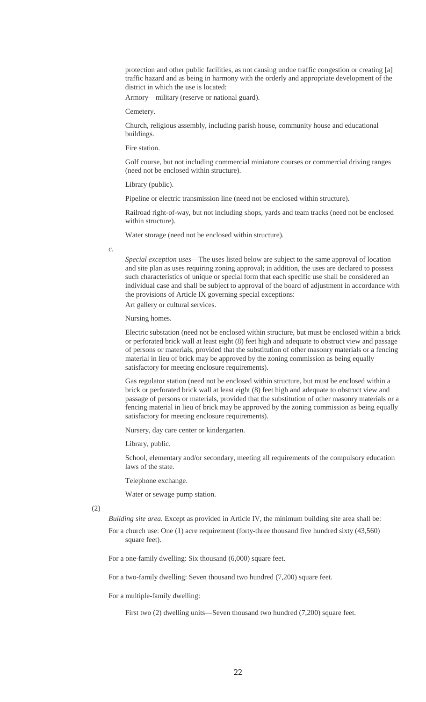protection and other public facilities, as not causing undue traffic congestion or creating [a] traffic hazard and as being in harmony with the orderly and appropriate development of the district in which the use is located:

Armory—military (reserve or national guard).

Cemetery.

Church, religious assembly, including parish house, community house and educational buildings.

Fire station.

Golf course, but not including commercial miniature courses or commercial driving ranges (need not be enclosed within structure).

Library (public).

Pipeline or electric transmission line (need not be enclosed within structure).

Railroad right-of-way, but not including shops, yards and team tracks (need not be enclosed within structure).

Water storage (need not be enclosed within structure).

c.

*Special exception uses*—The uses listed below are subject to the same approval of location and site plan as uses requiring zoning approval; in addition, the uses are declared to possess such characteristics of unique or special form that each specific use shall be considered an individual case and shall be subject to approval of the board of adjustment in accordance with the provisions of Article IX governing special exceptions: Art gallery or cultural services.

Nursing homes.

Electric substation (need not be enclosed within structure, but must be enclosed within a brick or perforated brick wall at least eight (8) feet high and adequate to obstruct view and passage of persons or materials, provided that the substitution of other masonry materials or a fencing material in lieu of brick may be approved by the zoning commission as being equally satisfactory for meeting enclosure requirements).

Gas regulator station (need not be enclosed within structure, but must be enclosed within a brick or perforated brick wall at least eight (8) feet high and adequate to obstruct view and passage of persons or materials, provided that the substitution of other masonry materials or a fencing material in lieu of brick may be approved by the zoning commission as being equally satisfactory for meeting enclosure requirements).

Nursery, day care center or kindergarten.

Library, public.

School, elementary and/or secondary, meeting all requirements of the compulsory education laws of the state.

Telephone exchange.

Water or sewage pump station.

(2)

*Building site area.* Except as provided in Article IV, the minimum building site area shall be:

For a church use: One (1) acre requirement (forty-three thousand five hundred sixty (43,560) square feet).

For a one-family dwelling: Six thousand (6,000) square feet.

For a two-family dwelling: Seven thousand two hundred (7,200) square feet.

For a multiple-family dwelling:

First two (2) dwelling units—Seven thousand two hundred (7,200) square feet.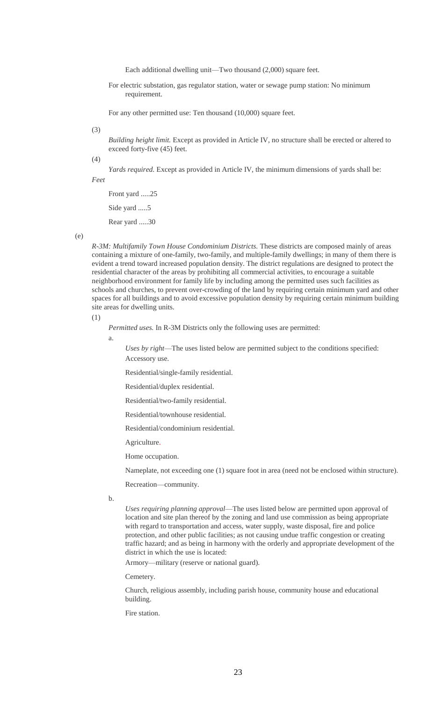Each additional dwelling unit—Two thousand (2,000) square feet.

For electric substation, gas regulator station, water or sewage pump station: No minimum requirement.

For any other permitted use: Ten thousand (10,000) square feet.

#### (3)

*Building height limit.* Except as provided in Article IV, no structure shall be erected or altered to exceed forty-five (45) feet.

(4)

*Yards required.* Except as provided in Article IV, the minimum dimensions of yards shall be:

*Feet*

Front yard .....25 Side yard .....5 Rear yard .....30

(e)

*R-3M: Multifamily Town House Condominium Districts.* These districts are composed mainly of areas containing a mixture of one-family, two-family, and multiple-family dwellings; in many of them there is evident a trend toward increased population density. The district regulations are designed to protect the residential character of the areas by prohibiting all commercial activities, to encourage a suitable neighborhood environment for family life by including among the permitted uses such facilities as schools and churches, to prevent over-crowding of the land by requiring certain minimum yard and other spaces for all buildings and to avoid excessive population density by requiring certain minimum building site areas for dwelling units.

(1)

*Permitted uses.* In R-3M Districts only the following uses are permitted:

a.

*Uses by right*—The uses listed below are permitted subject to the conditions specified: Accessory use.

Residential/single-family residential.

Residential/duplex residential.

Residential/two-family residential.

Residential/townhouse residential.

Residential/condominium residential.

Agriculture.

Home occupation.

Nameplate, not exceeding one (1) square foot in area (need not be enclosed within structure).

Recreation—community.

b.

*Uses requiring planning approval*—The uses listed below are permitted upon approval of location and site plan thereof by the zoning and land use commission as being appropriate with regard to transportation and access, water supply, waste disposal, fire and police protection, and other public facilities; as not causing undue traffic congestion or creating traffic hazard; and as being in harmony with the orderly and appropriate development of the district in which the use is located:

Armory—military (reserve or national guard).

Cemetery.

Church, religious assembly, including parish house, community house and educational building.

Fire station.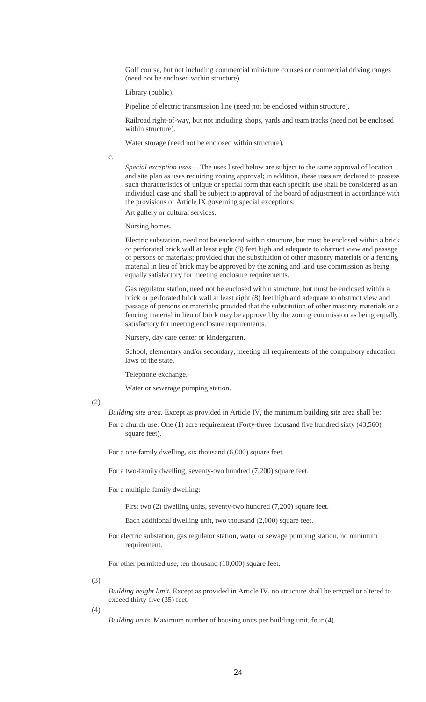Golf course, but not including commercial miniature courses or commercial driving ranges (need not be enclosed within structure).

Library (public).

Pipeline of electric transmission line (need not be enclosed within structure).

Railroad right-of-way, but not including shops, yards and team tracks (need not be enclosed within structure).

Water storage (need not be enclosed within structure).

c.

*Special exception uses*— The uses listed below are subject to the same approval of location and site plan as uses requiring zoning approval; in addition, these uses are declared to possess such characteristics of unique or special form that each specific use shall be considered as an individual case and shall be subject to approval of the board of adjustment in accordance with the provisions of Article IX governing special exceptions:

Art gallery or cultural services.

Nursing homes.

Electric substation, need not be enclosed within structure, but must be enclosed within a brick or perforated brick wall at least eight (8) feet high and adequate to obstruct view and passage of persons or materials; provided that the substitution of other masonry materials or a fencing material in lieu of brick may be approved by the zoning and land use commission as being equally satisfactory for meeting enclosure requirements.

Gas regulator station, need not be enclosed within structure, but must be enclosed within a brick or perforated brick wall at least eight (8) feet high and adequate to obstruct view and passage of persons or materials; provided that the substitution of other masonry materials or a fencing material in lieu of brick may be approved by the zoning commission as being equally satisfactory for meeting enclosure requirements.

Nursery, day care center or kindergarten.

School, elementary and/or secondary, meeting all requirements of the compulsory education laws of the state.

Telephone exchange.

Water or sewerage pumping station.

(2)

*Building site area.* Except as provided in Article IV, the minimum building site area shall be:

For a church use: One (1) acre requirement (Forty-three thousand five hundred sixty (43,560) square feet).

For a one-family dwelling, six thousand (6,000) square feet.

For a two-family dwelling, seventy-two hundred (7,200) square feet.

For a multiple-family dwelling:

First two (2) dwelling units, seventy-two hundred (7,200) square feet.

Each additional dwelling unit, two thousand (2,000) square feet.

For electric substation, gas regulator station, water or sewage pumping station, no minimum requirement.

For other permitted use, ten thousand (10,000) square feet.

(3)

*Building height limit.* Except as provided in Article IV, no structure shall be erected or altered to exceed thirty-five (35) feet.

(4)

*Building units.* Maximum number of housing units per building unit, four (4).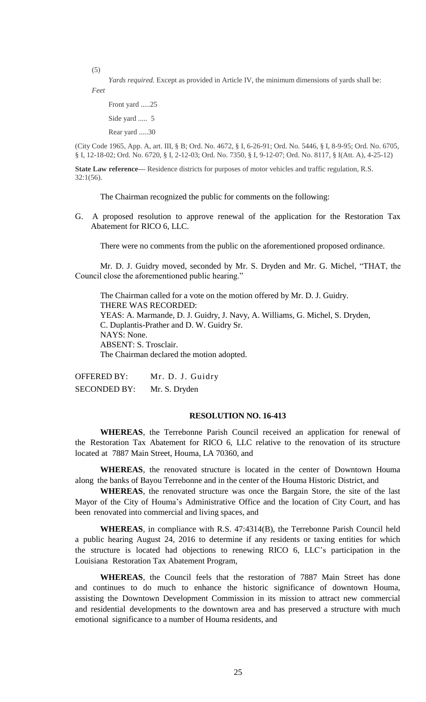(5)

*Yards required.* Except as provided in Article IV, the minimum dimensions of yards shall be: *Feet*

Front yard .....25

Side yard ..... 5

Rear yard .....30

(City Code 1965, App. A, art. III, § B; Ord. No. 4672, § I, 6-26-91; Ord. No. 5446, § I, 8-9-95; Ord. No. 6705, § I, 12-18-02; Ord. No. 6720, § I, 2-12-03; Ord. No. 7350, § I, 9-12-07; Ord. No. 8117, § I(Att. A), 4-25-12)

**State Law reference—** Residence districts for purposes of motor vehicles and traffic regulation, R.S.  $32:1(56)$ .

The Chairman recognized the public for comments on the following:

G. A proposed resolution to approve renewal of the application for the Restoration Tax Abatement for RICO 6, LLC.

There were no comments from the public on the aforementioned proposed ordinance.

Mr. D. J. Guidry moved, seconded by Mr. S. Dryden and Mr. G. Michel, "THAT, the Council close the aforementioned public hearing."

The Chairman called for a vote on the motion offered by Mr. D. J. Guidry. THERE WAS RECORDED: YEAS: A. Marmande, D. J. Guidry, J. Navy, A. Williams, G. Michel, S. Dryden, C. Duplantis-Prather and D. W. Guidry Sr. NAYS: None. ABSENT: S. Trosclair. The Chairman declared the motion adopted.

OFFERED BY: Mr. D. J. Guidry SECONDED BY: Mr. S. Dryden

#### **RESOLUTION NO. 16-413**

**WHEREAS**, the Terrebonne Parish Council received an application for renewal of the Restoration Tax Abatement for RICO 6, LLC relative to the renovation of its structure located at 7887 Main Street, Houma, LA 70360, and

**WHEREAS**, the renovated structure is located in the center of Downtown Houma along the banks of Bayou Terrebonne and in the center of the Houma Historic District, and

**WHEREAS**, the renovated structure was once the Bargain Store, the site of the last Mayor of the City of Houma's Administrative Office and the location of City Court, and has been renovated into commercial and living spaces, and

**WHEREAS**, in compliance with R.S. 47:4314(B), the Terrebonne Parish Council held a public hearing August 24, 2016 to determine if any residents or taxing entities for which the structure is located had objections to renewing RICO 6, LLC's participation in the Louisiana Restoration Tax Abatement Program,

**WHEREAS**, the Council feels that the restoration of 7887 Main Street has done and continues to do much to enhance the historic significance of downtown Houma, assisting the Downtown Development Commission in its mission to attract new commercial and residential developments to the downtown area and has preserved a structure with much emotional significance to a number of Houma residents, and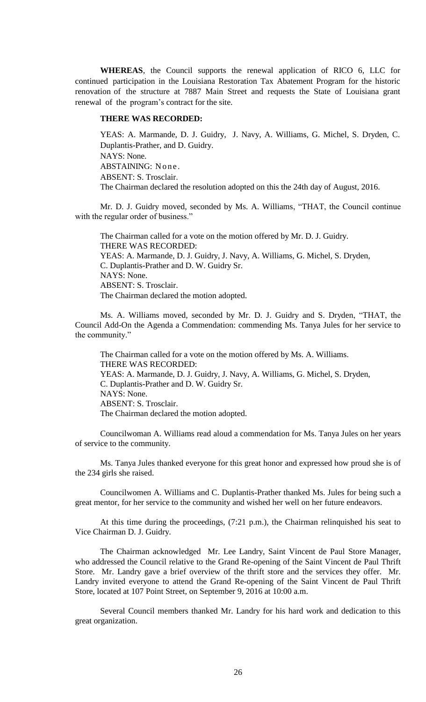**WHEREAS**, the Council supports the renewal application of RICO 6, LLC for continued participation in the Louisiana Restoration Tax Abatement Program for the historic renovation of the structure at 7887 Main Street and requests the State of Louisiana grant renewal of the program's contract for the site.

#### **THERE WAS RECORDED:**

YEAS: A. Marmande, D. J. Guidry, J. Navy, A. Williams, G. Michel, S. Dryden, C. Duplantis-Prather, and D. Guidry. NAYS: None. ABSTAINING: None. ABSENT: S. Trosclair. The Chairman declared the resolution adopted on this the 24th day of August, 2016.

Mr. D. J. Guidry moved, seconded by Ms. A. Williams, "THAT, the Council continue with the regular order of business."

The Chairman called for a vote on the motion offered by Mr. D. J. Guidry. THERE WAS RECORDED: YEAS: A. Marmande, D. J. Guidry, J. Navy, A. Williams, G. Michel, S. Dryden, C. Duplantis-Prather and D. W. Guidry Sr. NAYS: None. ABSENT: S. Trosclair. The Chairman declared the motion adopted.

Ms. A. Williams moved, seconded by Mr. D. J. Guidry and S. Dryden, "THAT, the Council Add-On the Agenda a Commendation: commending Ms. Tanya Jules for her service to the community."

The Chairman called for a vote on the motion offered by Ms. A. Williams. THERE WAS RECORDED: YEAS: A. Marmande, D. J. Guidry, J. Navy, A. Williams, G. Michel, S. Dryden, C. Duplantis-Prather and D. W. Guidry Sr. NAYS: None. ABSENT: S. Trosclair. The Chairman declared the motion adopted.

Councilwoman A. Williams read aloud a commendation for Ms. Tanya Jules on her years of service to the community.

Ms. Tanya Jules thanked everyone for this great honor and expressed how proud she is of the 234 girls she raised.

Councilwomen A. Williams and C. Duplantis-Prather thanked Ms. Jules for being such a great mentor, for her service to the community and wished her well on her future endeavors.

At this time during the proceedings, (7:21 p.m.), the Chairman relinquished his seat to Vice Chairman D. J. Guidry.

The Chairman acknowledged Mr. Lee Landry, Saint Vincent de Paul Store Manager, who addressed the Council relative to the Grand Re-opening of the Saint Vincent de Paul Thrift Store. Mr. Landry gave a brief overview of the thrift store and the services they offer. Mr. Landry invited everyone to attend the Grand Re-opening of the Saint Vincent de Paul Thrift Store, located at 107 Point Street, on September 9, 2016 at 10:00 a.m.

Several Council members thanked Mr. Landry for his hard work and dedication to this great organization.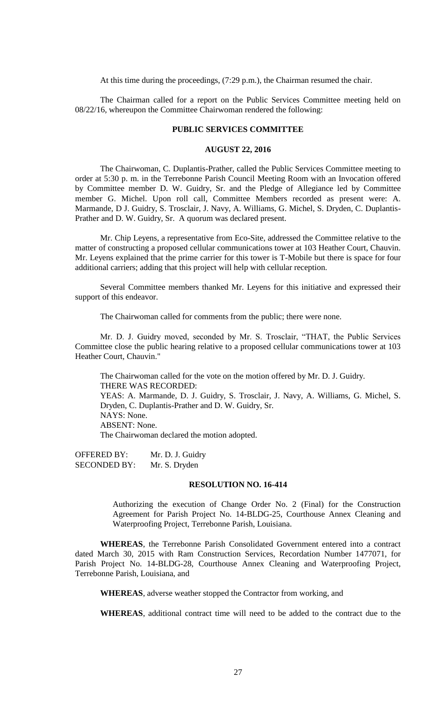At this time during the proceedings, (7:29 p.m.), the Chairman resumed the chair.

The Chairman called for a report on the Public Services Committee meeting held on 08/22/16, whereupon the Committee Chairwoman rendered the following:

# **PUBLIC SERVICES COMMITTEE**

## **AUGUST 22, 2016**

The Chairwoman, C. Duplantis-Prather, called the Public Services Committee meeting to order at 5:30 p. m. in the Terrebonne Parish Council Meeting Room with an Invocation offered by Committee member D. W. Guidry, Sr. and the Pledge of Allegiance led by Committee member G. Michel. Upon roll call, Committee Members recorded as present were: A. Marmande, D J. Guidry, S. Trosclair, J. Navy, A. Williams, G. Michel, S. Dryden, C. Duplantis-Prather and D. W. Guidry, Sr. A quorum was declared present.

Mr. Chip Leyens, a representative from Eco-Site, addressed the Committee relative to the matter of constructing a proposed cellular communications tower at 103 Heather Court, Chauvin. Mr. Leyens explained that the prime carrier for this tower is T-Mobile but there is space for four additional carriers; adding that this project will help with cellular reception.

Several Committee members thanked Mr. Leyens for this initiative and expressed their support of this endeavor.

The Chairwoman called for comments from the public; there were none.

Mr. D. J. Guidry moved, seconded by Mr. S. Trosclair, "THAT, the Public Services Committee close the public hearing relative to a proposed cellular communications tower at 103 Heather Court, Chauvin."

The Chairwoman called for the vote on the motion offered by Mr. D. J. Guidry. THERE WAS RECORDED: YEAS: A. Marmande, D. J. Guidry, S. Trosclair, J. Navy, A. Williams, G. Michel, S. Dryden, C. Duplantis-Prather and D. W. Guidry, Sr. NAYS: None. ABSENT: None. The Chairwoman declared the motion adopted.

OFFERED BY: Mr. D. J. Guidry SECONDED BY: Mr. S. Dryden

#### **RESOLUTION NO. 16-414**

Authorizing the execution of Change Order No. 2 (Final) for the Construction Agreement for Parish Project No. 14-BLDG-25, Courthouse Annex Cleaning and Waterproofing Project, Terrebonne Parish, Louisiana.

**WHEREAS**, the Terrebonne Parish Consolidated Government entered into a contract dated March 30, 2015 with Ram Construction Services, Recordation Number 1477071, for Parish Project No. 14-BLDG-28, Courthouse Annex Cleaning and Waterproofing Project, Terrebonne Parish, Louisiana, and

**WHEREAS**, adverse weather stopped the Contractor from working, and

**WHEREAS**, additional contract time will need to be added to the contract due to the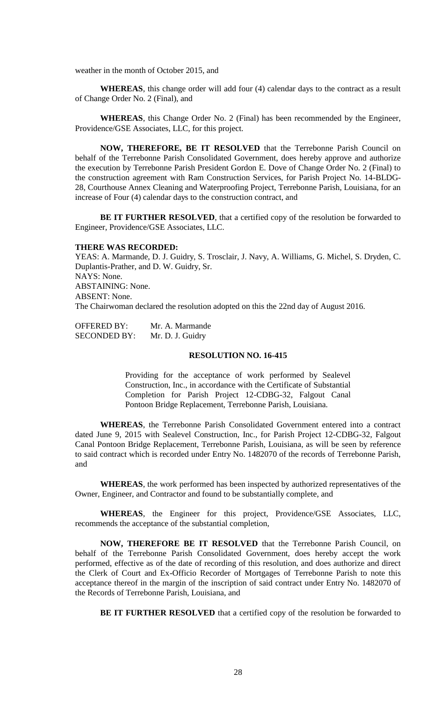weather in the month of October 2015, and

**WHEREAS**, this change order will add four (4) calendar days to the contract as a result of Change Order No. 2 (Final), and

**WHEREAS**, this Change Order No. 2 (Final) has been recommended by the Engineer, Providence/GSE Associates, LLC, for this project.

**NOW, THEREFORE, BE IT RESOLVED** that the Terrebonne Parish Council on behalf of the Terrebonne Parish Consolidated Government, does hereby approve and authorize the execution by Terrebonne Parish President Gordon E. Dove of Change Order No. 2 (Final) to the construction agreement with Ram Construction Services, for Parish Project No. 14-BLDG-28, Courthouse Annex Cleaning and Waterproofing Project, Terrebonne Parish, Louisiana, for an increase of Four (4) calendar days to the construction contract, and

BE IT FURTHER RESOLVED, that a certified copy of the resolution be forwarded to Engineer, Providence/GSE Associates, LLC.

# **THERE WAS RECORDED:**

YEAS: A. Marmande, D. J. Guidry, S. Trosclair, J. Navy, A. Williams, G. Michel, S. Dryden, C. Duplantis-Prather, and D. W. Guidry, Sr. NAYS: None. ABSTAINING: None. ABSENT: None. The Chairwoman declared the resolution adopted on this the 22nd day of August 2016.

| <b>OFFERED BY:</b>  | Mr. A. Marmande  |
|---------------------|------------------|
| <b>SECONDED BY:</b> | Mr. D. J. Guidry |

#### **RESOLUTION NO. 16-415**

Providing for the acceptance of work performed by Sealevel Construction, Inc., in accordance with the Certificate of Substantial Completion for Parish Project 12-CDBG-32, Falgout Canal Pontoon Bridge Replacement, Terrebonne Parish, Louisiana.

**WHEREAS**, the Terrebonne Parish Consolidated Government entered into a contract dated June 9, 2015 with Sealevel Construction, Inc., for Parish Project 12-CDBG-32, Falgout Canal Pontoon Bridge Replacement, Terrebonne Parish, Louisiana, as will be seen by reference to said contract which is recorded under Entry No. 1482070 of the records of Terrebonne Parish, and

**WHEREAS**, the work performed has been inspected by authorized representatives of the Owner, Engineer, and Contractor and found to be substantially complete, and

**WHEREAS**, the Engineer for this project, Providence/GSE Associates, LLC, recommends the acceptance of the substantial completion,

**NOW, THEREFORE BE IT RESOLVED** that the Terrebonne Parish Council, on behalf of the Terrebonne Parish Consolidated Government, does hereby accept the work performed, effective as of the date of recording of this resolution, and does authorize and direct the Clerk of Court and Ex-Officio Recorder of Mortgages of Terrebonne Parish to note this acceptance thereof in the margin of the inscription of said contract under Entry No. 1482070 of the Records of Terrebonne Parish, Louisiana, and

**BE IT FURTHER RESOLVED** that a certified copy of the resolution be forwarded to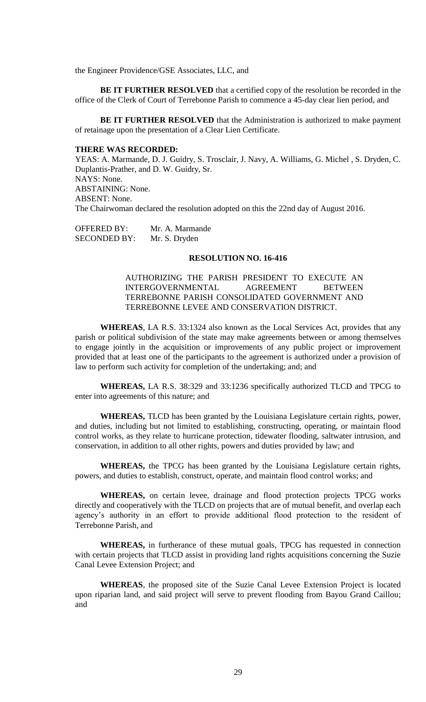the Engineer Providence/GSE Associates, LLC, and

**BE IT FURTHER RESOLVED** that a certified copy of the resolution be recorded in the office of the Clerk of Court of Terrebonne Parish to commence a 45-day clear lien period, and

**BE IT FURTHER RESOLVED** that the Administration is authorized to make payment of retainage upon the presentation of a Clear Lien Certificate.

#### **THERE WAS RECORDED:**

YEAS: A. Marmande, D. J. Guidry, S. Trosclair, J. Navy, A. Williams, G. Michel , S. Dryden, C. Duplantis-Prather, and D. W. Guidry, Sr. NAYS: None. ABSTAINING: None. ABSENT: None. The Chairwoman declared the resolution adopted on this the 22nd day of August 2016.

OFFERED BY: Mr. A. Marmande SECONDED BY: Mr. S. Dryden

### **RESOLUTION NO. 16-416**

AUTHORIZING THE PARISH PRESIDENT TO EXECUTE AN INTERGOVERNMENTAL AGREEMENT BETWEEN TERREBONNE PARISH CONSOLIDATED GOVERNMENT AND TERREBONNE LEVEE AND CONSERVATION DISTRICT.

**WHEREAS**, LA R.S. 33:1324 also known as the Local Services Act, provides that any parish or political subdivision of the state may make agreements between or among themselves to engage jointly in the acquisition or improvements of any public project or improvement provided that at least one of the participants to the agreement is authorized under a provision of law to perform such activity for completion of the undertaking; and; and

**WHEREAS,** LA R.S. 38:329 and 33:1236 specifically authorized TLCD and TPCG to enter into agreements of this nature; and

**WHEREAS,** TLCD has been granted by the Louisiana Legislature certain rights, power, and duties, including but not limited to establishing, constructing, operating, or maintain flood control works, as they relate to hurricane protection, tidewater flooding, saltwater intrusion, and conservation, in addition to all other rights, powers and duties provided by law; and

**WHEREAS,** the TPCG has been granted by the Louisiana Legislature certain rights, powers, and duties to establish, construct, operate, and maintain flood control works; and

**WHEREAS,** on certain levee, drainage and flood protection projects TPCG works directly and cooperatively with the TLCD on projects that are of mutual benefit, and overlap each agency's authority in an effort to provide additional flood protection to the resident of Terrebonne Parish, and

**WHEREAS,** in furtherance of these mutual goals, TPCG has requested in connection with certain projects that TLCD assist in providing land rights acquisitions concerning the Suzie Canal Levee Extension Project; and

**WHEREAS**, the proposed site of the Suzie Canal Levee Extension Project is located upon riparian land, and said project will serve to prevent flooding from Bayou Grand Caillou; and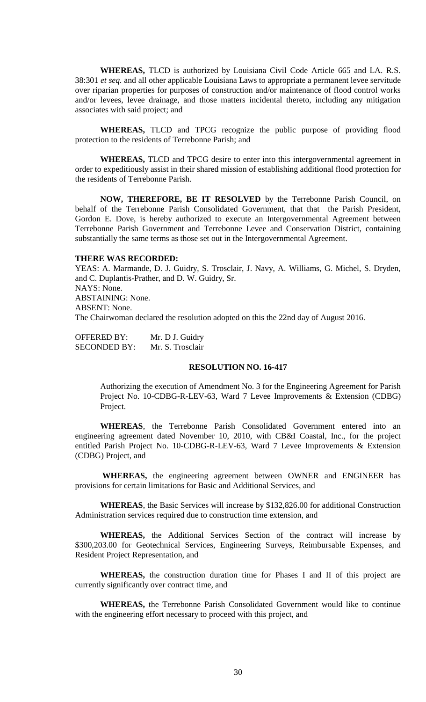**WHEREAS,** TLCD is authorized by Louisiana Civil Code Article 665 and LA. R.S. 38:301 *et seq.* and all other applicable Louisiana Laws to appropriate a permanent levee servitude over riparian properties for purposes of construction and/or maintenance of flood control works and/or levees, levee drainage, and those matters incidental thereto, including any mitigation associates with said project; and

**WHEREAS,** TLCD and TPCG recognize the public purpose of providing flood protection to the residents of Terrebonne Parish; and

**WHEREAS,** TLCD and TPCG desire to enter into this intergovernmental agreement in order to expeditiously assist in their shared mission of establishing additional flood protection for the residents of Terrebonne Parish.

**NOW, THEREFORE, BE IT RESOLVED** by the Terrebonne Parish Council, on behalf of the Terrebonne Parish Consolidated Government, that that the Parish President, Gordon E. Dove, is hereby authorized to execute an Intergovernmental Agreement between Terrebonne Parish Government and Terrebonne Levee and Conservation District, containing substantially the same terms as those set out in the Intergovernmental Agreement.

## **THERE WAS RECORDED:**

YEAS: A. Marmande, D. J. Guidry, S. Trosclair, J. Navy, A. Williams, G. Michel, S. Dryden, and C. Duplantis-Prather, and D. W. Guidry, Sr. NAYS: None. ABSTAINING: None. ABSENT: None. The Chairwoman declared the resolution adopted on this the 22nd day of August 2016.

| <b>OFFERED BY:</b>  | Mr. D J. Guidry  |
|---------------------|------------------|
| <b>SECONDED BY:</b> | Mr. S. Trosclair |

# **RESOLUTION NO. 16-417**

Authorizing the execution of Amendment No. 3 for the Engineering Agreement for Parish Project No. 10-CDBG-R-LEV-63, Ward 7 Levee Improvements & Extension (CDBG) Project.

**WHEREAS**, the Terrebonne Parish Consolidated Government entered into an engineering agreement dated November 10, 2010, with CB&I Coastal, Inc., for the project entitled Parish Project No. 10-CDBG-R-LEV-63, Ward 7 Levee Improvements & Extension (CDBG) Project, and

**WHEREAS,** the engineering agreement between OWNER and ENGINEER has provisions for certain limitations for Basic and Additional Services, and

**WHEREAS**, the Basic Services will increase by \$132,826.00 for additional Construction Administration services required due to construction time extension, and

**WHEREAS,** the Additional Services Section of the contract will increase by \$300,203.00 for Geotechnical Services, Engineering Surveys, Reimbursable Expenses, and Resident Project Representation, and

**WHEREAS,** the construction duration time for Phases I and II of this project are currently significantly over contract time, and

**WHEREAS,** the Terrebonne Parish Consolidated Government would like to continue with the engineering effort necessary to proceed with this project, and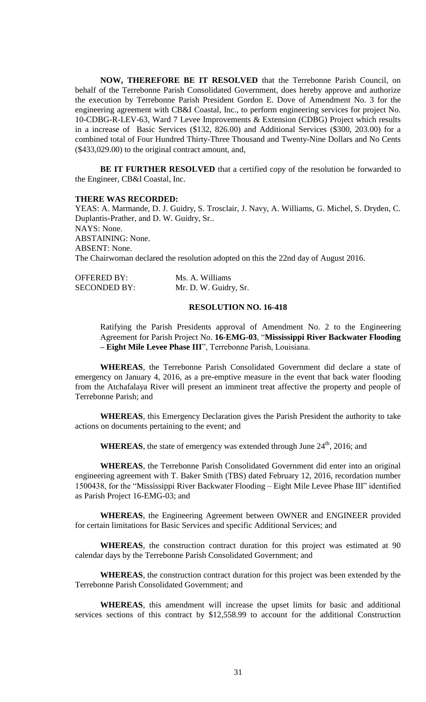**NOW, THEREFORE BE IT RESOLVED** that the Terrebonne Parish Council, on behalf of the Terrebonne Parish Consolidated Government, does hereby approve and authorize the execution by Terrebonne Parish President Gordon E. Dove of Amendment No. 3 for the engineering agreement with CB&I Coastal, Inc., to perform engineering services for project No. 10-CDBG-R-LEV-63, Ward 7 Levee Improvements & Extension (CDBG) Project which results in a increase of Basic Services (\$132, 826.00) and Additional Services (\$300, 203.00) for a combined total of Four Hundred Thirty-Three Thousand and Twenty-Nine Dollars and No Cents (\$433,029.00) to the original contract amount, and,

**BE IT FURTHER RESOLVED** that a certified copy of the resolution be forwarded to the Engineer, CB&I Coastal, Inc.

#### **THERE WAS RECORDED:**

YEAS: A. Marmande, D. J. Guidry, S. Trosclair, J. Navy, A. Williams, G. Michel, S. Dryden, C. Duplantis-Prather, and D. W. Guidry, Sr.. NAYS: None. ABSTAINING: None. ABSENT: None. The Chairwoman declared the resolution adopted on this the 22nd day of August 2016.

| <b>OFFERED BY:</b>  | Ms. A. Williams       |
|---------------------|-----------------------|
| <b>SECONDED BY:</b> | Mr. D. W. Guidry, Sr. |

## **RESOLUTION NO. 16-418**

Ratifying the Parish Presidents approval of Amendment No. 2 to the Engineering Agreement for Parish Project No. **16-EMG-03**, "**Mississippi River Backwater Flooding – Eight Mile Levee Phase III**", Terrebonne Parish, Louisiana.

**WHEREAS**, the Terrebonne Parish Consolidated Government did declare a state of emergency on January 4, 2016, as a pre-emptive measure in the event that back water flooding from the Atchafalaya River will present an imminent treat affective the property and people of Terrebonne Parish; and

**WHEREAS**, this Emergency Declaration gives the Parish President the authority to take actions on documents pertaining to the event; and

WHEREAS, the state of emergency was extended through June 24<sup>th</sup>, 2016; and

**WHEREAS**, the Terrebonne Parish Consolidated Government did enter into an original engineering agreement with T. Baker Smith (TBS) dated February 12, 2016, recordation number 1500438, for the "Mississippi River Backwater Flooding – Eight Mile Levee Phase III" identified as Parish Project 16-EMG-03; and

**WHEREAS**, the Engineering Agreement between OWNER and ENGINEER provided for certain limitations for Basic Services and specific Additional Services; and

**WHEREAS**, the construction contract duration for this project was estimated at 90 calendar days by the Terrebonne Parish Consolidated Government; and

**WHEREAS**, the construction contract duration for this project was been extended by the Terrebonne Parish Consolidated Government; and

**WHEREAS**, this amendment will increase the upset limits for basic and additional services sections of this contract by \$12,558.99 to account for the additional Construction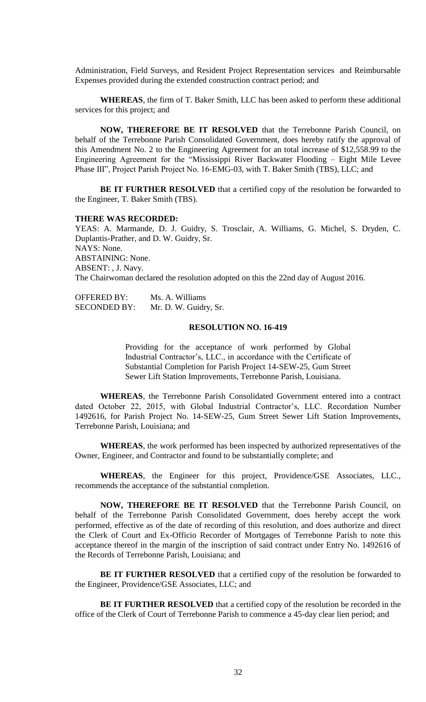Administration, Field Surveys, and Resident Project Representation services and Reimbursable Expenses provided during the extended construction contract period; and

**WHEREAS**, the firm of T. Baker Smith, LLC has been asked to perform these additional services for this project; and

**NOW, THEREFORE BE IT RESOLVED** that the Terrebonne Parish Council, on behalf of the Terrebonne Parish Consolidated Government, does hereby ratify the approval of this Amendment No. 2 to the Engineering Agreement for an total increase of \$12,558.99 to the Engineering Agreement for the "Mississippi River Backwater Flooding – Eight Mile Levee Phase III", Project Parish Project No. 16-EMG-03, with T. Baker Smith (TBS), LLC; and

**BE IT FURTHER RESOLVED** that a certified copy of the resolution be forwarded to the Engineer, T. Baker Smith (TBS).

## **THERE WAS RECORDED:**

YEAS: A. Marmande, D. J. Guidry, S. Trosclair, A. Williams, G. Michel, S. Dryden, C. Duplantis-Prather, and D. W. Guidry, Sr. NAYS: None. ABSTAINING: None. ABSENT: , J. Navy. The Chairwoman declared the resolution adopted on this the 22nd day of August 2016.

| <b>OFFERED BY:</b>  | Ms. A. Williams       |
|---------------------|-----------------------|
| <b>SECONDED BY:</b> | Mr. D. W. Guidry, Sr. |

#### **RESOLUTION NO. 16-419**

Providing for the acceptance of work performed by Global Industrial Contractor's, LLC., in accordance with the Certificate of Substantial Completion for Parish Project 14-SEW-25, Gum Street Sewer Lift Station Improvements, Terrebonne Parish, Louisiana.

**WHEREAS**, the Terrebonne Parish Consolidated Government entered into a contract dated October 22, 2015, with Global Industrial Contractor's, LLC. Recordation Number 1492616, for Parish Project No. 14-SEW-25, Gum Street Sewer Lift Station Improvements, Terrebonne Parish, Louisiana; and

**WHEREAS**, the work performed has been inspected by authorized representatives of the Owner, Engineer, and Contractor and found to be substantially complete; and

**WHEREAS**, the Engineer for this project, Providence/GSE Associates, LLC., recommends the acceptance of the substantial completion.

**NOW, THEREFORE BE IT RESOLVED** that the Terrebonne Parish Council, on behalf of the Terrebonne Parish Consolidated Government, does hereby accept the work performed, effective as of the date of recording of this resolution, and does authorize and direct the Clerk of Court and Ex-Officio Recorder of Mortgages of Terrebonne Parish to note this acceptance thereof in the margin of the inscription of said contract under Entry No. 1492616 of the Records of Terrebonne Parish, Louisiana; and

**BE IT FURTHER RESOLVED** that a certified copy of the resolution be forwarded to the Engineer, Providence/GSE Associates, LLC; and

**BE IT FURTHER RESOLVED** that a certified copy of the resolution be recorded in the office of the Clerk of Court of Terrebonne Parish to commence a 45-day clear lien period; and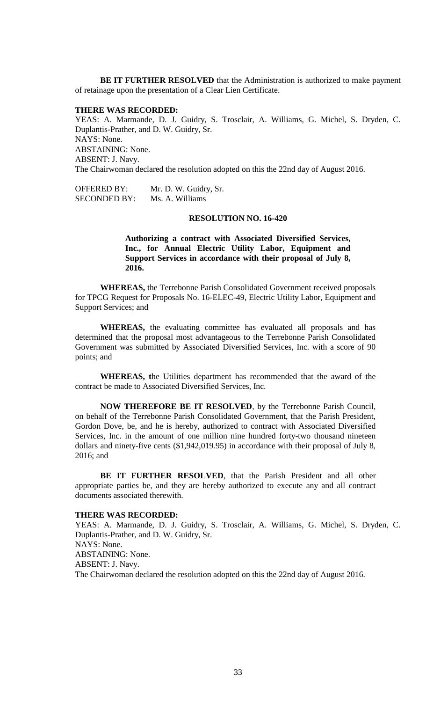**BE IT FURTHER RESOLVED** that the Administration is authorized to make payment of retainage upon the presentation of a Clear Lien Certificate.

#### **THERE WAS RECORDED:**

YEAS: A. Marmande, D. J. Guidry, S. Trosclair, A. Williams, G. Michel, S. Dryden, C. Duplantis-Prather, and D. W. Guidry, Sr. NAYS: None. ABSTAINING: None. ABSENT: J. Navy. The Chairwoman declared the resolution adopted on this the 22nd day of August 2016.

OFFERED BY: Mr. D. W. Guidry, Sr. SECONDED BY: Ms. A. Williams

#### **RESOLUTION NO. 16-420**

**Authorizing a contract with Associated Diversified Services, Inc., for Annual Electric Utility Labor, Equipment and Support Services in accordance with their proposal of July 8, 2016.**

**WHEREAS,** the Terrebonne Parish Consolidated Government received proposals for TPCG Request for Proposals No. 16-ELEC-49, Electric Utility Labor, Equipment and Support Services; and

**WHEREAS,** the evaluating committee has evaluated all proposals and has determined that the proposal most advantageous to the Terrebonne Parish Consolidated Government was submitted by Associated Diversified Services, Inc. with a score of 90 points; and

**WHEREAS, t**he Utilities department has recommended that the award of the contract be made to Associated Diversified Services, Inc.

**NOW THEREFORE BE IT RESOLVED**, by the Terrebonne Parish Council, on behalf of the Terrebonne Parish Consolidated Government, that the Parish President, Gordon Dove, be, and he is hereby, authorized to contract with Associated Diversified Services, Inc. in the amount of one million nine hundred forty-two thousand nineteen dollars and ninety-five cents (\$1,942,019.95) in accordance with their proposal of July 8, 2016; and

**BE IT FURTHER RESOLVED**, that the Parish President and all other appropriate parties be, and they are hereby authorized to execute any and all contract documents associated therewith.

## **THERE WAS RECORDED:**

YEAS: A. Marmande, D. J. Guidry, S. Trosclair, A. Williams, G. Michel, S. Dryden, C. Duplantis-Prather, and D. W. Guidry, Sr. NAYS: None. ABSTAINING: None. ABSENT: J. Navy. The Chairwoman declared the resolution adopted on this the 22nd day of August 2016.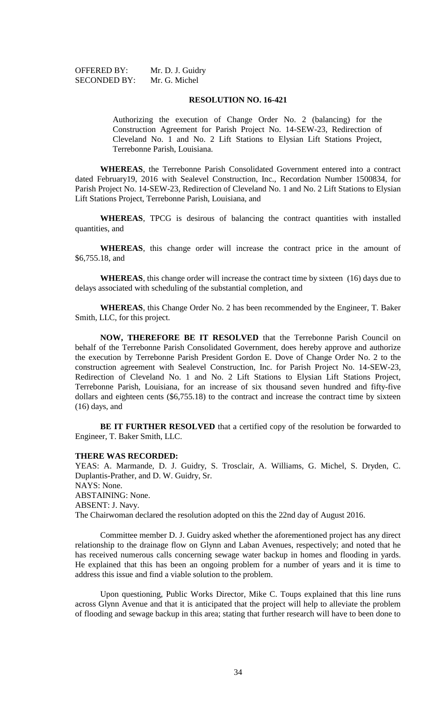| <b>OFFERED BY:</b>  | Mr. D. J. Guidry |
|---------------------|------------------|
| <b>SECONDED BY:</b> | Mr. G. Michel    |

### **RESOLUTION NO. 16-421**

Authorizing the execution of Change Order No. 2 (balancing) for the Construction Agreement for Parish Project No. 14-SEW-23, Redirection of Cleveland No. 1 and No. 2 Lift Stations to Elysian Lift Stations Project, Terrebonne Parish, Louisiana.

**WHEREAS**, the Terrebonne Parish Consolidated Government entered into a contract dated February19, 2016 with Sealevel Construction, Inc., Recordation Number 1500834, for Parish Project No. 14-SEW-23, Redirection of Cleveland No. 1 and No. 2 Lift Stations to Elysian Lift Stations Project, Terrebonne Parish, Louisiana, and

**WHEREAS**, TPCG is desirous of balancing the contract quantities with installed quantities, and

**WHEREAS**, this change order will increase the contract price in the amount of \$6,755.18, and

**WHEREAS**, this change order will increase the contract time by sixteen (16) days due to delays associated with scheduling of the substantial completion, and

**WHEREAS**, this Change Order No. 2 has been recommended by the Engineer, T. Baker Smith, LLC, for this project.

**NOW, THEREFORE BE IT RESOLVED** that the Terrebonne Parish Council on behalf of the Terrebonne Parish Consolidated Government, does hereby approve and authorize the execution by Terrebonne Parish President Gordon E. Dove of Change Order No. 2 to the construction agreement with Sealevel Construction, Inc. for Parish Project No. 14-SEW-23, Redirection of Cleveland No. 1 and No. 2 Lift Stations to Elysian Lift Stations Project, Terrebonne Parish, Louisiana, for an increase of six thousand seven hundred and fifty-five dollars and eighteen cents (\$6,755.18) to the contract and increase the contract time by sixteen (16) days, and

**BE IT FURTHER RESOLVED** that a certified copy of the resolution be forwarded to Engineer, T. Baker Smith, LLC.

## **THERE WAS RECORDED:**

YEAS: A. Marmande, D. J. Guidry, S. Trosclair, A. Williams, G. Michel, S. Dryden, C. Duplantis-Prather, and D. W. Guidry, Sr. NAYS: None. ABSTAINING: None. ABSENT: J. Navy. The Chairwoman declared the resolution adopted on this the 22nd day of August 2016.

Committee member D. J. Guidry asked whether the aforementioned project has any direct relationship to the drainage flow on Glynn and Laban Avenues, respectively; and noted that he has received numerous calls concerning sewage water backup in homes and flooding in yards. He explained that this has been an ongoing problem for a number of years and it is time to address this issue and find a viable solution to the problem.

Upon questioning, Public Works Director, Mike C. Toups explained that this line runs across Glynn Avenue and that it is anticipated that the project will help to alleviate the problem of flooding and sewage backup in this area; stating that further research will have to been done to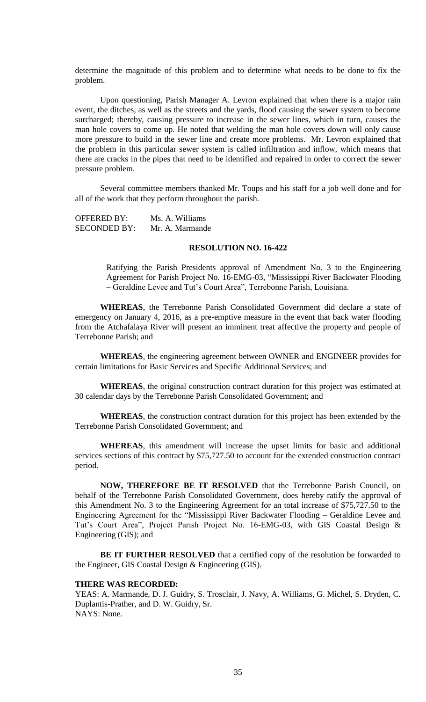determine the magnitude of this problem and to determine what needs to be done to fix the problem.

Upon questioning, Parish Manager A. Levron explained that when there is a major rain event, the ditches, as well as the streets and the yards, flood causing the sewer system to become surcharged; thereby, causing pressure to increase in the sewer lines, which in turn, causes the man hole covers to come up. He noted that welding the man hole covers down will only cause more pressure to build in the sewer line and create more problems. Mr. Levron explained that the problem in this particular sewer system is called infiltration and inflow, which means that there are cracks in the pipes that need to be identified and repaired in order to correct the sewer pressure problem.

Several committee members thanked Mr. Toups and his staff for a job well done and for all of the work that they perform throughout the parish.

OFFERED BY: Ms. A. Williams SECONDED BY: Mr. A. Marmande

# **RESOLUTION NO. 16-422**

Ratifying the Parish Presidents approval of Amendment No. 3 to the Engineering Agreement for Parish Project No. 16-EMG-03, "Mississippi River Backwater Flooding – Geraldine Levee and Tut's Court Area", Terrebonne Parish, Louisiana.

**WHEREAS**, the Terrebonne Parish Consolidated Government did declare a state of emergency on January 4, 2016, as a pre-emptive measure in the event that back water flooding from the Atchafalaya River will present an imminent treat affective the property and people of Terrebonne Parish; and

**WHEREAS**, the engineering agreement between OWNER and ENGINEER provides for certain limitations for Basic Services and Specific Additional Services; and

WHEREAS, the original construction contract duration for this project was estimated at 30 calendar days by the Terrebonne Parish Consolidated Government; and

**WHEREAS**, the construction contract duration for this project has been extended by the Terrebonne Parish Consolidated Government; and

**WHEREAS**, this amendment will increase the upset limits for basic and additional services sections of this contract by \$75,727.50 to account for the extended construction contract period.

**NOW, THEREFORE BE IT RESOLVED** that the Terrebonne Parish Council, on behalf of the Terrebonne Parish Consolidated Government, does hereby ratify the approval of this Amendment No. 3 to the Engineering Agreement for an total increase of \$75,727.50 to the Engineering Agreement for the "Mississippi River Backwater Flooding – Geraldine Levee and Tut's Court Area", Project Parish Project No. 16-EMG-03, with GIS Coastal Design & Engineering (GIS); and

**BE IT FURTHER RESOLVED** that a certified copy of the resolution be forwarded to the Engineer, GIS Coastal Design & Engineering (GIS).

#### **THERE WAS RECORDED:**

YEAS: A. Marmande, D. J. Guidry, S. Trosclair, J. Navy, A. Williams, G. Michel, S. Dryden, C. Duplantis-Prather, and D. W. Guidry, Sr. NAYS: None.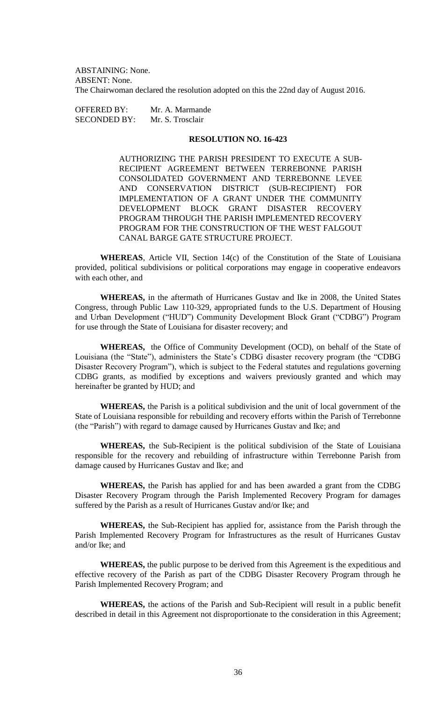ABSTAINING: None. ABSENT: None. The Chairwoman declared the resolution adopted on this the 22nd day of August 2016.

OFFERED BY: Mr. A. Marmande SECONDED BY: Mr. S. Trosclair

# **RESOLUTION NO. 16-423**

AUTHORIZING THE PARISH PRESIDENT TO EXECUTE A SUB-RECIPIENT AGREEMENT BETWEEN TERREBONNE PARISH CONSOLIDATED GOVERNMENT AND TERREBONNE LEVEE AND CONSERVATION DISTRICT (SUB-RECIPIENT) FOR IMPLEMENTATION OF A GRANT UNDER THE COMMUNITY DEVELOPMENT BLOCK GRANT DISASTER RECOVERY PROGRAM THROUGH THE PARISH IMPLEMENTED RECOVERY PROGRAM FOR THE CONSTRUCTION OF THE WEST FALGOUT CANAL BARGE GATE STRUCTURE PROJECT.

**WHEREAS**, Article VII, Section 14(c) of the Constitution of the State of Louisiana provided, political subdivisions or political corporations may engage in cooperative endeavors with each other, and

**WHEREAS,** in the aftermath of Hurricanes Gustav and Ike in 2008, the United States Congress, through Public Law 110-329, appropriated funds to the U.S. Department of Housing and Urban Development ("HUD") Community Development Block Grant ("CDBG") Program for use through the State of Louisiana for disaster recovery; and

**WHEREAS,** the Office of Community Development (OCD), on behalf of the State of Louisiana (the "State"), administers the State's CDBG disaster recovery program (the "CDBG Disaster Recovery Program"), which is subject to the Federal statutes and regulations governing CDBG grants, as modified by exceptions and waivers previously granted and which may hereinafter be granted by HUD; and

**WHEREAS,** the Parish is a political subdivision and the unit of local government of the State of Louisiana responsible for rebuilding and recovery efforts within the Parish of Terrebonne (the "Parish") with regard to damage caused by Hurricanes Gustav and Ike; and

**WHEREAS,** the Sub-Recipient is the political subdivision of the State of Louisiana responsible for the recovery and rebuilding of infrastructure within Terrebonne Parish from damage caused by Hurricanes Gustav and Ike; and

**WHEREAS,** the Parish has applied for and has been awarded a grant from the CDBG Disaster Recovery Program through the Parish Implemented Recovery Program for damages suffered by the Parish as a result of Hurricanes Gustav and/or Ike; and

**WHEREAS,** the Sub-Recipient has applied for, assistance from the Parish through the Parish Implemented Recovery Program for Infrastructures as the result of Hurricanes Gustav and/or Ike; and

**WHEREAS,** the public purpose to be derived from this Agreement is the expeditious and effective recovery of the Parish as part of the CDBG Disaster Recovery Program through he Parish Implemented Recovery Program; and

**WHEREAS,** the actions of the Parish and Sub-Recipient will result in a public benefit described in detail in this Agreement not disproportionate to the consideration in this Agreement;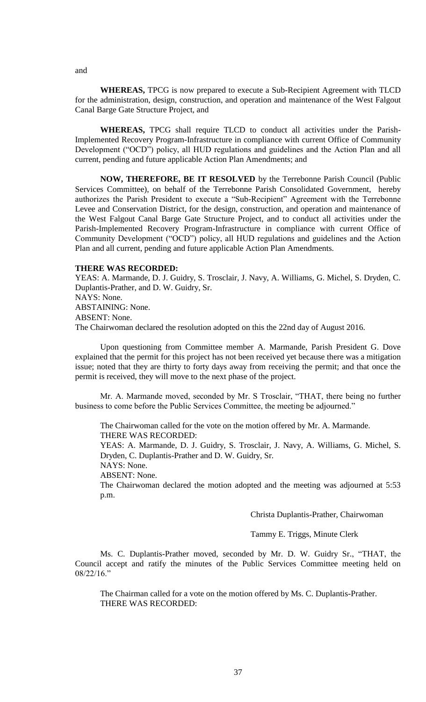**WHEREAS,** TPCG is now prepared to execute a Sub-Recipient Agreement with TLCD for the administration, design, construction, and operation and maintenance of the West Falgout Canal Barge Gate Structure Project, and

**WHEREAS,** TPCG shall require TLCD to conduct all activities under the Parish-Implemented Recovery Program-Infrastructure in compliance with current Office of Community Development ("OCD") policy, all HUD regulations and guidelines and the Action Plan and all current, pending and future applicable Action Plan Amendments; and

**NOW, THEREFORE, BE IT RESOLVED** by the Terrebonne Parish Council (Public Services Committee), on behalf of the Terrebonne Parish Consolidated Government, hereby authorizes the Parish President to execute a "Sub-Recipient" Agreement with the Terrebonne Levee and Conservation District, for the design, construction, and operation and maintenance of the West Falgout Canal Barge Gate Structure Project, and to conduct all activities under the Parish-Implemented Recovery Program-Infrastructure in compliance with current Office of Community Development ("OCD") policy, all HUD regulations and guidelines and the Action Plan and all current, pending and future applicable Action Plan Amendments.

#### **THERE WAS RECORDED:**

YEAS: A. Marmande, D. J. Guidry, S. Trosclair, J. Navy, A. Williams, G. Michel, S. Dryden, C. Duplantis-Prather, and D. W. Guidry, Sr. NAYS: None. ABSTAINING: None. ABSENT: None.

The Chairwoman declared the resolution adopted on this the 22nd day of August 2016.

Upon questioning from Committee member A. Marmande, Parish President G. Dove explained that the permit for this project has not been received yet because there was a mitigation issue; noted that they are thirty to forty days away from receiving the permit; and that once the permit is received, they will move to the next phase of the project.

Mr. A. Marmande moved, seconded by Mr. S Trosclair, "THAT, there being no further business to come before the Public Services Committee, the meeting be adjourned."

The Chairwoman called for the vote on the motion offered by Mr. A. Marmande. THERE WAS RECORDED:

YEAS: A. Marmande, D. J. Guidry, S. Trosclair, J. Navy, A. Williams, G. Michel, S. Dryden, C. Duplantis-Prather and D. W. Guidry, Sr.

NAYS: None.

ABSENT: None.

The Chairwoman declared the motion adopted and the meeting was adjourned at 5:53 p.m.

Christa Duplantis-Prather, Chairwoman

Tammy E. Triggs, Minute Clerk

Ms. C. Duplantis-Prather moved, seconded by Mr. D. W. Guidry Sr., "THAT, the Council accept and ratify the minutes of the Public Services Committee meeting held on  $08/22/16$ ."

The Chairman called for a vote on the motion offered by Ms. C. Duplantis-Prather. THERE WAS RECORDED:

and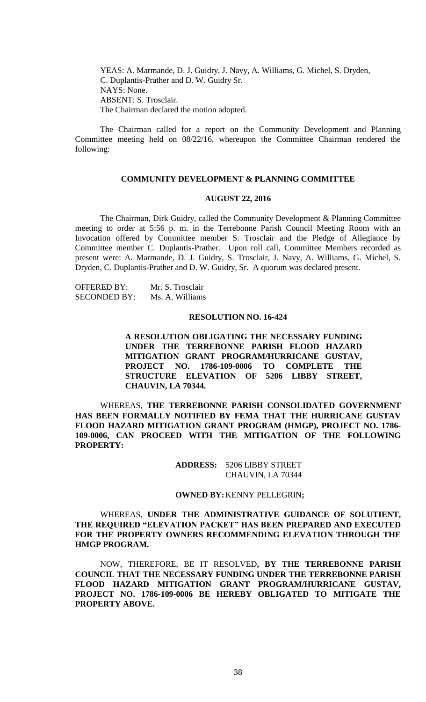YEAS: A. Marmande, D. J. Guidry, J. Navy, A. Williams, G. Michel, S. Dryden, C. Duplantis-Prather and D. W. Guidry Sr. NAYS: None. ABSENT: S. Trosclair. The Chairman declared the motion adopted.

The Chairman called for a report on the Community Development and Planning Committee meeting held on 08/22/16, whereupon the Committee Chairman rendered the following:

# **COMMUNITY DEVELOPMENT & PLANNING COMMITTEE**

#### **AUGUST 22, 2016**

The Chairman, Dirk Guidry, called the Community Development & Planning Committee meeting to order at 5:56 p. m. in the Terrebonne Parish Council Meeting Room with an Invocation offered by Committee member S. Trosclair and the Pledge of Allegiance by Committee member C. Duplantis-Prather. Upon roll call, Committee Members recorded as present were: A. Marmande, D. J. Guidry, S. Trosclair, J. Navy, A. Williams, G. Michel, S. Dryden, C. Duplantis-Prather and D. W. Guidry, Sr. A quorum was declared present.

OFFERED BY: Mr. S. Trosclair SECONDED BY: Ms. A. Williams

## **RESOLUTION NO. 16-424**

**A RESOLUTION OBLIGATING THE NECESSARY FUNDING UNDER THE TERREBONNE PARISH FLOOD HAZARD MITIGATION GRANT PROGRAM/HURRICANE GUSTAV, PROJECT NO. 1786-109-0006 TO COMPLETE THE STRUCTURE ELEVATION OF 5206 LIBBY STREET, CHAUVIN, LA 70344.**

WHEREAS, **THE TERREBONNE PARISH CONSOLIDATED GOVERNMENT HAS BEEN FORMALLY NOTIFIED BY FEMA THAT THE HURRICANE GUSTAV FLOOD HAZARD MITIGATION GRANT PROGRAM (HMGP), PROJECT NO. 1786- 109-0006, CAN PROCEED WITH THE MITIGATION OF THE FOLLOWING PROPERTY:**

> **ADDRESS:** 5206 LIBBY STREET CHAUVIN, LA 70344

## **OWNED BY:**KENNY PELLEGRIN**;**

# WHEREAS, **UNDER THE ADMINISTRATIVE GUIDANCE OF SOLUTIENT, THE REQUIRED "ELEVATION PACKET" HAS BEEN PREPARED AND EXECUTED FOR THE PROPERTY OWNERS RECOMMENDING ELEVATION THROUGH THE HMGP PROGRAM.**

NOW, THEREFORE, BE IT RESOLVED**, BY THE TERREBONNE PARISH COUNCIL THAT THE NECESSARY FUNDING UNDER THE TERREBONNE PARISH FLOOD HAZARD MITIGATION GRANT PROGRAM/HURRICANE GUSTAV, PROJECT NO. 1786-109-0006 BE HEREBY OBLIGATED TO MITIGATE THE PROPERTY ABOVE.**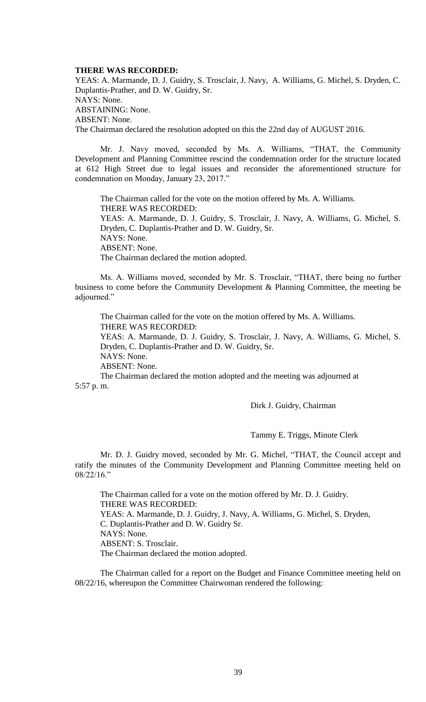#### **THERE WAS RECORDED:**

YEAS: A. Marmande, D. J. Guidry, S. Trosclair, J. Navy, A. Williams, G. Michel, S. Dryden, C. Duplantis-Prather, and D. W. Guidry, Sr. NAYS: None. ABSTAINING: None. ABSENT: None. The Chairman declared the resolution adopted on this the 22nd day of AUGUST 2016.

Mr. J. Navy moved, seconded by Ms. A. Williams, "THAT, the Community Development and Planning Committee rescind the condemnation order for the structure located at 612 High Street due to legal issues and reconsider the aforementioned structure for condemnation on Monday, January 23, 2017."

The Chairman called for the vote on the motion offered by Ms. A. Williams. THERE WAS RECORDED: YEAS: A. Marmande, D. J. Guidry, S. Trosclair, J. Navy, A. Williams, G. Michel, S. Dryden, C. Duplantis-Prather and D. W. Guidry, Sr. NAYS: None. ABSENT: None. The Chairman declared the motion adopted.

Ms. A. Williams moved, seconded by Mr. S. Trosclair, "THAT, there being no further business to come before the Community Development & Planning Committee, the meeting be adjourned."

The Chairman called for the vote on the motion offered by Ms. A. Williams. THERE WAS RECORDED: YEAS: A. Marmande, D. J. Guidry, S. Trosclair, J. Navy, A. Williams, G. Michel, S. Dryden, C. Duplantis-Prather and D. W. Guidry, Sr. NAYS: None.

ABSENT: None.

The Chairman declared the motion adopted and the meeting was adjourned at 5:57 p. m.

Dirk J. Guidry, Chairman

Tammy E. Triggs, Minute Clerk

Mr. D. J. Guidry moved, seconded by Mr. G. Michel, "THAT, the Council accept and ratify the minutes of the Community Development and Planning Committee meeting held on 08/22/16."

The Chairman called for a vote on the motion offered by Mr. D. J. Guidry. THERE WAS RECORDED: YEAS: A. Marmande, D. J. Guidry, J. Navy, A. Williams, G. Michel, S. Dryden, C. Duplantis-Prather and D. W. Guidry Sr. NAYS: None. ABSENT: S. Trosclair. The Chairman declared the motion adopted.

The Chairman called for a report on the Budget and Finance Committee meeting held on 08/22/16, whereupon the Committee Chairwoman rendered the following: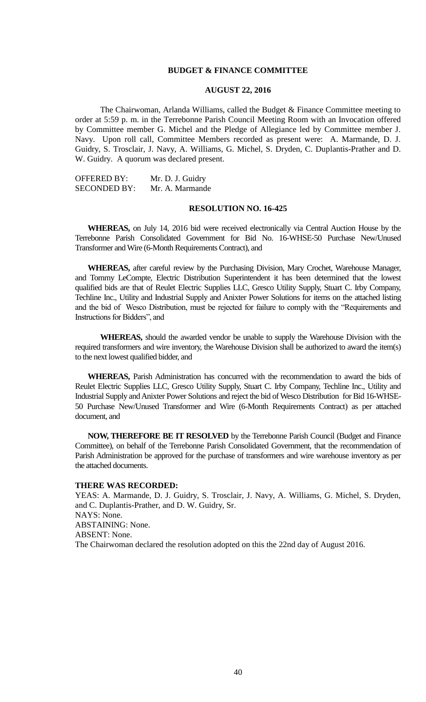## **BUDGET & FINANCE COMMITTEE**

#### **AUGUST 22, 2016**

The Chairwoman, Arlanda Williams, called the Budget & Finance Committee meeting to order at 5:59 p. m. in the Terrebonne Parish Council Meeting Room with an Invocation offered by Committee member G. Michel and the Pledge of Allegiance led by Committee member J. Navy. Upon roll call, Committee Members recorded as present were: A. Marmande, D. J. Guidry, S. Trosclair, J. Navy, A. Williams, G. Michel, S. Dryden, C. Duplantis-Prather and D. W. Guidry. A quorum was declared present.

OFFERED BY: Mr. D. J. Guidry SECONDED BY: Mr. A. Marmande

#### **RESOLUTION NO. 16-425**

**WHEREAS,** on July 14, 2016 bid were received electronically via Central Auction House by the Terrebonne Parish Consolidated Government for Bid No. 16-WHSE-50 Purchase New/Unused Transformer and Wire (6-Month Requirements Contract), and

**WHEREAS,** after careful review by the Purchasing Division, Mary Crochet, Warehouse Manager, and Tommy LeCompte, Electric Distribution Superintendent it has been determined that the lowest qualified bids are that of Reulet Electric Supplies LLC, Gresco Utility Supply, Stuart C. Irby Company, Techline Inc., Utility and Industrial Supply and Anixter Power Solutions for items on the attached listing and the bid of Wesco Distribution, must be rejected for failure to comply with the "Requirements and Instructions for Bidders", and

**WHEREAS,** should the awarded vendor be unable to supply the Warehouse Division with the required transformers and wire inventory, the Warehouse Division shall be authorized to award the item(s) to the next lowest qualified bidder, and

**WHEREAS,** Parish Administration has concurred with the recommendation to award the bids of Reulet Electric Supplies LLC, Gresco Utility Supply, Stuart C. Irby Company, Techline Inc., Utility and Industrial Supply and Anixter Power Solutions and reject the bid of Wesco Distribution for Bid 16-WHSE-50 Purchase New/Unused Transformer and Wire (6-Month Requirements Contract) as per attached document, and

**NOW, THEREFORE BE IT RESOLVED** by the Terrebonne Parish Council (Budget and Finance Committee), on behalf of the Terrebonne Parish Consolidated Government, that the recommendation of Parish Administration be approved for the purchase of transformers and wire warehouse inventory as per the attached documents.

# **THERE WAS RECORDED:**

YEAS: A. Marmande, D. J. Guidry, S. Trosclair, J. Navy, A. Williams, G. Michel, S. Dryden, and C. Duplantis-Prather, and D. W. Guidry, Sr. NAYS: None. ABSTAINING: None. ABSENT: None. The Chairwoman declared the resolution adopted on this the 22nd day of August 2016.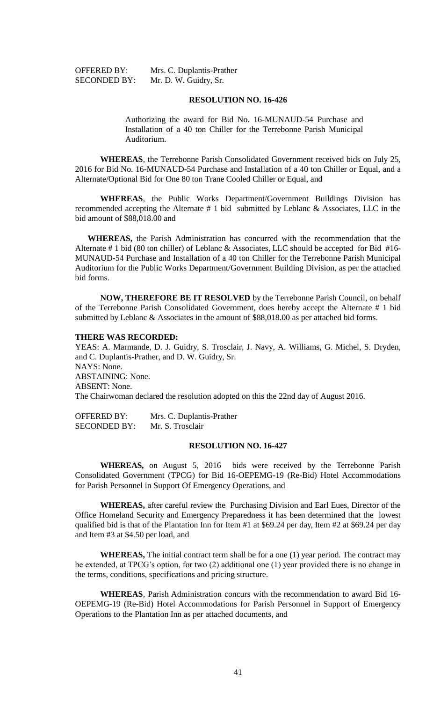OFFERED BY: Mrs. C. Duplantis-Prather SECONDED BY: Mr. D. W. Guidry, Sr.

## **RESOLUTION NO. 16-426**

Authorizing the award for Bid No. 16-MUNAUD-54 Purchase and Installation of a 40 ton Chiller for the Terrebonne Parish Municipal Auditorium.

**WHEREAS**, the Terrebonne Parish Consolidated Government received bids on July 25, 2016 for Bid No. 16-MUNAUD-54 Purchase and Installation of a 40 ton Chiller or Equal, and a Alternate/Optional Bid for One 80 ton Trane Cooled Chiller or Equal, and

**WHEREAS**, the Public Works Department/Government Buildings Division has recommended accepting the Alternate # 1 bid submitted by Leblanc & Associates, LLC in the bid amount of \$88,018.00 and

**WHEREAS,** the Parish Administration has concurred with the recommendation that the Alternate # 1 bid (80 ton chiller) of Leblanc & Associates, LLC should be accepted for Bid #16- MUNAUD-54 Purchase and Installation of a 40 ton Chiller for the Terrebonne Parish Municipal Auditorium for the Public Works Department/Government Building Division, as per the attached bid forms.

**NOW, THEREFORE BE IT RESOLVED** by the Terrebonne Parish Council, on behalf of the Terrebonne Parish Consolidated Government, does hereby accept the Alternate # 1 bid submitted by Leblanc & Associates in the amount of \$88,018.00 as per attached bid forms.

## **THERE WAS RECORDED:**

YEAS: A. Marmande, D. J. Guidry, S. Trosclair, J. Navy, A. Williams, G. Michel, S. Dryden, and C. Duplantis-Prather, and D. W. Guidry, Sr. NAYS: None. ABSTAINING: None. ABSENT: None. The Chairwoman declared the resolution adopted on this the 22nd day of August 2016.

OFFERED BY: Mrs. C. Duplantis-Prather SECONDED BY: Mr. S. Trosclair

# **RESOLUTION NO. 16-427**

**WHEREAS,** on August 5, 2016 bids were received by the Terrebonne Parish Consolidated Government (TPCG) for Bid 16-OEPEMG-19 (Re-Bid) Hotel Accommodations for Parish Personnel in Support Of Emergency Operations, and

**WHEREAS,** after careful review the Purchasing Division and Earl Eues, Director of the Office Homeland Security and Emergency Preparedness it has been determined that the lowest qualified bid is that of the Plantation Inn for Item #1 at \$69.24 per day, Item #2 at \$69.24 per day and Item #3 at \$4.50 per load, and

**WHEREAS,** The initial contract term shall be for a one (1) year period. The contract may be extended, at TPCG's option, for two (2) additional one (1) year provided there is no change in the terms, conditions, specifications and pricing structure.

**WHEREAS**, Parish Administration concurs with the recommendation to award Bid 16- OEPEMG-19 (Re-Bid) Hotel Accommodations for Parish Personnel in Support of Emergency Operations to the Plantation Inn as per attached documents, and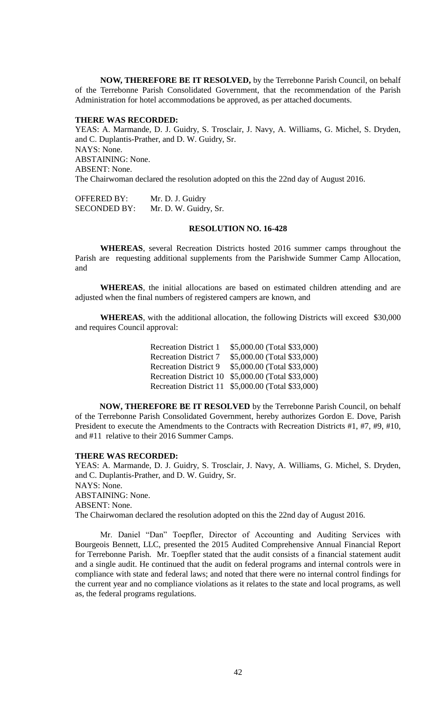**NOW, THEREFORE BE IT RESOLVED,** by the Terrebonne Parish Council, on behalf of the Terrebonne Parish Consolidated Government, that the recommendation of the Parish Administration for hotel accommodations be approved, as per attached documents.

## **THERE WAS RECORDED:**

YEAS: A. Marmande, D. J. Guidry, S. Trosclair, J. Navy, A. Williams, G. Michel, S. Dryden, and C. Duplantis-Prather, and D. W. Guidry, Sr. NAYS: None. ABSTAINING: None. ABSENT: None. The Chairwoman declared the resolution adopted on this the 22nd day of August 2016.

OFFERED BY: Mr. D. J. Guidry SECONDED BY: Mr. D. W. Guidry, Sr.

#### **RESOLUTION NO. 16-428**

**WHEREAS**, several Recreation Districts hosted 2016 summer camps throughout the Parish are requesting additional supplements from the Parishwide Summer Camp Allocation, and

**WHEREAS**, the initial allocations are based on estimated children attending and are adjusted when the final numbers of registered campers are known, and

**WHEREAS**, with the additional allocation, the following Districts will exceed \$30,000 and requires Council approval:

| <b>Recreation District 1</b>  | \$5,000.00 (Total \$33,000) |
|-------------------------------|-----------------------------|
| <b>Recreation District 7</b>  | \$5,000.00 (Total \$33,000) |
| <b>Recreation District 9</b>  | \$5,000.00 (Total \$33,000) |
| <b>Recreation District 10</b> | \$5,000.00 (Total \$33,000) |
| <b>Recreation District 11</b> | \$5,000.00 (Total \$33,000) |
|                               |                             |

**NOW, THEREFORE BE IT RESOLVED** by the Terrebonne Parish Council, on behalf of the Terrebonne Parish Consolidated Government, hereby authorizes Gordon E. Dove, Parish President to execute the Amendments to the Contracts with Recreation Districts #1, #7, #9, #10, and #11 relative to their 2016 Summer Camps.

## **THERE WAS RECORDED:**

YEAS: A. Marmande, D. J. Guidry, S. Trosclair, J. Navy, A. Williams, G. Michel, S. Dryden, and C. Duplantis-Prather, and D. W. Guidry, Sr. NAYS: None. ABSTAINING: None. ABSENT: None. The Chairwoman declared the resolution adopted on this the 22nd day of August 2016.

Mr. Daniel "Dan" Toepfler, Director of Accounting and Auditing Services with Bourgeois Bennett, LLC, presented the 2015 Audited Comprehensive Annual Financial Report for Terrebonne Parish. Mr. Toepfler stated that the audit consists of a financial statement audit and a single audit. He continued that the audit on federal programs and internal controls were in compliance with state and federal laws; and noted that there were no internal control findings for the current year and no compliance violations as it relates to the state and local programs, as well as, the federal programs regulations.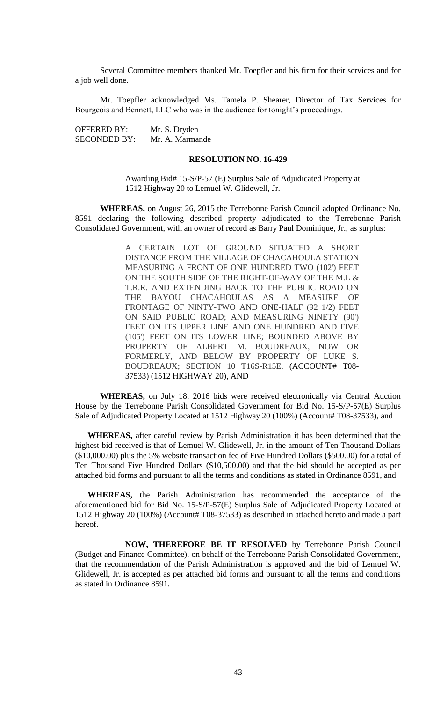Several Committee members thanked Mr. Toepfler and his firm for their services and for a job well done.

Mr. Toepfler acknowledged Ms. Tamela P. Shearer, Director of Tax Services for Bourgeois and Bennett, LLC who was in the audience for tonight's proceedings.

OFFERED BY: Mr. S. Dryden SECONDED BY: Mr. A. Marmande

#### **RESOLUTION NO. 16-429**

Awarding Bid# 15-S/P-57 (E) Surplus Sale of Adjudicated Property at 1512 Highway 20 to Lemuel W. Glidewell, Jr.

**WHEREAS,** on August 26, 2015 the Terrebonne Parish Council adopted Ordinance No. 8591 declaring the following described property adjudicated to the Terrebonne Parish Consolidated Government, with an owner of record as Barry Paul Dominique, Jr., as surplus:

> A CERTAIN LOT OF GROUND SITUATED A SHORT DISTANCE FROM THE VILLAGE OF CHACAHOULA STATION MEASURING A FRONT OF ONE HUNDRED TWO (102') FEET ON THE SOUTH SIDE OF THE RIGHT-OF-WAY OF THE M.L & T.R.R. AND EXTENDING BACK TO THE PUBLIC ROAD ON THE BAYOU CHACAHOULAS AS A MEASURE OF FRONTAGE OF NINTY-TWO AND ONE-HALF (92 1/2) FEET ON SAID PUBLIC ROAD; AND MEASURING NINETY (90') FEET ON ITS UPPER LINE AND ONE HUNDRED AND FIVE (105') FEET ON ITS LOWER LINE; BOUNDED ABOVE BY PROPERTY OF ALBERT M. BOUDREAUX, NOW OR FORMERLY, AND BELOW BY PROPERTY OF LUKE S. BOUDREAUX; SECTION 10 T16S-R15E. (ACCOUNT# T08- 37533) (1512 HIGHWAY 20), AND

**WHEREAS,** on July 18, 2016 bids were received electronically via Central Auction House by the Terrebonne Parish Consolidated Government for Bid No. 15-S/P-57(E) Surplus Sale of Adjudicated Property Located at 1512 Highway 20 (100%) (Account# T08-37533), and

**WHEREAS,** after careful review by Parish Administration it has been determined that the highest bid received is that of Lemuel W. Glidewell, Jr. in the amount of Ten Thousand Dollars (\$10,000.00) plus the 5% website transaction fee of Five Hundred Dollars (\$500.00) for a total of Ten Thousand Five Hundred Dollars (\$10,500.00) and that the bid should be accepted as per attached bid forms and pursuant to all the terms and conditions as stated in Ordinance 8591, and

**WHEREAS,** the Parish Administration has recommended the acceptance of the aforementioned bid for Bid No. 15-S/P-57(E) Surplus Sale of Adjudicated Property Located at 1512 Highway 20 (100%) (Account# T08-37533) as described in attached hereto and made a part hereof.

**NOW, THEREFORE BE IT RESOLVED** by Terrebonne Parish Council (Budget and Finance Committee), on behalf of the Terrebonne Parish Consolidated Government, that the recommendation of the Parish Administration is approved and the bid of Lemuel W. Glidewell, Jr. is accepted as per attached bid forms and pursuant to all the terms and conditions as stated in Ordinance 8591.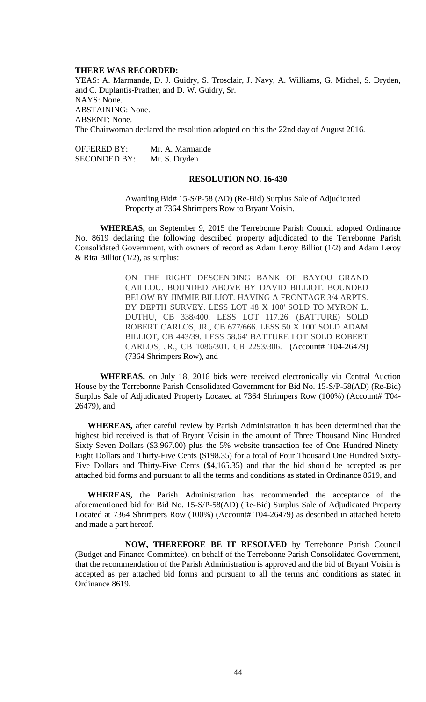#### **THERE WAS RECORDED:**

YEAS: A. Marmande, D. J. Guidry, S. Trosclair, J. Navy, A. Williams, G. Michel, S. Dryden, and C. Duplantis-Prather, and D. W. Guidry, Sr. NAYS: None. ABSTAINING: None. ABSENT: None. The Chairwoman declared the resolution adopted on this the 22nd day of August 2016.

OFFERED BY: Mr. A. Marmande SECONDED BY: Mr. S. Dryden

#### **RESOLUTION NO. 16-430**

Awarding Bid# 15-S/P-58 (AD) (Re-Bid) Surplus Sale of Adjudicated Property at 7364 Shrimpers Row to Bryant Voisin.

**WHEREAS,** on September 9, 2015 the Terrebonne Parish Council adopted Ordinance No. 8619 declaring the following described property adjudicated to the Terrebonne Parish Consolidated Government, with owners of record as Adam Leroy Billiot (1/2) and Adam Leroy  $&$  Rita Billiot (1/2), as surplus:

> ON THE RIGHT DESCENDING BANK OF BAYOU GRAND CAILLOU. BOUNDED ABOVE BY DAVID BILLIOT. BOUNDED BELOW BY JIMMIE BILLIOT. HAVING A FRONTAGE 3/4 ARPTS. BY DEPTH SURVEY. LESS LOT 48 X 100' SOLD TO MYRON L. DUTHU, CB 338/400. LESS LOT 117.26' (BATTURE) SOLD ROBERT CARLOS, JR., CB 677/666. LESS 50 X 100' SOLD ADAM BILLIOT, CB 443/39. LESS 58.64' BATTURE LOT SOLD ROBERT CARLOS, JR., CB 1086/301. CB 2293/306. (Account# T04-26479) (7364 Shrimpers Row), and

**WHEREAS,** on July 18, 2016 bids were received electronically via Central Auction House by the Terrebonne Parish Consolidated Government for Bid No. 15-S/P-58(AD) (Re-Bid) Surplus Sale of Adjudicated Property Located at 7364 Shrimpers Row (100%) (Account# T04- 26479), and

**WHEREAS,** after careful review by Parish Administration it has been determined that the highest bid received is that of Bryant Voisin in the amount of Three Thousand Nine Hundred Sixty-Seven Dollars (\$3,967.00) plus the 5% website transaction fee of One Hundred Ninety-Eight Dollars and Thirty-Five Cents (\$198.35) for a total of Four Thousand One Hundred Sixty-Five Dollars and Thirty-Five Cents (\$4,165.35) and that the bid should be accepted as per attached bid forms and pursuant to all the terms and conditions as stated in Ordinance 8619, and

**WHEREAS,** the Parish Administration has recommended the acceptance of the aforementioned bid for Bid No. 15-S/P-58(AD) (Re-Bid) Surplus Sale of Adjudicated Property Located at 7364 Shrimpers Row (100%) (Account# T04-26479) as described in attached hereto and made a part hereof.

**NOW, THEREFORE BE IT RESOLVED** by Terrebonne Parish Council (Budget and Finance Committee), on behalf of the Terrebonne Parish Consolidated Government, that the recommendation of the Parish Administration is approved and the bid of Bryant Voisin is accepted as per attached bid forms and pursuant to all the terms and conditions as stated in Ordinance 8619.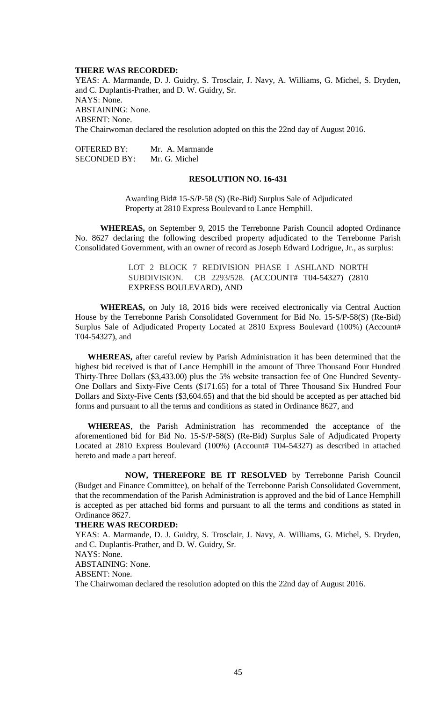#### **THERE WAS RECORDED:**

YEAS: A. Marmande, D. J. Guidry, S. Trosclair, J. Navy, A. Williams, G. Michel, S. Dryden, and C. Duplantis-Prather, and D. W. Guidry, Sr. NAYS: None. ABSTAINING: None. ABSENT: None. The Chairwoman declared the resolution adopted on this the 22nd day of August 2016.

| OFFERED BY:  | Mr. A. Marmande |
|--------------|-----------------|
| SECONDED BY: | Mr. G. Michel   |

# **RESOLUTION NO. 16-431**

Awarding Bid# 15-S/P-58 (S) (Re-Bid) Surplus Sale of Adjudicated Property at 2810 Express Boulevard to Lance Hemphill.

**WHEREAS,** on September 9, 2015 the Terrebonne Parish Council adopted Ordinance No. 8627 declaring the following described property adjudicated to the Terrebonne Parish Consolidated Government, with an owner of record as Joseph Edward Lodrigue, Jr., as surplus:

> LOT 2 BLOCK 7 REDIVISION PHASE I ASHLAND NORTH SUBDIVISION. CB 2293/528. (ACCOUNT# T04-54327) (2810 EXPRESS BOULEVARD), AND

**WHEREAS,** on July 18, 2016 bids were received electronically via Central Auction House by the Terrebonne Parish Consolidated Government for Bid No. 15-S/P-58(S) (Re-Bid) Surplus Sale of Adjudicated Property Located at 2810 Express Boulevard (100%) (Account# T04-54327), and

**WHEREAS,** after careful review by Parish Administration it has been determined that the highest bid received is that of Lance Hemphill in the amount of Three Thousand Four Hundred Thirty-Three Dollars (\$3,433.00) plus the 5% website transaction fee of One Hundred Seventy-One Dollars and Sixty-Five Cents (\$171.65) for a total of Three Thousand Six Hundred Four Dollars and Sixty-Five Cents (\$3,604.65) and that the bid should be accepted as per attached bid forms and pursuant to all the terms and conditions as stated in Ordinance 8627, and

**WHEREAS**, the Parish Administration has recommended the acceptance of the aforementioned bid for Bid No. 15-S/P-58(S) (Re-Bid) Surplus Sale of Adjudicated Property Located at 2810 Express Boulevard (100%) (Account# T04-54327) as described in attached hereto and made a part hereof.

**NOW, THEREFORE BE IT RESOLVED** by Terrebonne Parish Council (Budget and Finance Committee), on behalf of the Terrebonne Parish Consolidated Government, that the recommendation of the Parish Administration is approved and the bid of Lance Hemphill is accepted as per attached bid forms and pursuant to all the terms and conditions as stated in Ordinance 8627.

#### **THERE WAS RECORDED:**

YEAS: A. Marmande, D. J. Guidry, S. Trosclair, J. Navy, A. Williams, G. Michel, S. Dryden, and C. Duplantis-Prather, and D. W. Guidry, Sr. NAYS: None. ABSTAINING: None. ABSENT: None. The Chairwoman declared the resolution adopted on this the 22nd day of August 2016.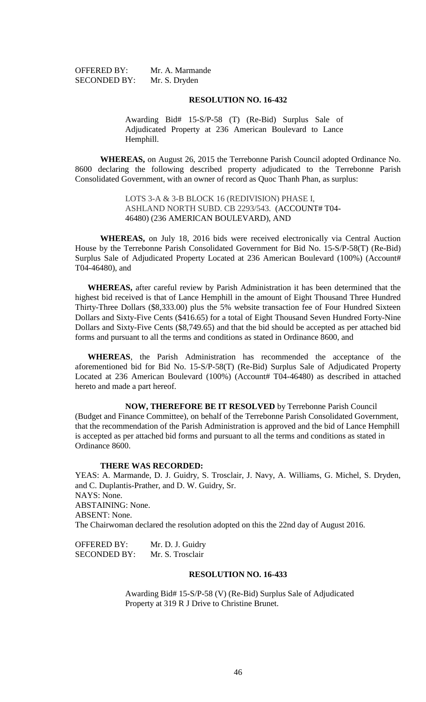OFFERED BY: Mr. A. Marmande SECONDED BY: Mr. S. Dryden

#### **RESOLUTION NO. 16-432**

Awarding Bid# 15-S/P-58 (T) (Re-Bid) Surplus Sale of Adjudicated Property at 236 American Boulevard to Lance Hemphill.

**WHEREAS,** on August 26, 2015 the Terrebonne Parish Council adopted Ordinance No. 8600 declaring the following described property adjudicated to the Terrebonne Parish Consolidated Government, with an owner of record as Quoc Thanh Phan, as surplus:

> LOTS 3-A & 3-B BLOCK 16 (REDIVISION) PHASE I, ASHLAND NORTH SUBD. CB 2293/543. (ACCOUNT# T04- 46480) (236 AMERICAN BOULEVARD), AND

**WHEREAS,** on July 18, 2016 bids were received electronically via Central Auction House by the Terrebonne Parish Consolidated Government for Bid No. 15-S/P-58(T) (Re-Bid) Surplus Sale of Adjudicated Property Located at 236 American Boulevard (100%) (Account# T04-46480), and

**WHEREAS,** after careful review by Parish Administration it has been determined that the highest bid received is that of Lance Hemphill in the amount of Eight Thousand Three Hundred Thirty-Three Dollars (\$8,333.00) plus the 5% website transaction fee of Four Hundred Sixteen Dollars and Sixty-Five Cents (\$416.65) for a total of Eight Thousand Seven Hundred Forty-Nine Dollars and Sixty-Five Cents (\$8,749.65) and that the bid should be accepted as per attached bid forms and pursuant to all the terms and conditions as stated in Ordinance 8600, and

**WHEREAS**, the Parish Administration has recommended the acceptance of the aforementioned bid for Bid No. 15-S/P-58(T) (Re-Bid) Surplus Sale of Adjudicated Property Located at 236 American Boulevard (100%) (Account# T04-46480) as described in attached hereto and made a part hereof.

**NOW, THEREFORE BE IT RESOLVED** by Terrebonne Parish Council (Budget and Finance Committee), on behalf of the Terrebonne Parish Consolidated Government, that the recommendation of the Parish Administration is approved and the bid of Lance Hemphill is accepted as per attached bid forms and pursuant to all the terms and conditions as stated in Ordinance 8600.

#### **THERE WAS RECORDED:**

YEAS: A. Marmande, D. J. Guidry, S. Trosclair, J. Navy, A. Williams, G. Michel, S. Dryden, and C. Duplantis-Prather, and D. W. Guidry, Sr. NAYS: None. ABSTAINING: None. ABSENT: None. The Chairwoman declared the resolution adopted on this the 22nd day of August 2016.

| <b>OFFERED BY:</b>  | Mr. D. J. Guidry |
|---------------------|------------------|
| <b>SECONDED BY:</b> | Mr. S. Trosclair |

## **RESOLUTION NO. 16-433**

Awarding Bid# 15-S/P-58 (V) (Re-Bid) Surplus Sale of Adjudicated Property at 319 R J Drive to Christine Brunet.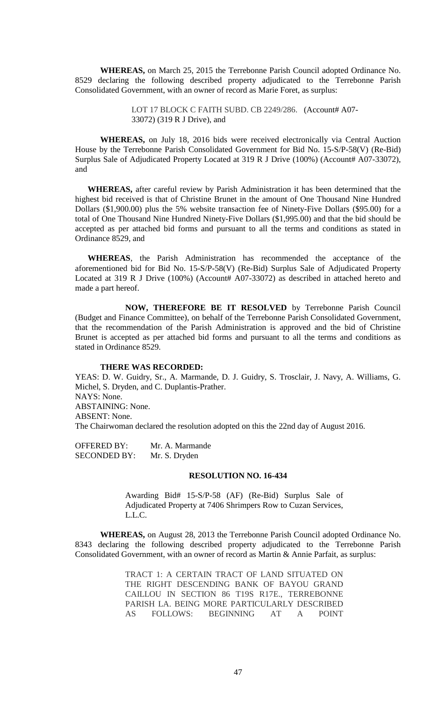**WHEREAS,** on March 25, 2015 the Terrebonne Parish Council adopted Ordinance No. 8529 declaring the following described property adjudicated to the Terrebonne Parish Consolidated Government, with an owner of record as Marie Foret, as surplus:

> LOT 17 BLOCK C FAITH SUBD. CB 2249/286. (Account# A07-33072) (319 R J Drive), and

**WHEREAS,** on July 18, 2016 bids were received electronically via Central Auction House by the Terrebonne Parish Consolidated Government for Bid No. 15-S/P-58(V) (Re-Bid) Surplus Sale of Adjudicated Property Located at 319 R J Drive (100%) (Account# A07-33072), and

**WHEREAS,** after careful review by Parish Administration it has been determined that the highest bid received is that of Christine Brunet in the amount of One Thousand Nine Hundred Dollars (\$1,900.00) plus the 5% website transaction fee of Ninety-Five Dollars (\$95.00) for a total of One Thousand Nine Hundred Ninety-Five Dollars (\$1,995.00) and that the bid should be accepted as per attached bid forms and pursuant to all the terms and conditions as stated in Ordinance 8529, and

**WHEREAS**, the Parish Administration has recommended the acceptance of the aforementioned bid for Bid No. 15-S/P-58(V) (Re-Bid) Surplus Sale of Adjudicated Property Located at 319 R J Drive (100%) (Account# A07-33072) as described in attached hereto and made a part hereof.

**NOW, THEREFORE BE IT RESOLVED** by Terrebonne Parish Council (Budget and Finance Committee), on behalf of the Terrebonne Parish Consolidated Government, that the recommendation of the Parish Administration is approved and the bid of Christine Brunet is accepted as per attached bid forms and pursuant to all the terms and conditions as stated in Ordinance 8529.

#### **THERE WAS RECORDED:**

YEAS: D. W. Guidry, Sr., A. Marmande, D. J. Guidry, S. Trosclair, J. Navy, A. Williams, G. Michel, S. Dryden, and C. Duplantis-Prather. NAYS: None. ABSTAINING: None. ABSENT: None. The Chairwoman declared the resolution adopted on this the 22nd day of August 2016.

OFFERED BY: Mr. A. Marmande SECONDED BY: Mr. S. Dryden

## **RESOLUTION NO. 16-434**

Awarding Bid# 15-S/P-58 (AF) (Re-Bid) Surplus Sale of Adjudicated Property at 7406 Shrimpers Row to Cuzan Services, L.L.C.

**WHEREAS,** on August 28, 2013 the Terrebonne Parish Council adopted Ordinance No. 8343 declaring the following described property adjudicated to the Terrebonne Parish Consolidated Government, with an owner of record as Martin & Annie Parfait, as surplus:

> TRACT 1: A CERTAIN TRACT OF LAND SITUATED ON THE RIGHT DESCENDING BANK OF BAYOU GRAND CAILLOU IN SECTION 86 T19S R17E., TERREBONNE PARISH LA. BEING MORE PARTICULARLY DESCRIBED AS FOLLOWS: BEGINNING AT A POINT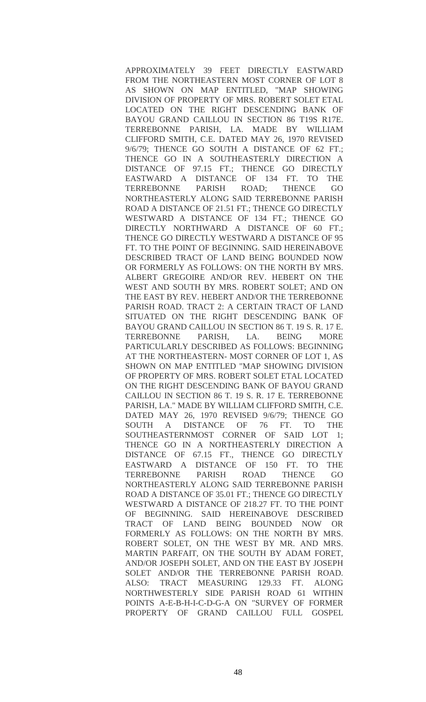APPROXIMATELY 39 FEET DIRECTLY EASTWARD FROM THE NORTHEASTERN MOST CORNER OF LOT 8 AS SHOWN ON MAP ENTITLED, "MAP SHOWING DIVISION OF PROPERTY OF MRS. ROBERT SOLET ETAL LOCATED ON THE RIGHT DESCENDING BANK OF BAYOU GRAND CAILLOU IN SECTION 86 T19S R17E. TERREBONNE PARISH, LA. MADE BY WILLIAM CLIFFORD SMITH, C.E. DATED MAY 26, 1970 REVISED 9/6/79; THENCE GO SOUTH A DISTANCE OF 62 FT.; THENCE GO IN A SOUTHEASTERLY DIRECTION A DISTANCE OF 97.15 FT.; THENCE GO DIRECTLY EASTWARD A DISTANCE OF 134 FT. TO THE TERREBONNE PARISH ROAD; THENCE GO NORTHEASTERLY ALONG SAID TERREBONNE PARISH ROAD A DISTANCE OF 21.51 FT.; THENCE GO DIRECTLY WESTWARD A DISTANCE OF 134 FT.; THENCE GO DIRECTLY NORTHWARD A DISTANCE OF 60 FT.; THENCE GO DIRECTLY WESTWARD A DISTANCE OF 95 FT. TO THE POINT OF BEGINNING. SAID HEREINABOVE DESCRIBED TRACT OF LAND BEING BOUNDED NOW OR FORMERLY AS FOLLOWS: ON THE NORTH BY MRS. ALBERT GREGOIRE AND/OR REV. HEBERT ON THE WEST AND SOUTH BY MRS. ROBERT SOLET; AND ON THE EAST BY REV. HEBERT AND/OR THE TERREBONNE PARISH ROAD. TRACT 2: A CERTAIN TRACT OF LAND SITUATED ON THE RIGHT DESCENDING BANK OF BAYOU GRAND CAILLOU IN SECTION 86 T. 19 S. R. 17 E. TERREBONNE PARISH, LA. BEING MORE PARTICULARLY DESCRIBED AS FOLLOWS: BEGINNING AT THE NORTHEASTERN- MOST CORNER OF LOT 1, AS SHOWN ON MAP ENTITLED "MAP SHOWING DIVISION OF PROPERTY OF MRS. ROBERT SOLET ETAL LOCATED ON THE RIGHT DESCENDING BANK OF BAYOU GRAND CAILLOU IN SECTION 86 T. 19 S. R. 17 E. TERREBONNE PARISH, LA." MADE BY WILLIAM CLIFFORD SMITH, C.E. DATED MAY 26, 1970 REVISED 9/6/79; THENCE GO SOUTH A DISTANCE OF 76 FT. TO THE SOUTHEASTERNMOST CORNER OF SAID LOT 1; THENCE GO IN A NORTHEASTERLY DIRECTION A DISTANCE OF 67.15 FT., THENCE GO DIRECTLY EASTWARD A DISTANCE OF 150 FT. TO THE TERREBONNE PARISH ROAD THENCE GO NORTHEASTERLY ALONG SAID TERREBONNE PARISH ROAD A DISTANCE OF 35.01 FT.; THENCE GO DIRECTLY WESTWARD A DISTANCE OF 218.27 FT. TO THE POINT OF BEGINNING. SAID HEREINABOVE DESCRIBED TRACT OF LAND BEING BOUNDED NOW OR FORMERLY AS FOLLOWS: ON THE NORTH BY MRS. ROBERT SOLET, ON THE WEST BY MR. AND MRS. MARTIN PARFAIT, ON THE SOUTH BY ADAM FORET, AND/OR JOSEPH SOLET, AND ON THE EAST BY JOSEPH SOLET AND/OR THE TERREBONNE PARISH ROAD. ALSO: TRACT MEASURING 129.33 FT. ALONG NORTHWESTERLY SIDE PARISH ROAD 61 WITHIN POINTS A-E-B-H-I-C-D-G-A ON "SURVEY OF FORMER PROPERTY OF GRAND CAILLOU FULL GOSPEL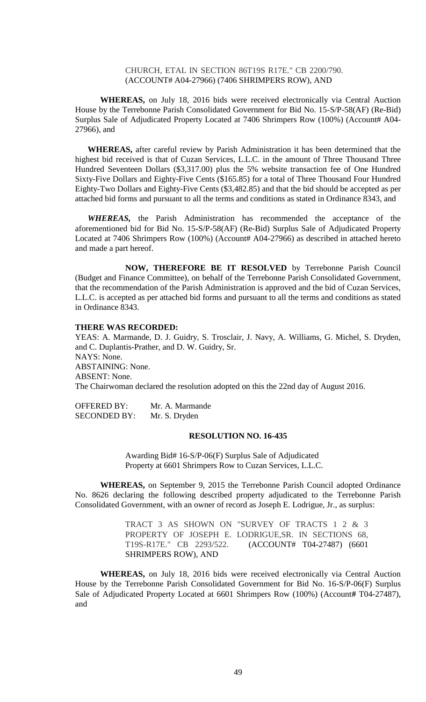## CHURCH, ETAL IN SECTION 86T19S R17E." CB 2200/790. (ACCOUNT# A04-27966) (7406 SHRIMPERS ROW), AND

**WHEREAS,** on July 18, 2016 bids were received electronically via Central Auction House by the Terrebonne Parish Consolidated Government for Bid No. 15-S/P-58(AF) (Re-Bid) Surplus Sale of Adjudicated Property Located at 7406 Shrimpers Row (100%) (Account# A04- 27966), and

**WHEREAS,** after careful review by Parish Administration it has been determined that the highest bid received is that of Cuzan Services, L.L.C. in the amount of Three Thousand Three Hundred Seventeen Dollars (\$3,317.00) plus the 5% website transaction fee of One Hundred Sixty-Five Dollars and Eighty-Five Cents (\$165.85) for a total of Three Thousand Four Hundred Eighty-Two Dollars and Eighty-Five Cents (\$3,482.85) and that the bid should be accepted as per attached bid forms and pursuant to all the terms and conditions as stated in Ordinance 8343, and

*WHEREAS,* the Parish Administration has recommended the acceptance of the aforementioned bid for Bid No. 15-S/P-58(AF) (Re-Bid) Surplus Sale of Adjudicated Property Located at 7406 Shrimpers Row (100%) (Account# A04-27966) as described in attached hereto and made a part hereof.

**NOW, THEREFORE BE IT RESOLVED** by Terrebonne Parish Council (Budget and Finance Committee), on behalf of the Terrebonne Parish Consolidated Government, that the recommendation of the Parish Administration is approved and the bid of Cuzan Services, L.L.C. is accepted as per attached bid forms and pursuant to all the terms and conditions as stated in Ordinance 8343.

#### **THERE WAS RECORDED:**

YEAS: A. Marmande, D. J. Guidry, S. Trosclair, J. Navy, A. Williams, G. Michel, S. Dryden, and C. Duplantis-Prather, and D. W. Guidry, Sr. NAYS: None. ABSTAINING: None. ABSENT: None. The Chairwoman declared the resolution adopted on this the 22nd day of August 2016.

OFFERED BY: Mr. A. Marmande SECONDED BY: Mr. S. Dryden

#### **RESOLUTION NO. 16-435**

Awarding Bid# 16-S/P-06(F) Surplus Sale of Adjudicated Property at 6601 Shrimpers Row to Cuzan Services, L.L.C.

**WHEREAS,** on September 9, 2015 the Terrebonne Parish Council adopted Ordinance No. 8626 declaring the following described property adjudicated to the Terrebonne Parish Consolidated Government, with an owner of record as Joseph E. Lodrigue, Jr., as surplus:

> TRACT 3 AS SHOWN ON "SURVEY OF TRACTS 1 2 & 3 PROPERTY OF JOSEPH E. LODRIGUE,SR. IN SECTIONS 68, T19S-R17E." CB 2293/522. (ACCOUNT# T04-27487) (6601 SHRIMPERS ROW), AND

**WHEREAS,** on July 18, 2016 bids were received electronically via Central Auction House by the Terrebonne Parish Consolidated Government for Bid No. 16-S/P-06(F) Surplus Sale of Adjudicated Property Located at 6601 Shrimpers Row (100%) (Account**#** T04-27487), and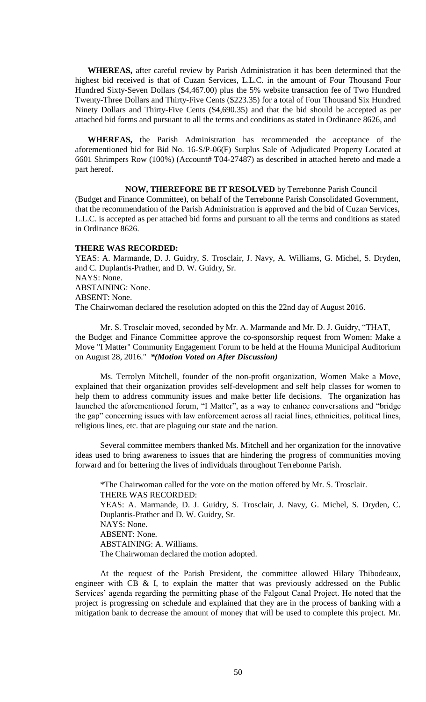**WHEREAS,** after careful review by Parish Administration it has been determined that the highest bid received is that of Cuzan Services, L.L.C. in the amount of Four Thousand Four Hundred Sixty-Seven Dollars (\$4,467.00) plus the 5% website transaction fee of Two Hundred Twenty-Three Dollars and Thirty-Five Cents (\$223.35) for a total of Four Thousand Six Hundred Ninety Dollars and Thirty-Five Cents (\$4,690.35) and that the bid should be accepted as per attached bid forms and pursuant to all the terms and conditions as stated in Ordinance 8626, and

**WHEREAS,** the Parish Administration has recommended the acceptance of the aforementioned bid for Bid No. 16-S/P-06(F) Surplus Sale of Adjudicated Property Located at 6601 Shrimpers Row (100%) (Account# T04-27487) as described in attached hereto and made a part hereof.

**NOW, THEREFORE BE IT RESOLVED** by Terrebonne Parish Council (Budget and Finance Committee), on behalf of the Terrebonne Parish Consolidated Government, that the recommendation of the Parish Administration is approved and the bid of Cuzan Services, L.L.C. is accepted as per attached bid forms and pursuant to all the terms and conditions as stated in Ordinance 8626.

#### **THERE WAS RECORDED:**

YEAS: A. Marmande, D. J. Guidry, S. Trosclair, J. Navy, A. Williams, G. Michel, S. Dryden, and C. Duplantis-Prather, and D. W. Guidry, Sr. NAYS: None. ABSTAINING: None. ABSENT: None. The Chairwoman declared the resolution adopted on this the 22nd day of August 2016.

Mr. S. Trosclair moved, seconded by Mr. A. Marmande and Mr. D. J. Guidry, "THAT, the Budget and Finance Committee approve the co-sponsorship request from Women: Make a Move "I Matter" Community Engagement Forum to be held at the Houma Municipal Auditorium on August 28, 2016." *\*(Motion Voted on After Discussion)*

Ms. Terrolyn Mitchell, founder of the non-profit organization, Women Make a Move, explained that their organization provides self-development and self help classes for women to help them to address community issues and make better life decisions. The organization has launched the aforementioned forum, "I Matter", as a way to enhance conversations and "bridge the gap" concerning issues with law enforcement across all racial lines, ethnicities, political lines, religious lines, etc. that are plaguing our state and the nation.

Several committee members thanked Ms. Mitchell and her organization for the innovative ideas used to bring awareness to issues that are hindering the progress of communities moving forward and for bettering the lives of individuals throughout Terrebonne Parish.

\*The Chairwoman called for the vote on the motion offered by Mr. S. Trosclair. THERE WAS RECORDED: YEAS: A. Marmande, D. J. Guidry, S. Trosclair, J. Navy, G. Michel, S. Dryden, C. Duplantis-Prather and D. W. Guidry, Sr. NAYS: None. ABSENT: None. ABSTAINING: A. Williams. The Chairwoman declared the motion adopted.

At the request of the Parish President, the committee allowed Hilary Thibodeaux, engineer with CB & I, to explain the matter that was previously addressed on the Public Services' agenda regarding the permitting phase of the Falgout Canal Project. He noted that the project is progressing on schedule and explained that they are in the process of banking with a mitigation bank to decrease the amount of money that will be used to complete this project. Mr.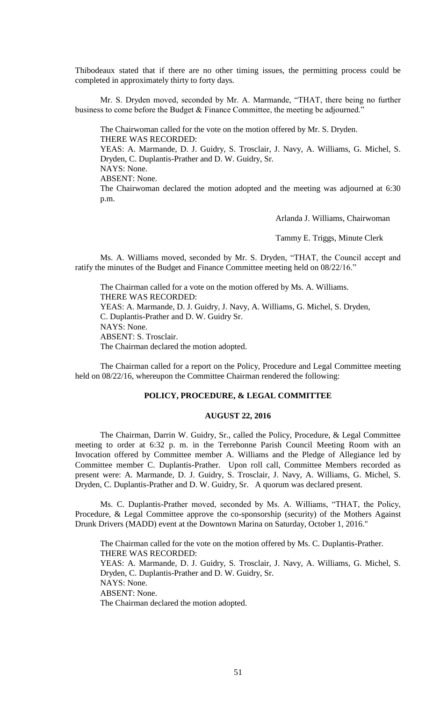Thibodeaux stated that if there are no other timing issues, the permitting process could be completed in approximately thirty to forty days.

Mr. S. Dryden moved, seconded by Mr. A. Marmande, "THAT, there being no further business to come before the Budget & Finance Committee, the meeting be adjourned."

The Chairwoman called for the vote on the motion offered by Mr. S. Dryden. THERE WAS RECORDED: YEAS: A. Marmande, D. J. Guidry, S. Trosclair, J. Navy, A. Williams, G. Michel, S. Dryden, C. Duplantis-Prather and D. W. Guidry, Sr. NAYS: None. ABSENT: None. The Chairwoman declared the motion adopted and the meeting was adjourned at 6:30 p.m.

Arlanda J. Williams, Chairwoman

Tammy E. Triggs, Minute Clerk

Ms. A. Williams moved, seconded by Mr. S. Dryden, "THAT, the Council accept and ratify the minutes of the Budget and Finance Committee meeting held on 08/22/16."

The Chairman called for a vote on the motion offered by Ms. A. Williams. THERE WAS RECORDED: YEAS: A. Marmande, D. J. Guidry, J. Navy, A. Williams, G. Michel, S. Dryden, C. Duplantis-Prather and D. W. Guidry Sr. NAYS: None. ABSENT: S. Trosclair. The Chairman declared the motion adopted.

The Chairman called for a report on the Policy, Procedure and Legal Committee meeting held on 08/22/16, whereupon the Committee Chairman rendered the following:

# **POLICY, PROCEDURE, & LEGAL COMMITTEE**

# **AUGUST 22, 2016**

The Chairman, Darrin W. Guidry, Sr., called the Policy, Procedure, & Legal Committee meeting to order at 6:32 p. m. in the Terrebonne Parish Council Meeting Room with an Invocation offered by Committee member A. Williams and the Pledge of Allegiance led by Committee member C. Duplantis-Prather. Upon roll call, Committee Members recorded as present were: A. Marmande, D. J. Guidry, S. Trosclair, J. Navy, A. Williams, G. Michel, S. Dryden, C. Duplantis-Prather and D. W. Guidry, Sr. A quorum was declared present.

Ms. C. Duplantis-Prather moved, seconded by Ms. A. Williams, "THAT, the Policy, Procedure, & Legal Committee approve the co-sponsorship (security) of the Mothers Against Drunk Drivers (MADD) event at the Downtown Marina on Saturday, October 1, 2016."

The Chairman called for the vote on the motion offered by Ms. C. Duplantis-Prather. THERE WAS RECORDED: YEAS: A. Marmande, D. J. Guidry, S. Trosclair, J. Navy, A. Williams, G. Michel, S. Dryden, C. Duplantis-Prather and D. W. Guidry, Sr. NAYS: None. ABSENT: None. The Chairman declared the motion adopted.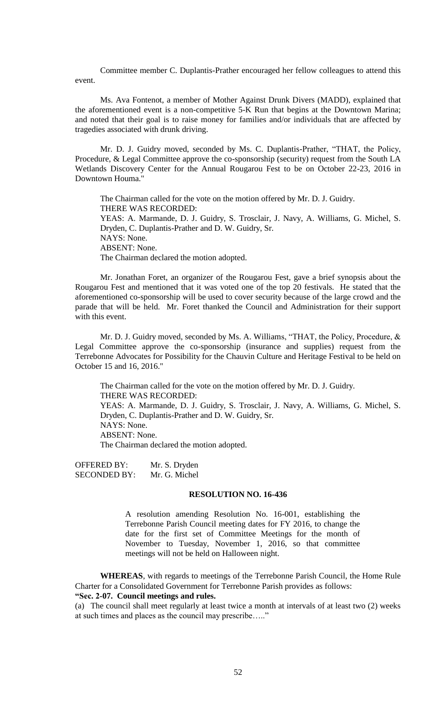Committee member C. Duplantis-Prather encouraged her fellow colleagues to attend this event.

Ms. Ava Fontenot, a member of Mother Against Drunk Divers (MADD), explained that the aforementioned event is a non-competitive 5-K Run that begins at the Downtown Marina; and noted that their goal is to raise money for families and/or individuals that are affected by tragedies associated with drunk driving.

Mr. D. J. Guidry moved, seconded by Ms. C. Duplantis-Prather, "THAT, the Policy, Procedure, & Legal Committee approve the co-sponsorship (security) request from the South LA Wetlands Discovery Center for the Annual Rougarou Fest to be on October 22-23, 2016 in Downtown Houma."

The Chairman called for the vote on the motion offered by Mr. D. J. Guidry. THERE WAS RECORDED: YEAS: A. Marmande, D. J. Guidry, S. Trosclair, J. Navy, A. Williams, G. Michel, S. Dryden, C. Duplantis-Prather and D. W. Guidry, Sr. NAYS: None. ABSENT: None. The Chairman declared the motion adopted.

Mr. Jonathan Foret, an organizer of the Rougarou Fest, gave a brief synopsis about the Rougarou Fest and mentioned that it was voted one of the top 20 festivals. He stated that the aforementioned co-sponsorship will be used to cover security because of the large crowd and the parade that will be held. Mr. Foret thanked the Council and Administration for their support with this event.

Mr. D. J. Guidry moved, seconded by Ms. A. Williams, "THAT, the Policy, Procedure, & Legal Committee approve the co-sponsorship (insurance and supplies) request from the Terrebonne Advocates for Possibility for the Chauvin Culture and Heritage Festival to be held on October 15 and 16, 2016."

The Chairman called for the vote on the motion offered by Mr. D. J. Guidry. THERE WAS RECORDED: YEAS: A. Marmande, D. J. Guidry, S. Trosclair, J. Navy, A. Williams, G. Michel, S. Dryden, C. Duplantis-Prather and D. W. Guidry, Sr. NAYS: None. ABSENT: None. The Chairman declared the motion adopted.

OFFERED BY: Mr. S. Dryden SECONDED BY: Mr. G. Michel

#### **RESOLUTION NO. 16-436**

A resolution amending Resolution No. 16-001, establishing the Terrebonne Parish Council meeting dates for FY 2016, to change the date for the first set of Committee Meetings for the month of November to Tuesday, November 1, 2016, so that committee meetings will not be held on Halloween night.

**WHEREAS**, with regards to meetings of the Terrebonne Parish Council, the Home Rule Charter for a Consolidated Government for Terrebonne Parish provides as follows:

# **"Sec. 2-07. Council meetings and rules.**

(a) The council shall meet regularly at least twice a month at intervals of at least two (2) weeks at such times and places as the council may prescribe….."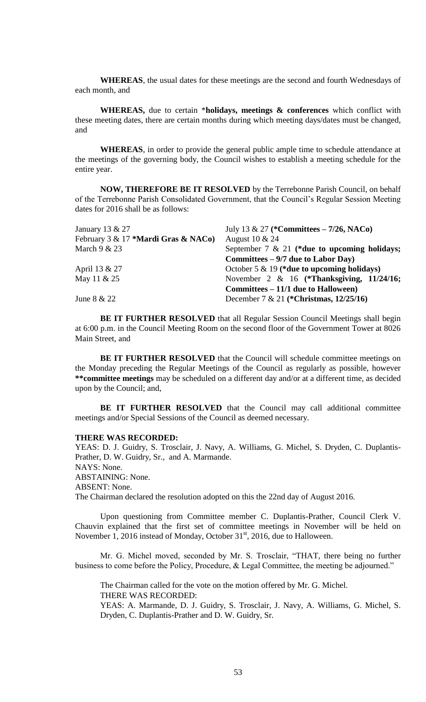**WHEREAS**, the usual dates for these meetings are the second and fourth Wednesdays of each month, and

**WHEREAS,** due to certain \***holidays, meetings & conferences** which conflict with these meeting dates, there are certain months during which meeting days/dates must be changed, and

**WHEREAS**, in order to provide the general public ample time to schedule attendance at the meetings of the governing body, the Council wishes to establish a meeting schedule for the entire year.

**NOW, THEREFORE BE IT RESOLVED** by the Terrebonne Parish Council, on behalf of the Terrebonne Parish Consolidated Government, that the Council's Regular Session Meeting dates for 2016 shall be as follows:

| January 13 & 27                     | July 13 & 27 (*Committees – $7/26$ , NACo)      |
|-------------------------------------|-------------------------------------------------|
| February 3 & 17 *Mardi Gras & NACo) | August 10 & 24                                  |
| March $9 & 23$                      | September 7 $\&$ 21 (*due to upcoming holidays; |
|                                     | Committees $-9/7$ due to Labor Day)             |
| April 13 & 27                       | October 5 & 19 (*due to upcoming holidays)      |
| May 11 & 25                         | November 2 & 16 (*Thanksgiving, $11/24/16$ ;    |
|                                     | Committees – 11/1 due to Halloween)             |
| June $8 & 22$                       | December 7 & 21 (*Christmas, $12/25/16$ )       |

**BE IT FURTHER RESOLVED** that all Regular Session Council Meetings shall begin at 6:00 p.m. in the Council Meeting Room on the second floor of the Government Tower at 8026 Main Street, and

**BE IT FURTHER RESOLVED** that the Council will schedule committee meetings on the Monday preceding the Regular Meetings of the Council as regularly as possible, however **\*\*committee meetings** may be scheduled on a different day and/or at a different time, as decided upon by the Council; and,

BE IT FURTHER RESOLVED that the Council may call additional committee meetings and/or Special Sessions of the Council as deemed necessary.

#### **THERE WAS RECORDED:**

YEAS: D. J. Guidry, S. Trosclair, J. Navy, A. Williams, G. Michel, S. Dryden, C. Duplantis-Prather, D. W. Guidry, Sr., and A. Marmande. NAYS: None. ABSTAINING: None. ABSENT: None. The Chairman declared the resolution adopted on this the 22nd day of August 2016.

Upon questioning from Committee member C. Duplantis-Prather, Council Clerk V. Chauvin explained that the first set of committee meetings in November will be held on November 1, 2016 instead of Monday, October  $31<sup>st</sup>$ , 2016, due to Halloween.

Mr. G. Michel moved, seconded by Mr. S. Trosclair, "THAT, there being no further business to come before the Policy, Procedure, & Legal Committee, the meeting be adjourned."

The Chairman called for the vote on the motion offered by Mr. G. Michel. THERE WAS RECORDED:

YEAS: A. Marmande, D. J. Guidry, S. Trosclair, J. Navy, A. Williams, G. Michel, S. Dryden, C. Duplantis-Prather and D. W. Guidry, Sr.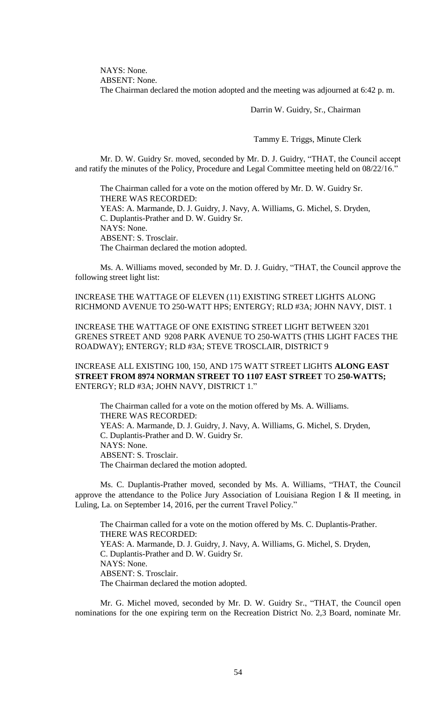NAYS: None.

ABSENT: None.

The Chairman declared the motion adopted and the meeting was adjourned at 6:42 p. m.

Darrin W. Guidry, Sr., Chairman

Tammy E. Triggs, Minute Clerk

Mr. D. W. Guidry Sr. moved, seconded by Mr. D. J. Guidry, "THAT, the Council accept and ratify the minutes of the Policy, Procedure and Legal Committee meeting held on 08/22/16."

The Chairman called for a vote on the motion offered by Mr. D. W. Guidry Sr. THERE WAS RECORDED: YEAS: A. Marmande, D. J. Guidry, J. Navy, A. Williams, G. Michel, S. Dryden, C. Duplantis-Prather and D. W. Guidry Sr. NAYS: None. ABSENT: S. Trosclair. The Chairman declared the motion adopted.

Ms. A. Williams moved, seconded by Mr. D. J. Guidry, "THAT, the Council approve the following street light list:

INCREASE THE WATTAGE OF ELEVEN (11) EXISTING STREET LIGHTS ALONG RICHMOND AVENUE TO 250-WATT HPS; ENTERGY; RLD #3A; JOHN NAVY, DIST. 1

INCREASE THE WATTAGE OF ONE EXISTING STREET LIGHT BETWEEN 3201 GRENES STREET AND 9208 PARK AVENUE TO 250-WATTS (THIS LIGHT FACES THE ROADWAY); ENTERGY; RLD #3A; STEVE TROSCLAIR, DISTRICT 9

INCREASE ALL EXISTING 100, 150, AND 175 WATT STREET LIGHTS **ALONG EAST STREET FROM 8974 NORMAN STREET TO 1107 EAST STREET** TO **250-WATTS;**  ENTERGY; RLD #3A; JOHN NAVY, DISTRICT 1."

The Chairman called for a vote on the motion offered by Ms. A. Williams. THERE WAS RECORDED: YEAS: A. Marmande, D. J. Guidry, J. Navy, A. Williams, G. Michel, S. Dryden, C. Duplantis-Prather and D. W. Guidry Sr. NAYS: None. ABSENT: S. Trosclair. The Chairman declared the motion adopted.

Ms. C. Duplantis-Prather moved, seconded by Ms. A. Williams, "THAT, the Council approve the attendance to the Police Jury Association of Louisiana Region I & II meeting, in Luling, La. on September 14, 2016, per the current Travel Policy."

The Chairman called for a vote on the motion offered by Ms. C. Duplantis-Prather. THERE WAS RECORDED: YEAS: A. Marmande, D. J. Guidry, J. Navy, A. Williams, G. Michel, S. Dryden, C. Duplantis-Prather and D. W. Guidry Sr. NAYS: None. ABSENT: S. Trosclair. The Chairman declared the motion adopted.

Mr. G. Michel moved, seconded by Mr. D. W. Guidry Sr., "THAT, the Council open nominations for the one expiring term on the Recreation District No. 2,3 Board, nominate Mr.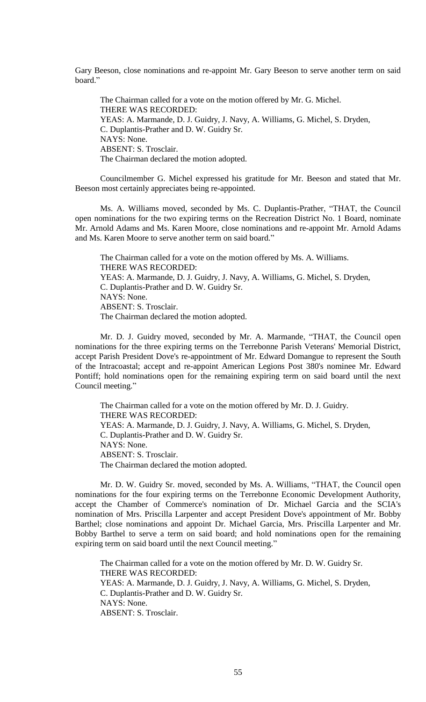Gary Beeson, close nominations and re-appoint Mr. Gary Beeson to serve another term on said board."

The Chairman called for a vote on the motion offered by Mr. G. Michel. THERE WAS RECORDED: YEAS: A. Marmande, D. J. Guidry, J. Navy, A. Williams, G. Michel, S. Dryden, C. Duplantis-Prather and D. W. Guidry Sr. NAYS: None. ABSENT: S. Trosclair. The Chairman declared the motion adopted.

Councilmember G. Michel expressed his gratitude for Mr. Beeson and stated that Mr. Beeson most certainly appreciates being re-appointed.

Ms. A. Williams moved, seconded by Ms. C. Duplantis-Prather, "THAT, the Council open nominations for the two expiring terms on the Recreation District No. 1 Board, nominate Mr. Arnold Adams and Ms. Karen Moore, close nominations and re-appoint Mr. Arnold Adams and Ms. Karen Moore to serve another term on said board."

The Chairman called for a vote on the motion offered by Ms. A. Williams. THERE WAS RECORDED: YEAS: A. Marmande, D. J. Guidry, J. Navy, A. Williams, G. Michel, S. Dryden, C. Duplantis-Prather and D. W. Guidry Sr. NAYS: None. ABSENT: S. Trosclair. The Chairman declared the motion adopted.

Mr. D. J. Guidry moved, seconded by Mr. A. Marmande, "THAT, the Council open nominations for the three expiring terms on the Terrebonne Parish Veterans' Memorial District, accept Parish President Dove's re-appointment of Mr. Edward Domangue to represent the South of the Intracoastal; accept and re-appoint American Legions Post 380's nominee Mr. Edward Pontiff; hold nominations open for the remaining expiring term on said board until the next Council meeting."

The Chairman called for a vote on the motion offered by Mr. D. J. Guidry. THERE WAS RECORDED: YEAS: A. Marmande, D. J. Guidry, J. Navy, A. Williams, G. Michel, S. Dryden, C. Duplantis-Prather and D. W. Guidry Sr. NAYS: None. ABSENT: S. Trosclair. The Chairman declared the motion adopted.

Mr. D. W. Guidry Sr. moved, seconded by Ms. A. Williams, "THAT, the Council open nominations for the four expiring terms on the Terrebonne Economic Development Authority, accept the Chamber of Commerce's nomination of Dr. Michael Garcia and the SCIA's nomination of Mrs. Priscilla Larpenter and accept President Dove's appointment of Mr. Bobby Barthel; close nominations and appoint Dr. Michael Garcia, Mrs. Priscilla Larpenter and Mr. Bobby Barthel to serve a term on said board; and hold nominations open for the remaining expiring term on said board until the next Council meeting."

The Chairman called for a vote on the motion offered by Mr. D. W. Guidry Sr. THERE WAS RECORDED: YEAS: A. Marmande, D. J. Guidry, J. Navy, A. Williams, G. Michel, S. Dryden, C. Duplantis-Prather and D. W. Guidry Sr. NAYS: None. ABSENT: S. Trosclair.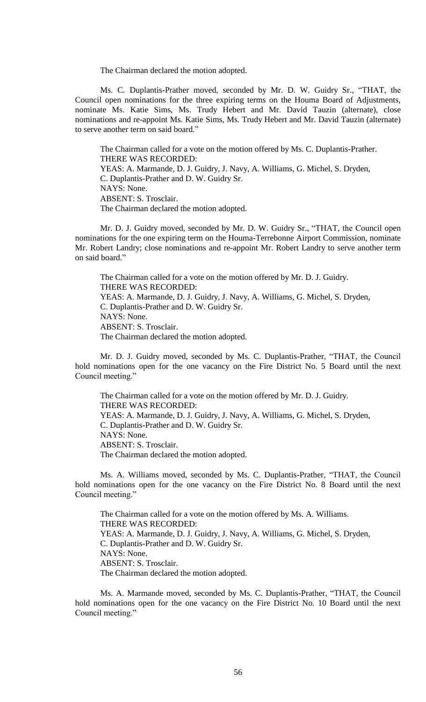The Chairman declared the motion adopted.

Ms. C. Duplantis-Prather moved, seconded by Mr. D. W. Guidry Sr., "THAT, the Council open nominations for the three expiring terms on the Houma Board of Adjustments, nominate Ms. Katie Sims, Ms. Trudy Hebert and Mr. David Tauzin (alternate), close nominations and re-appoint Ms. Katie Sims, Ms. Trudy Hebert and Mr. David Tauzin (alternate) to serve another term on said board."

The Chairman called for a vote on the motion offered by Ms. C. Duplantis-Prather. THERE WAS RECORDED: YEAS: A. Marmande, D. J. Guidry, J. Navy, A. Williams, G. Michel, S. Dryden, C. Duplantis-Prather and D. W. Guidry Sr. NAYS: None. ABSENT: S. Trosclair. The Chairman declared the motion adopted.

Mr. D. J. Guidry moved, seconded by Mr. D. W. Guidry Sr., "THAT, the Council open nominations for the one expiring term on the Houma-Terrebonne Airport Commission, nominate Mr. Robert Landry; close nominations and re-appoint Mr. Robert Landry to serve another term on said board."

The Chairman called for a vote on the motion offered by Mr. D. J. Guidry. THERE WAS RECORDED: YEAS: A. Marmande, D. J. Guidry, J. Navy, A. Williams, G. Michel, S. Dryden, C. Duplantis-Prather and D. W. Guidry Sr. NAYS: None. ABSENT: S. Trosclair. The Chairman declared the motion adopted.

Mr. D. J. Guidry moved, seconded by Ms. C. Duplantis-Prather, "THAT, the Council hold nominations open for the one vacancy on the Fire District No. 5 Board until the next Council meeting."

The Chairman called for a vote on the motion offered by Mr. D. J. Guidry. THERE WAS RECORDED: YEAS: A. Marmande, D. J. Guidry, J. Navy, A. Williams, G. Michel, S. Dryden, C. Duplantis-Prather and D. W. Guidry Sr. NAYS: None. ABSENT: S. Trosclair. The Chairman declared the motion adopted.

Ms. A. Williams moved, seconded by Ms. C. Duplantis-Prather, "THAT, the Council hold nominations open for the one vacancy on the Fire District No. 8 Board until the next Council meeting."

The Chairman called for a vote on the motion offered by Ms. A. Williams. THERE WAS RECORDED: YEAS: A. Marmande, D. J. Guidry, J. Navy, A. Williams, G. Michel, S. Dryden, C. Duplantis-Prather and D. W. Guidry Sr. NAYS: None. ABSENT: S. Trosclair. The Chairman declared the motion adopted.

Ms. A. Marmande moved, seconded by Ms. C. Duplantis-Prather, "THAT, the Council hold nominations open for the one vacancy on the Fire District No. 10 Board until the next Council meeting."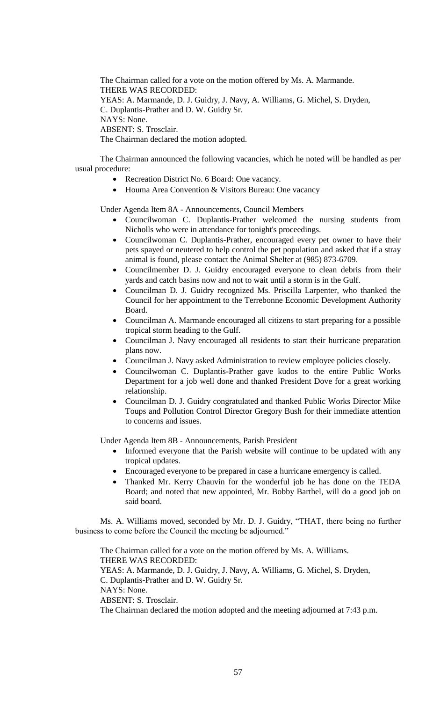The Chairman called for a vote on the motion offered by Ms. A. Marmande. THERE WAS RECORDED: YEAS: A. Marmande, D. J. Guidry, J. Navy, A. Williams, G. Michel, S. Dryden, C. Duplantis-Prather and D. W. Guidry Sr. NAYS: None. ABSENT: S. Trosclair. The Chairman declared the motion adopted.

The Chairman announced the following vacancies, which he noted will be handled as per usual procedure:

- Recreation District No. 6 Board: One vacancy.
- Houma Area Convention & Visitors Bureau: One vacancy

## Under Agenda Item 8A - Announcements, Council Members

- Councilwoman C. Duplantis-Prather welcomed the nursing students from Nicholls who were in attendance for tonight's proceedings.
- Councilwoman C. Duplantis-Prather, encouraged every pet owner to have their pets spayed or neutered to help control the pet population and asked that if a stray animal is found, please contact the Animal Shelter at (985) 873-6709.
- Councilmember D. J. Guidry encouraged everyone to clean debris from their yards and catch basins now and not to wait until a storm is in the Gulf.
- Councilman D. J. Guidry recognized Ms. Priscilla Larpenter, who thanked the Council for her appointment to the Terrebonne Economic Development Authority Board.
- Councilman A. Marmande encouraged all citizens to start preparing for a possible tropical storm heading to the Gulf.
- Councilman J. Navy encouraged all residents to start their hurricane preparation plans now.
- Councilman J. Navy asked Administration to review employee policies closely.
- Councilwoman C. Duplantis-Prather gave kudos to the entire Public Works Department for a job well done and thanked President Dove for a great working relationship.
- Councilman D. J. Guidry congratulated and thanked Public Works Director Mike Toups and Pollution Control Director Gregory Bush for their immediate attention to concerns and issues.

Under Agenda Item 8B - Announcements, Parish President

- Informed everyone that the Parish website will continue to be updated with any tropical updates.
- Encouraged everyone to be prepared in case a hurricane emergency is called.
- Thanked Mr. Kerry Chauvin for the wonderful job he has done on the TEDA Board; and noted that new appointed, Mr. Bobby Barthel, will do a good job on said board.

Ms. A. Williams moved, seconded by Mr. D. J. Guidry, "THAT, there being no further business to come before the Council the meeting be adjourned."

The Chairman called for a vote on the motion offered by Ms. A. Williams. THERE WAS RECORDED: YEAS: A. Marmande, D. J. Guidry, J. Navy, A. Williams, G. Michel, S. Dryden, C. Duplantis-Prather and D. W. Guidry Sr. NAYS: None. ABSENT: S. Trosclair. The Chairman declared the motion adopted and the meeting adjourned at 7:43 p.m.